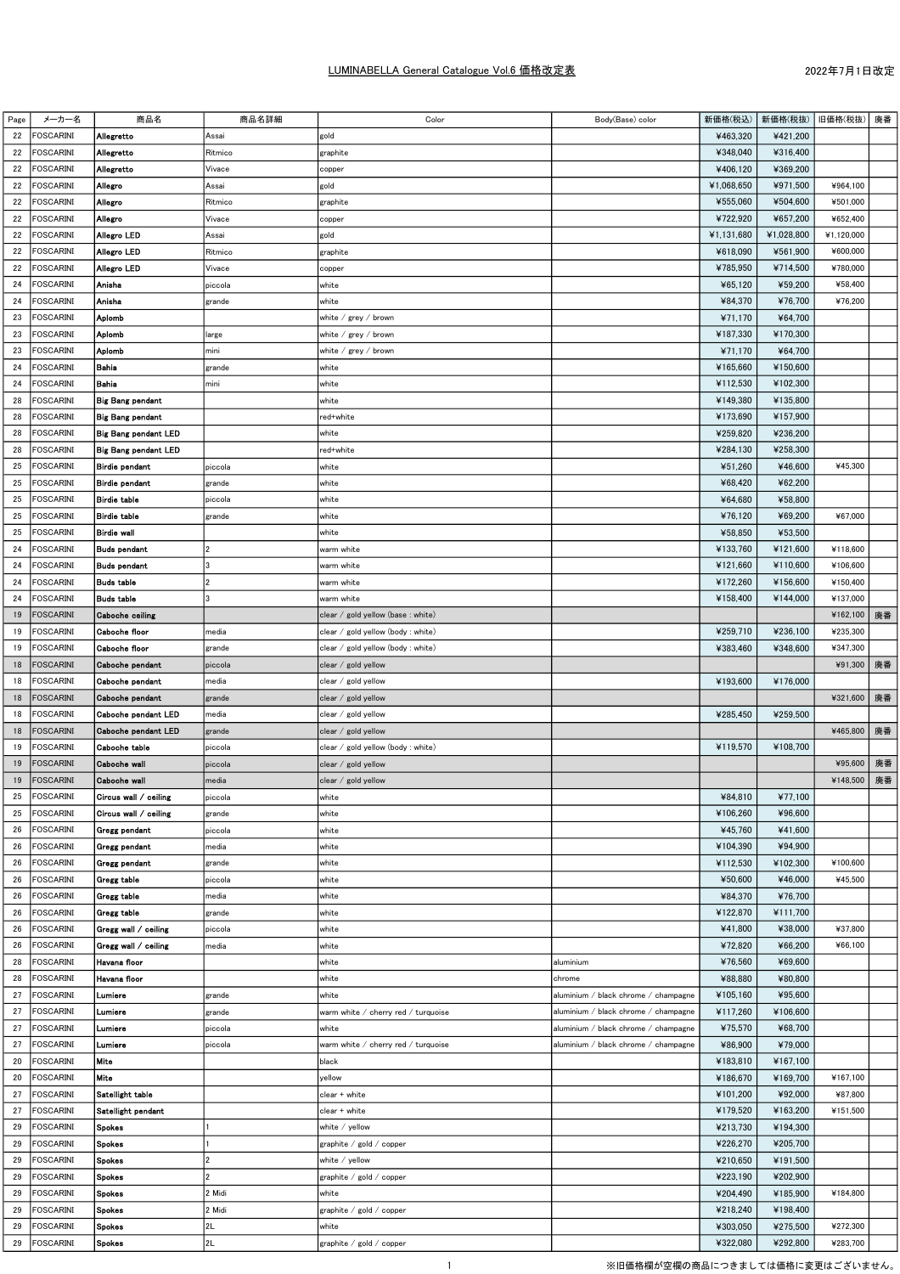## LUMINABELLA General Catalogue Vol.6 価格改定表

| Page | メーカー名            | 商品名                         | 商品名詳細   | Color                                        | Body(Base) color                     | 新価格(税込)    | 新価格(税抜)    | 旧価格(税抜)    | 廃番 |
|------|------------------|-----------------------------|---------|----------------------------------------------|--------------------------------------|------------|------------|------------|----|
| 22   | FOSCARINI        | Allegretto                  | Assai   | gold                                         |                                      | ¥463,320   | ¥421,200   |            |    |
| 22   | FOSCARINI        | Allegretto                  | Ritmico | graphite                                     |                                      | ¥348,040   | ¥316,400   |            |    |
| 22   | FOSCARINI        | Allegretto                  | Vivace  | copper                                       |                                      | ¥406,120   | ¥369,200   |            |    |
| 22   | FOSCARINI        | Allegro                     | Assai   | gold                                         |                                      | ¥1,068,650 | ¥971,500   | ¥964,100   |    |
| 22   | FOSCARINI        | Allegro                     | Ritmico | graphite                                     |                                      | ¥555,060   | ¥504,600   | ¥501,000   |    |
| 22   | FOSCARINI        | Allegro                     | Vivace  | copper                                       |                                      | ¥722,920   | ¥657,200   | ¥652,400   |    |
| 22   | FOSCARINI        | Allegro LED                 | Assai   | gold                                         |                                      | ¥1,131,680 | ¥1,028,800 | ¥1,120,000 |    |
| 22   | <b>FOSCARINI</b> |                             |         |                                              |                                      |            | ¥561.900   | ¥600,000   |    |
|      |                  | Allegro LED                 | Ritmico | graphite                                     |                                      | ¥618,090   |            |            |    |
| 22   | FOSCARINI        | Allegro LED                 | Vivace  | copper                                       |                                      | ¥785,950   | ¥714,500   | ¥780,000   |    |
| 24   | FOSCARINI        | Anisha                      | piccola | white                                        |                                      | ¥65,120    | ¥59,200    | ¥58,400    |    |
| 24   | FOSCARINI        | Anisha                      | grande  | white                                        |                                      | ¥84,370    | ¥76,700    | ¥76,200    |    |
| 23   | FOSCARINI        | Aplomb                      |         | white / grey / brown                         |                                      | ¥71,170    | ¥64,700    |            |    |
| 23   | FOSCARINI        | Aplomb                      | large   | white / grey / brown                         |                                      | ¥187,330   | ¥170,300   |            |    |
| 23   | FOSCARINI        | Aplomb                      | mini    | white / grey / brown                         |                                      | ¥71,170    | ¥64,700    |            |    |
| 24   | FOSCARINI        | Bahia                       | grande  | white                                        |                                      | ¥165,660   | ¥150,600   |            |    |
| 24   | FOSCARINI        | Bahia                       | mini    | white                                        |                                      | ¥112,530   | ¥102,300   |            |    |
|      |                  |                             |         |                                              |                                      |            |            |            |    |
| 28   | FOSCARINI        | <b>Big Bang pendant</b>     |         | white                                        |                                      | ¥149,380   | ¥135,800   |            |    |
| 28   | FOSCARINI        | Big Bang pendant            |         | red+white                                    |                                      | ¥173,690   | ¥157,900   |            |    |
| 28   | FOSCARINI        | <b>Big Bang pendant LED</b> |         | white                                        |                                      | ¥259,820   | ¥236,200   |            |    |
| 28   | FOSCARINI        | <b>Big Bang pendant LED</b> |         | red+white                                    |                                      | ¥284,130   | ¥258,300   |            |    |
| 25   | FOSCARINI        | Birdie pendant              | piccola | white                                        |                                      | ¥51,260    | ¥46,600    | ¥45,300    |    |
| 25   | FOSCARINI        | Birdie pendant              | grande  | white                                        |                                      | ¥68,420    | ¥62,200    |            |    |
| 25   | FOSCARINI        | Birdio table                | piccola | white                                        |                                      | ¥64,680    | ¥58,800    |            |    |
| 25   | FOSCARINI        | Birdie table                | grande  | white                                        |                                      | ¥76,120    | ¥69,200    | ¥67,000    |    |
|      |                  |                             |         |                                              |                                      |            |            |            |    |
| 25   | FOSCARINI        | <b>Birdie wall</b>          |         | white                                        |                                      | ¥58,850    | ¥53,500    |            |    |
| 24   | FOSCARINI        | <b>Buds pendant</b>         | 2       | warm white                                   |                                      | ¥133,760   | ¥121,600   | ¥118,600   |    |
| 24   | FOSCARINI        | <b>Buds pendant</b>         | l3      | warm white                                   |                                      | ¥121,660   | ¥110,600   | ¥106,600   |    |
| 24   | FOSCARINI        | <b>Buds table</b>           |         | warm white                                   |                                      | ¥172,260   | ¥156,600   | ¥150,400   |    |
| 24   | FOSCARINI        | <b>Buds table</b>           | l3      | warm white                                   |                                      | ¥158,400   | ¥144,000   | ¥137,000   |    |
| 19   | FOSCARINI        | <b>Caboche ceiling</b>      |         | clear / gold yellow (base : white)           |                                      |            |            | ¥162,100   | 廃番 |
| 19   | FOSCARINI        | Caboche floor               | media   | clear / gold yellow (body : white)           |                                      | ¥259,710   | ¥236,100   | ¥235,300   |    |
| 19   | FOSCARINI        | Caboche floor               | grande  | clear / gold yellow (body : white)           |                                      | ¥383,460   | ¥348,600   | ¥347,300   |    |
| 18   |                  |                             | piccola |                                              |                                      |            |            | ¥91,300    |    |
|      | FOSCARINI        | Caboche pendant             |         | clear / gold yellow                          |                                      |            |            |            | 廃番 |
| 18   | FOSCARINI        | Caboche pendant             | media   | clear / gold yellow                          |                                      | ¥193,600   | ¥176,000   |            |    |
| 18   | <b>FOSCARINI</b> | Caboche pendant             | grande  | clear / gold yellow                          |                                      |            |            | ¥321,600   | 廃番 |
| 18   | <b>FOSCARINI</b> | Caboche pendant LED         | media   | clear / gold yellow                          |                                      | ¥285,450   | ¥259,500   |            |    |
| 18   | FOSCARINI        | <b>Caboche pendant LED</b>  | grande  | clear / gold yellow                          |                                      |            |            | ¥465.800   | 廃番 |
| 19   | FOSCARINI        | Caboche table               | piccola | clear / gold yellow (body : white)           |                                      | ¥119,570   | ¥108,700   |            |    |
| 19   | <b>FOSCARINI</b> | Caboche wall                | piccola | clear / gold yellow                          |                                      |            |            | ¥95,600    | 廃番 |
| 19   | <b>FOSCARINI</b> | <b>Caboche wall</b>         | media   | $\frac{1}{2}$ lear $\frac{1}{2}$ gold yellow |                                      |            |            | ¥148,500   | 廃番 |
| 25   | FOSCARINI        | Circus wall / ceiling       | piccola | white                                        |                                      | ¥84,810    | ¥77,100    |            |    |
|      |                  |                             |         |                                              |                                      |            |            |            |    |
| 25   | FOSCARINI        | Circus wall / ceiling       | grande  | white                                        |                                      | ¥106,260   | ¥96,600    |            |    |
| 26   | FOSCARINI        | Gregg pendant               | piccola | white                                        |                                      | ¥45,760    | ¥41,600    |            |    |
| 26   | FOSCARINI        | Gregg pendant               | media   | white                                        |                                      | ¥104,390   | ¥94,900    |            |    |
| 26   | FOSCARINI        | Gregg pendant               | grande  | white                                        |                                      | ¥112,530   | ¥102,300   | ¥100,600   |    |
| 26   | FOSCARINI        | Gregg table                 | piccola | white                                        |                                      | ¥50,600    | ¥46,000    | ¥45,500    |    |
| 26   | FOSCARINI        | Gregg table                 | media   | white                                        |                                      | ¥84,370    | ¥76,700    |            |    |
| 26   | FOSCARINI        | Gregg table                 | grande  | white                                        |                                      | ¥122,870   | ¥111,700   |            |    |
| 26   | FOSCARINI        | Gregg wall / ceiling        | piccola | white                                        |                                      | ¥41,800    | ¥38,000    | ¥37,800    |    |
| 26   | FOSCARINI        | Gregg wall / ceiling        | media   | white                                        |                                      | ¥72,820    | ¥66,200    | ¥66,100    |    |
|      |                  |                             |         |                                              |                                      |            |            |            |    |
| 28   | FOSCARINI        | Havana floor                |         | white                                        | aluminium                            | ¥76,560    | ¥69,600    |            |    |
| 28   | FOSCARINI        | Havana floor                |         | white                                        | chrome                               | ¥88,880    | ¥80,800    |            |    |
| 27   | FOSCARINI        | Lumiere                     | grande  | white                                        | aluminium / black chrome / champagne | ¥105,160   | ¥95,600    |            |    |
| 27   | FOSCARINI        | Lumiere                     | grande  | warm white / cherry red / turquoise          | aluminium / black chrome / champagne | ¥117,260   | ¥106,600   |            |    |
| 27   | FOSCARINI        | Lumiere                     | piccola | white                                        | aluminium / black chrome / champagne | ¥75,570    | ¥68,700    |            |    |
| 27   | FOSCARINI        | Lumiere                     | piccola | warm white / cherry red / turquoise          | aluminium / black chrome / champagne | ¥86,900    | ¥79,000    |            |    |
| 20   | FOSCARINI        | Mite                        |         | black                                        |                                      | ¥183,810   | ¥167,100   |            |    |
| 20   | FOSCARINI        | Mite                        |         | yellow                                       |                                      | ¥186,670   | ¥169,700   | ¥167,100   |    |
| 27   | FOSCARINI        | Satellight table            |         | clear + white                                |                                      | ¥101,200   | ¥92,000    | ¥87,800    |    |
|      | FOSCARINI        | Satellight pendant          |         |                                              |                                      | ¥179,520   | ¥163,200   | ¥151,500   |    |
| 27   |                  |                             |         | clear + white                                |                                      |            |            |            |    |
| 29   | FOSCARINI        | <b>Spokes</b>               |         | white / yellow                               |                                      | ¥213,730   | ¥194,300   |            |    |
| 29   | FOSCARINI        | <b>Spokes</b>               |         | graphite / gold / copper                     |                                      | ¥226,270   | ¥205,700   |            |    |
| 29   | FOSCARINI        | <b>Spokes</b>               | 2       | white $/$ yellow                             |                                      | ¥210,650   | ¥191,500   |            |    |
| 29   | FOSCARINI        | Spokes                      | 2       | graphite / gold / copper                     |                                      | ¥223,190   | ¥202,900   |            |    |
| 29   | FOSCARINI        | Spokes                      | 2 Midi  | white                                        |                                      | ¥204,490   | ¥185,900   | ¥184,800   |    |
| 29   | <b>FOSCARINI</b> | <b>Spokes</b>               | 2 Midi  | graphite / gold / copper                     |                                      | ¥218,240   | ¥198,400   |            |    |
| 29   | FOSCARINI        | <b>Spokes</b>               | 2L      | white                                        |                                      | ¥303,050   | ¥275,500   | ¥272,300   |    |
| 29   | FOSCARINI        | <b>Spokes</b>               | 2L      | graphite / gold / copper                     |                                      | ¥322,080   | ¥292,800   | ¥283,700   |    |
|      |                  |                             |         |                                              |                                      |            |            |            |    |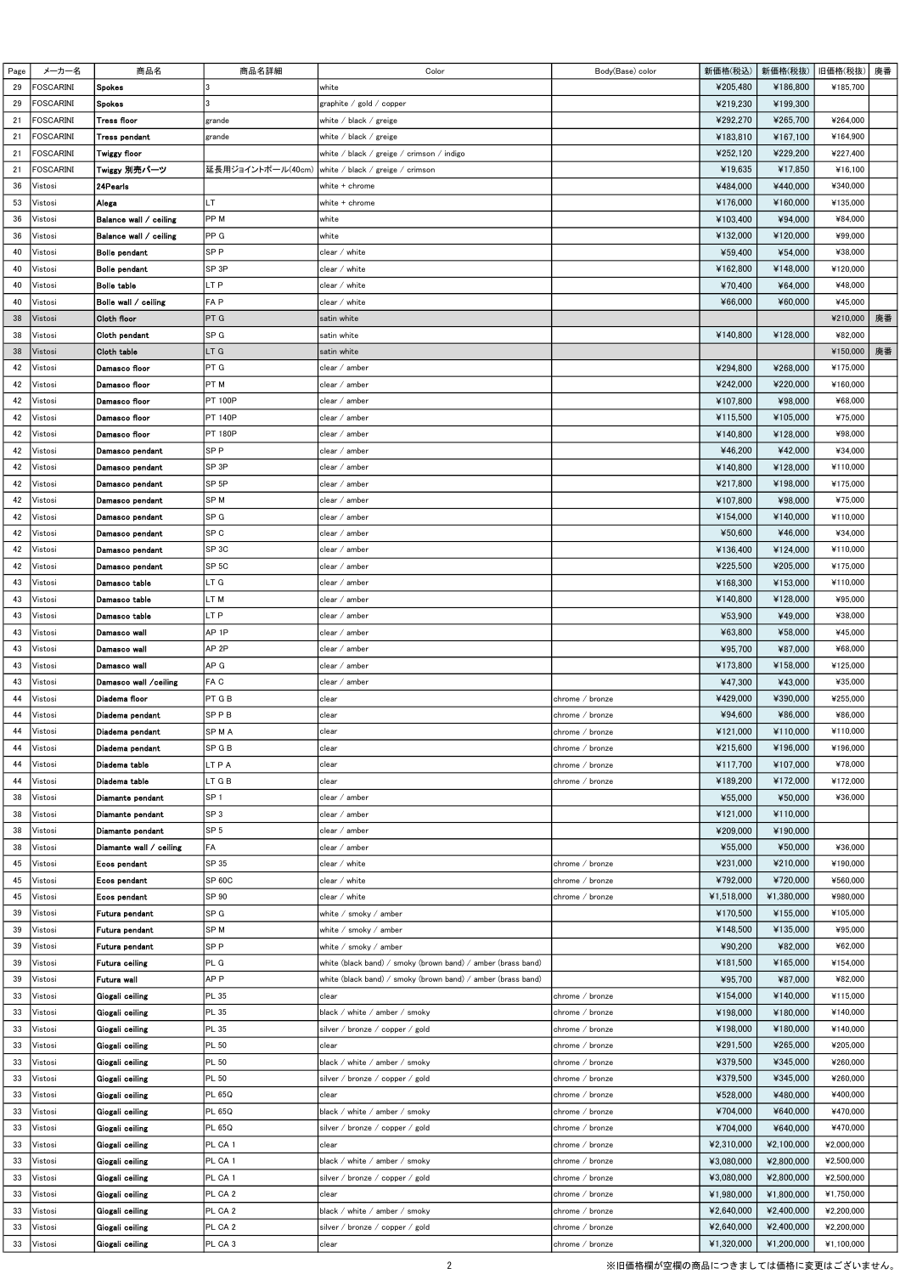| Page | メーカー名     | 商品名                     | 商品名詳細            | Color                                                        | Body(Base) color | 新価格(税込)    | 新価格(税抜)    | 旧価格(税抜)    | 廃番 |
|------|-----------|-------------------------|------------------|--------------------------------------------------------------|------------------|------------|------------|------------|----|
| 29   | FOSCARINI | <b>Spokes</b>           |                  | white                                                        |                  | ¥205.480   | ¥186,800   | ¥185,700   |    |
| 29   | FOSCARINI | <b>Spokes</b>           | 3                | graphite / gold / copper                                     |                  | ¥219,230   | ¥199,300   |            |    |
| 21   | FOSCARINI | Tress floor             | grande           | white / black / greige                                       |                  | ¥292,270   | ¥265,700   | ¥264,000   |    |
| 21   | FOSCARINI | Tress pendant           | grande           | white / black / greige                                       |                  | ¥183,810   | ¥167.100   | ¥164,900   |    |
| 21   | FOSCARINI | Twiggy floor            |                  | white / black / greige / crimson / indigo                    |                  | ¥252,120   | ¥229,200   | ¥227,400   |    |
| 21   | FOSCARINI | Twiggy 別売パーツ            |                  | 延長用ジョイントポール(40cm)  white / black / greige / crimson          |                  | ¥19,635    | ¥17,850    | ¥16,100    |    |
| 36   | Vistosi   | 24Pearls                |                  | white + chrome                                               |                  | ¥484,000   | ¥440,000   | ¥340,000   |    |
|      |           |                         | LT.              |                                                              |                  |            |            |            |    |
| 53   | Vistosi   | Alega                   |                  | white + chrome                                               |                  | ¥176,000   | ¥160,000   | ¥135,000   |    |
| 36   | Vistosi   | Balance wall / ceiling  | PP M             | white                                                        |                  | ¥103,400   | ¥94,000    | ¥84,000    |    |
| 36   | Vistosi   | Balance wall / ceiling  | PP G             | white                                                        |                  | ¥132,000   | ¥120,000   | ¥99,000    |    |
| 40   | Vistosi   | <b>Bolle pendant</b>    | SP P             | clear / white                                                |                  | ¥59,400    | ¥54,000    | ¥38,000    |    |
| 40   | Vistosi   | <b>Bolle pendant</b>    | SP 3P            | clear / white                                                |                  | ¥162,800   | ¥148,000   | ¥120,000   |    |
| 40   | Vistosi   | <b>Bolle</b> table      | LT P             | clear / white                                                |                  | ¥70,400    | ¥64,000    | ¥48,000    |    |
| 40   | Vistosi   | Bolle wall / ceiling    | FA P             | clear / white                                                |                  | ¥66,000    | ¥60,000    | ¥45,000    |    |
| 38   | Vistosi   | <b>Cloth floor</b>      | PT G             | satin white                                                  |                  |            |            | ¥210,000   | 廃番 |
| 38   | Vistosi   | Cloth pendant           | SP G             | satin white                                                  |                  | ¥140,800   | ¥128,000   | ¥82,000    |    |
| 38   | Vistosi   | Cloth table             | LT G             | satin white                                                  |                  |            |            | ¥150,000   | 廃番 |
| 42   | Vistosi   | <b>Damasco floor</b>    | PT G             | clear / amber                                                |                  | ¥294,800   | ¥268,000   | ¥175,000   |    |
| 42   | Vistosi   | <b>Damasco floor</b>    | PT M             | clear / amber                                                |                  | ¥242,000   | ¥220,000   | ¥160,000   |    |
| 42   | Vistosi   | <b>Damasco floor</b>    | <b>PT 100P</b>   | clear / amber                                                |                  | ¥107,800   | ¥98,000    | ¥68,000    |    |
| 42   | Vistosi   | Damasco floor           | PT 140P          | clear / amber                                                |                  | ¥115,500   | ¥105,000   | ¥75,000    |    |
| 42   | Vistosi   | Damasco floor           | PT 180P          | clear / amber                                                |                  | ¥140,800   | ¥128,000   | ¥98,000    |    |
| 42   | Vistosi   | Damasco pendant         | SP P             | clear / amber                                                |                  | ¥46,200    | ¥42,000    | ¥34,000    |    |
| 42   | Vistosi   | Damasco pendant         | SP 3P            | clear / amber                                                |                  | ¥140,800   | ¥128,000   | ¥110,000   |    |
|      |           |                         | SP 5P            |                                                              |                  |            |            | ¥175,000   |    |
| 42   | Vistosi   | Damasco pendant         |                  | clear / amber                                                |                  | ¥217,800   | ¥198,000   |            |    |
| 42   | Vistosi   | Damasco pendant         | SP M             | clear / amber                                                |                  | ¥107,800   | ¥98,000    | ¥75,000    |    |
| 42   | Vistosi   | Damasco pendant         | SP G             | clear / amber                                                |                  | ¥154,000   | ¥140,000   | ¥110,000   |    |
| 42   | Vistosi   | Damasco pendant         | SP <sub>C</sub>  | clear / amber                                                |                  | ¥50,600    | ¥46,000    | ¥34,000    |    |
| 42   | Vistosi   | Damasco pendant         | SP 3C            | clear / amber                                                |                  | ¥136,400   | ¥124,000   | ¥110,000   |    |
| 42   | Vistosi   | Damasco pendant         | SP <sub>5C</sub> | clear / amber                                                |                  | ¥225,500   | ¥205,000   | ¥175,000   |    |
| 43   | Vistosi   | Damasco table           | LT G             | clear / amber                                                |                  | ¥168,300   | ¥153,000   | ¥110,000   |    |
| 43   | Vistosi   | Damasco table           | LT M             | clear / amber                                                |                  | ¥140,800   | ¥128,000   | ¥95,000    |    |
| 43   | Vistosi   | Damasco table           | LT P             | clear / amber                                                |                  | ¥53,900    | ¥49,000    | ¥38,000    |    |
| 43   | Vistosi   | Damasco wall            | AP <sub>1P</sub> | clear / amber                                                |                  | ¥63,800    | ¥58,000    | ¥45,000    |    |
| 43   | Vistosi   | Damasco wall            | AP <sub>2P</sub> | clear / amber                                                |                  | ¥95,700    | ¥87,000    | ¥68,000    |    |
| 43   | Vistosi   | <b>Damasco wall</b>     | AP G             | clear / amber                                                |                  | ¥173,800   | ¥158,000   | ¥125,000   |    |
| 43   | Vistosi   | Damasco wall /ceiling   | FA C             | clear / amber                                                |                  | ¥47,300    | ¥43,000    | ¥35,000    |    |
| 44   | Vistosi   | Diadema floor           | PT G B           | clear                                                        | chrome / bronze  | ¥429,000   | ¥390,000   | ¥255,000   |    |
| 44   | Vistosi   | Diadema pendant         | SPPB             | clear                                                        | chrome / bronze  | ¥94,600    | ¥86,000    | ¥86,000    |    |
| 44   | Vistosi   | Diadema pendant         | SPMA             | clear                                                        | chrome / bronze  | ¥121,000   | ¥110,000   | ¥110,000   |    |
|      |           |                         |                  |                                                              |                  |            |            | ¥196,000   |    |
| 44   | Vistosi   | Diadema pendant         | SP G B           | clear                                                        | chrome / bronze  | ¥215,600   | ¥196,000   |            |    |
| 44   | Vistosi   | Diadema table           | LT P A           | clear                                                        | chrome / bronze  | ¥117,700   | ¥107,000   | ¥78,000    |    |
| 44   | Vistosi   | Diadema table           | LT G B           | clear                                                        | chrome / bronze  | ¥189,200   | ¥172.000   | ¥172,000   |    |
| 38   | Vistosi   | Diamante pendant        | SP <sub>1</sub>  | clear / amber                                                |                  | ¥55,000    | ¥50,000    | ¥36,000    |    |
| 38   | Vistosi   | Diamante pendant        | SP 3             | clear / amber                                                |                  | ¥121,000   | ¥110,000   |            |    |
| 38   | Vistosi   | <b>Diamante pendant</b> | SP <sub>5</sub>  | clear / amber                                                |                  | ¥209,000   | ¥190,000   |            |    |
| 38   | Vistosi   | Diamante wall / ceiling | FA               | clear / amber                                                |                  | ¥55,000    | ¥50,000    | ¥36,000    |    |
| 45   | Vistosi   | Ecos pendant            | SP 35            | clear / white                                                | chrome / bronze  | ¥231,000   | ¥210,000   | ¥190,000   |    |
| 45   | Vistosi   | Ecos pendant            | SP 60C           | clear / white                                                | chrome / bronze  | ¥792,000   | ¥720,000   | ¥560,000   |    |
| 45   | Vistosi   | Ecos pendant            | SP 90            | clear / white                                                | chrome / bronze  | ¥1,518,000 | ¥1,380,000 | ¥980,000   |    |
| 39   | Vistosi   | Futura pendant          | SP G             | white / smoky / amber                                        |                  | ¥170,500   | ¥155,000   | ¥105,000   |    |
| 39   | Vistosi   | Futura pendant          | SP <sub>M</sub>  | white / smoky / amber                                        |                  | ¥148,500   | ¥135,000   | ¥95,000    |    |
| 39   | Vistosi   | Futura pendant          | SP <sub>P</sub>  | white $/$ smoky $/$ amber                                    |                  | ¥90,200    | ¥82,000    | ¥62,000    |    |
| 39   | Vistosi   | Futura ceiling          | PL G             | white (black band) / smoky (brown band) / amber (brass band) |                  | ¥181,500   | ¥165,000   | ¥154,000   |    |
| 39   | Vistosi   | <b>Futura wall</b>      | AP <sub>P</sub>  | white (black band) / smoky (brown band) / amber (brass band) |                  | ¥95,700    | ¥87,000    | ¥82,000    |    |
| 33   | Vistosi   | Giogali ceiling         | PL 35            | clear                                                        | chrome / bronze  | ¥154,000   | ¥140,000   | ¥115,000   |    |
| 33   | Vistosi   | Giogali ceiling         | PL 35            | black / white / amber / smoky                                | chrome / bronze  | ¥198,000   | ¥180,000   | ¥140,000   |    |
| 33   | Vistosi   | Giogali ceiling         | PL 35            | silver / bronze / copper / gold                              | chrome / bronze  | ¥198,000   | ¥180,000   | ¥140,000   |    |
| 33   | Vistosi   | Giogali ceiling         | PL 50            | clear                                                        | chrome / bronze  | ¥291,500   | ¥265,000   | ¥205,000   |    |
| 33   | Vistosi   | <b>Giogali</b> ceiling  | PL 50            | black / white / amber / smoky                                | chrome / bronze  | ¥379,500   | ¥345,000   | ¥260,000   |    |
| 33   | Vistosi   |                         |                  |                                                              |                  | ¥379,500   | ¥345,000   |            |    |
|      |           | Giogali ceiling         | PL 50            | silver / bronze / copper / gold                              | chrome / bronze  |            |            | ¥260,000   |    |
| 33   | Vistosi   | <b>Giogali</b> ceiling  | <b>PL 65Q</b>    | clear                                                        | chrome / bronze  | ¥528,000   | ¥480,000   | ¥400,000   |    |
| 33   | Vistosi   | Giogali coiling         | <b>PL 65Q</b>    | black / white / amber / smoky                                | chrome / bronze  | ¥704,000   | ¥640,000   | ¥470,000   |    |
| 33   | Vistosi   | Giogali ceiling         | <b>PL 65Q</b>    | silver / bronze / copper / gold                              | chrome / bronze  | ¥704,000   | ¥640,000   | ¥470,000   |    |
| 33   | Vistosi   | Giogali ceiling         | PL CA 1          | clear                                                        | chrome / bronze  | ¥2,310,000 | ¥2,100,000 | ¥2,000,000 |    |
| 33   | Vistosi   | Giogali ceiling         | PL CA 1          | black / white / amber / smoky                                | chrome / bronze  | ¥3,080,000 | ¥2,800,000 | ¥2,500,000 |    |
| 33   | Vistosi   | Giogali ceiling         | PL CA 1          | silver / bronze / copper / gold                              | chrome / bronze  | ¥3,080,000 | ¥2,800,000 | ¥2,500,000 |    |
| 33   | Vistosi   | Giogali ceiling         | PL CA 2          | clear                                                        | chrome / bronze  | ¥1,980,000 | ¥1,800,000 | ¥1,750,000 |    |
| 33   | Vistosi   | <b>Giogali ceiling</b>  | PL CA 2          | black / white / amber / smoky                                | chrome / bronze  | ¥2,640,000 | ¥2,400,000 | ¥2,200,000 |    |
| 33   | Vistosi   | <b>Giogali</b> coiling  | PL CA 2          | silver / bronze / copper / gold                              | chrome / bronze  | ¥2,640,000 | ¥2,400,000 | ¥2,200,000 |    |
| 33   | Vistosi   | Giogali coiling         | PL CA 3          | clear                                                        | chrome / bronze  | ¥1,320,000 | ¥1,200,000 | ¥1,100,000 |    |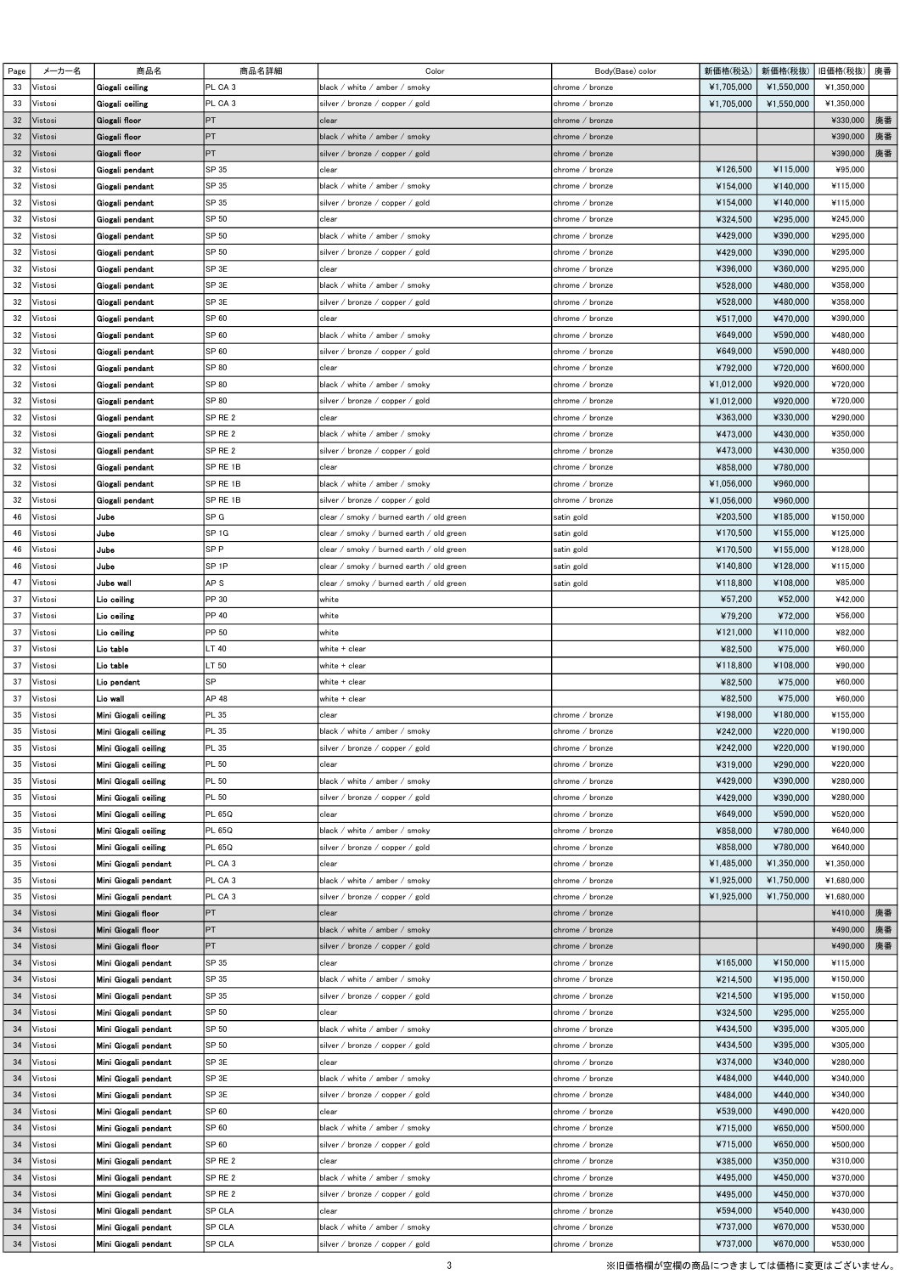| Page | メーカー名   | 商品名                  | 商品名詳細            | Color                                    | Body(Base) color | 新価格(税込)    | 新価格(税抜)    | 旧価格(税抜)    | 廃番 |
|------|---------|----------------------|------------------|------------------------------------------|------------------|------------|------------|------------|----|
| 33   | Vistosi | Giogali coiling      | PL CA 3          | black / white / amber / smoky            | chrome / bronze  |            | ¥1,550,000 | ¥1,350,000 |    |
|      |         |                      |                  |                                          |                  | ¥1,705,000 |            |            |    |
| 33   | Vistosi | Giogali ceiling      | PL CA 3          | silver / bronze / copper / gold          | chrome / bronze  | ¥1,705,000 | ¥1,550,000 | ¥1,350,000 |    |
| 32   | Vistosi | Giogali floor        | PT               | clear                                    | chrome / bronze  |            |            | ¥330,000   | 廃番 |
| 32   | Vistosi | Giogali floor        | PT               | black / white / amber / smoky            | chrome / bronze  |            |            | ¥390,000   | 廃番 |
| 32   | Vistosi | Giogali floor        | PT               | silver / bronze / copper / gold          | chrome / bronze  |            |            | ¥390,000   | 廃番 |
| 32   | Vistosi | Giogali pendant      | SP 35            | clear                                    | chrome / bronze  | ¥126,500   | ¥115,000   | ¥95,000    |    |
| 32   | Vistosi | Giogali pendant      | SP 35            | black / white / amber / smoky            | chrome / bronze  | ¥154,000   | ¥140,000   | ¥115,000   |    |
| 32   | Vistosi | Giogali pendant      | SP 35            | silver / bronze / copper / gold          | chrome / bronze  | ¥154,000   | ¥140,000   | ¥115,000   |    |
| 32   | Vistosi | Giogali pendant      | SP 50            | clear                                    | chrome / bronze  | ¥324.500   | ¥295,000   | ¥245,000   |    |
| 32   | Vistosi | Giogali pendant      | SP 50            | black / white / amber / smoky            | chrome / bronze  | ¥429,000   | ¥390,000   | ¥295,000   |    |
| 32   | Vistosi | Giogali pendant      | SP 50            | silver / bronze / copper / gold          | chrome / bronze  | ¥429,000   | ¥390,000   | ¥295,000   |    |
|      |         |                      |                  |                                          |                  |            |            |            |    |
| 32   | Vistosi | Giogali pendant      | SP 3E            | clear                                    | chrome / bronze  | ¥396,000   | ¥360,000   | ¥295,000   |    |
| 32   | Vistosi | Giogali pendant      | SP 3E            | black / white / amber / smoky            | chrome / bronze  | ¥528,000   | ¥480,000   | ¥358,000   |    |
| 32   | Vistosi | Giogali pendant      | SP <sub>3E</sub> | silver / bronze / copper / gold          | chrome / bronze  | ¥528,000   | ¥480,000   | ¥358,000   |    |
| 32   | Vistosi | Giogali pendant      | SP 60            | clear                                    | chrome / bronze  | ¥517,000   | ¥470,000   | ¥390,000   |    |
| 32   | Vistosi | Giogali pendant      | SP 60            | black / white / amber / smoky            | chrome / bronze  | ¥649,000   | ¥590,000   | ¥480,000   |    |
| 32   | Vistosi | Giogali pendant      | SP 60            | silver / bronze / copper / gold          | chrome / bronze  | ¥649,000   | ¥590,000   | ¥480,000   |    |
| 32   | Vistosi | Giogali pendant      | SP 80            | clear                                    | chrome / bronze  | ¥792,000   | ¥720,000   | ¥600,000   |    |
| 32   | Vistosi | Giogali pendant      | SP 80            | black / white / amber / smoky            | chrome / bronze  | ¥1,012,000 | ¥920,000   | ¥720,000   |    |
| 32   | Vistosi | Giogali pendant      | SP 80            | silver / bronze / copper / gold          | chrome / bronze  | ¥1,012,000 | ¥920,000   | ¥720,000   |    |
| 32   | Vistosi | Giogali pendant      | SP RE 2          | clear                                    | chrome / bronze  | ¥363,000   | ¥330,000   | ¥290,000   |    |
| 32   | Vistosi | Giogali pendant      | SP RE 2          | black / white / amber / smoky            | chrome / bronze  | ¥473,000   | ¥430,000   | ¥350,000   |    |
| 32   | Vistosi | Giogali pendant      | SP RE 2          | silver / bronze / copper / gold          | chrome / bronze  | ¥473,000   | ¥430,000   | ¥350,000   |    |
| 32   | Vistosi | Giogali pendant      | SP RE 1B         | clear                                    | chrome / bronze  | ¥858,000   | ¥780,000   |            |    |
| 32   | Vistosi | Giogali pendant      | SP RE 1B         | black / white / amber / smoky            | chrome / bronze  | ¥1,056,000 | ¥960,000   |            |    |
| 32   | Vistosi | Giogali pendant      | SP RE 1B         | silver / bronze / copper / gold          | chrome / bronze  | ¥1,056,000 | ¥960,000   |            |    |
| 46   | Vistosi | Jube                 | SP G             | clear / smoky / burned earth / old green | satin gold       | ¥203,500   | ¥185,000   | ¥150,000   |    |
| 46   | Vistosi | Jube                 | SP <sub>1G</sub> | clear / smoky / burned earth / old green | satin gold       | ¥170,500   | ¥155,000   | ¥125,000   |    |
|      |         |                      |                  |                                          |                  |            |            |            |    |
| 46   | Vistosi | Jube                 | SP P             | clear / smoky / burned earth / old green | satin gold       | ¥170,500   | ¥155,000   | ¥128,000   |    |
| 46   | Vistosi | Jubo                 | SP 1P            | clear / smoky / burned earth / old green | satin gold       | ¥140,800   | ¥128,000   | ¥115,000   |    |
| 47   | Vistosi | Jube wall            | AP S             | clear / smoky / burned earth / old green | satin gold       | ¥118,800   | ¥108,000   | ¥85,000    |    |
| 37   | Vistosi | Lio ceiling          | PP 30            | white                                    |                  | ¥57,200    | ¥52,000    | ¥42,000    |    |
| 37   | Vistosi | Lio ceiling          | PP 40            | white                                    |                  | ¥79,200    | ¥72,000    | ¥56,000    |    |
| 37   | Vistosi | Lio ceiling          | PP 50            | white                                    |                  | ¥121,000   | ¥110,000   | ¥82,000    |    |
| 37   | Vistosi | Lio table            | LT 40            | white + clear                            |                  | ¥82,500    | ¥75,000    | ¥60,000    |    |
| 37   | Vistosi | Lio table            | LT 50            | white + clear                            |                  | ¥118,800   | ¥108,000   | ¥90,000    |    |
| 37   | Vistosi | Lio pendant          | SP               | white + clear                            |                  | ¥82,500    | ¥75,000    | ¥60,000    |    |
| 37   | Vistosi | Lio wall             | AP 48            | white + clear                            |                  | ¥82,500    | ¥75,000    | ¥60,000    |    |
| 35   | Vistosi | Mini Giogali ceiling | PL 35            | clear                                    | chrome / bronze  | ¥198,000   | ¥180,000   | ¥155,000   |    |
| 35   | Vistosi | Mini Giogali ceiling | PL 35            | black / white / amber / smoky            | chrome / bronze  | ¥242.000   | ¥220,000   | ¥190,000   |    |
| 35   | Vistosi | Mini Giogali ceiling | PL 35            | silver / bronze / copper / gold          | chrome / bronze  | ¥242,000   | ¥220,000   | ¥190,000   |    |
| 35   | Vistosi | Mini Giogali ceiling | PL 50            | clear                                    | chrome / bronze  | ¥319,000   | ¥290,000   | ¥220,000   |    |
| 35   | Vistosi | Mini Giogali ceiling | PL 50            | black / white / amber / smoky            | chrome / bronze  | ¥429,000   | ¥390,000   | ¥280,000   |    |
| 35   | Vistosi | Mini Giogali ceiling | PL 50            | silver / bronze / copper / gold          | chrome / bronze  | ¥429,000   | ¥390,000   | ¥280,000   |    |
| 35   | Vistosi |                      | PL 65Q           |                                          |                  | ¥649,000   | ¥590,000   | ¥520,000   |    |
|      |         | Mini Giogali ceiling | <b>PL 65Q</b>    | clear                                    | chrome / bronze  |            |            |            |    |
| 35   | Vistosi | Mini Giogali ceiling |                  | black / white / amber / smoky            | chrome / bronze  | ¥858,000   | ¥780,000   | ¥640,000   |    |
| 35   | Vistosi | Mini Giogali ceiling | PL 65Q           | silver / bronze / copper / gold          | chrome / bronze  | ¥858,000   | ¥780,000   | ¥640,000   |    |
| 35   | Vistosi | Mini Giogali pendant | PL CA 3          | clear                                    | chrome / bronze  | ¥1,485,000 | ¥1,350,000 | ¥1,350,000 |    |
| 35   | Vistosi | Mini Giogali pendant | PL CA 3          | black / white / amber / smoky            | chrome / bronze  | ¥1,925,000 | ¥1,750,000 | ¥1,680,000 |    |
| 35   | Vistosi | Mini Giogali pendant | PL CA 3          | silver / bronze / copper / gold          | chrome / bronze  | ¥1,925,000 | ¥1,750,000 | ¥1,680,000 |    |
| 34   | Vistosi | Mini Giogali floor   | PT               | clear                                    | chrome / bronze  |            |            | ¥410,000   | 廃番 |
| 34   | Vistosi | Mini Giogali floor   | PT               | black / white / amber / smoky            | chrome / bronze  |            |            | ¥490,000   | 廃番 |
| 34   | Vistosi | Mini Giogali floor   | PT               | silver / bronze / copper / gold          | chrome / bronze  |            |            | ¥490,000   | 廃番 |
| 34   | Vistosi | Mini Giogali pendant | SP 35            | clear                                    | chrome / bronze  | ¥165,000   | ¥150,000   | ¥115,000   |    |
| 34   | Vistosi | Mini Giogali pendant | SP 35            | black / white / amber / smoky            | chrome / bronze  | ¥214,500   | ¥195,000   | ¥150,000   |    |
| 34   | Vistosi | Mini Giogali pendant | SP 35            | silver / bronze / copper / gold          | chrome / bronze  | ¥214,500   | ¥195,000   | ¥150,000   |    |
| 34   | Vistosi | Mini Giogali pendant | SP 50            | clear                                    | chrome / bronze  | ¥324,500   | ¥295,000   | ¥255,000   |    |
| 34   | Vistosi | Mini Giogali pendant | SP 50            | black / white / amber / smoky            | chrome / bronze  | ¥434,500   | ¥395,000   | ¥305,000   |    |
| 34   | Vistosi | Mini Giogali pendant | SP 50            | silver / bronze / copper / gold          | chrome / bronze  | ¥434,500   | ¥395,000   | ¥305,000   |    |
| 34   | Vistosi | Mini Giogali pendant | SP 3E            | clear                                    | chrome / bronze  | ¥374,000   | ¥340,000   | ¥280,000   |    |
| 34   | Vistosi | Mini Giogali pendant | SP 3E            | black / white / amber / smoky            | chrome / bronze  | ¥484,000   | ¥440,000   | ¥340,000   |    |
| 34   | Vistosi | Mini Giogali pendant | SP 3E            | silver / bronze / copper / gold          | chrome / bronze  | ¥484,000   | ¥440,000   | ¥340,000   |    |
| 34   | Vistosi | Mini Giogali pendant | SP 60            | clear                                    | chrome / bronze  | ¥539,000   | ¥490,000   | ¥420,000   |    |
| 34   | Vistosi | Mini Giogali pendant | SP 60            | black / white / amber / smoky            | chrome / bronze  | ¥715,000   | ¥650,000   | ¥500,000   |    |
| 34   | Vistosi | Mini Giogali pendant | SP 60            | silver / bronze / copper / gold          | chrome / bronze  | ¥715,000   | ¥650,000   | ¥500,000   |    |
| 34   | Vistosi | Mini Giogali pendant | SP RE 2          | clear                                    | chrome / bronze  | ¥385,000   | ¥350,000   | ¥310,000   |    |
| 34   | Vistosi | Mini Giogali pendant | SP RE 2          | black / white / amber / smoky            | chrome / bronze  | ¥495,000   | ¥450,000   | ¥370,000   |    |
| 34   | Vistosi | Mini Giogali pendant | SP RE 2          | silver / bronze / copper / gold          | chrome / bronze  | ¥495,000   | ¥450,000   | ¥370,000   |    |
| 34   | Vistosi | Mini Giogali pendant | SP CLA           | clear                                    | chrome / bronze  | ¥594,000   | ¥540,000   | ¥430,000   |    |
|      | Vistosi |                      | SP CLA           |                                          |                  |            |            | ¥530,000   |    |
| 34   |         | Mini Giogali pendant |                  | black / white / amber / smoky            | chrome / bronze  | ¥737,000   | ¥670,000   |            |    |
| 34   | Vistosi | Mini Giogali pendant | SP CLA           | silver / bronze / copper / gold          | chrome / bronze  | ¥737,000   | ¥670,000   | ¥530,000   |    |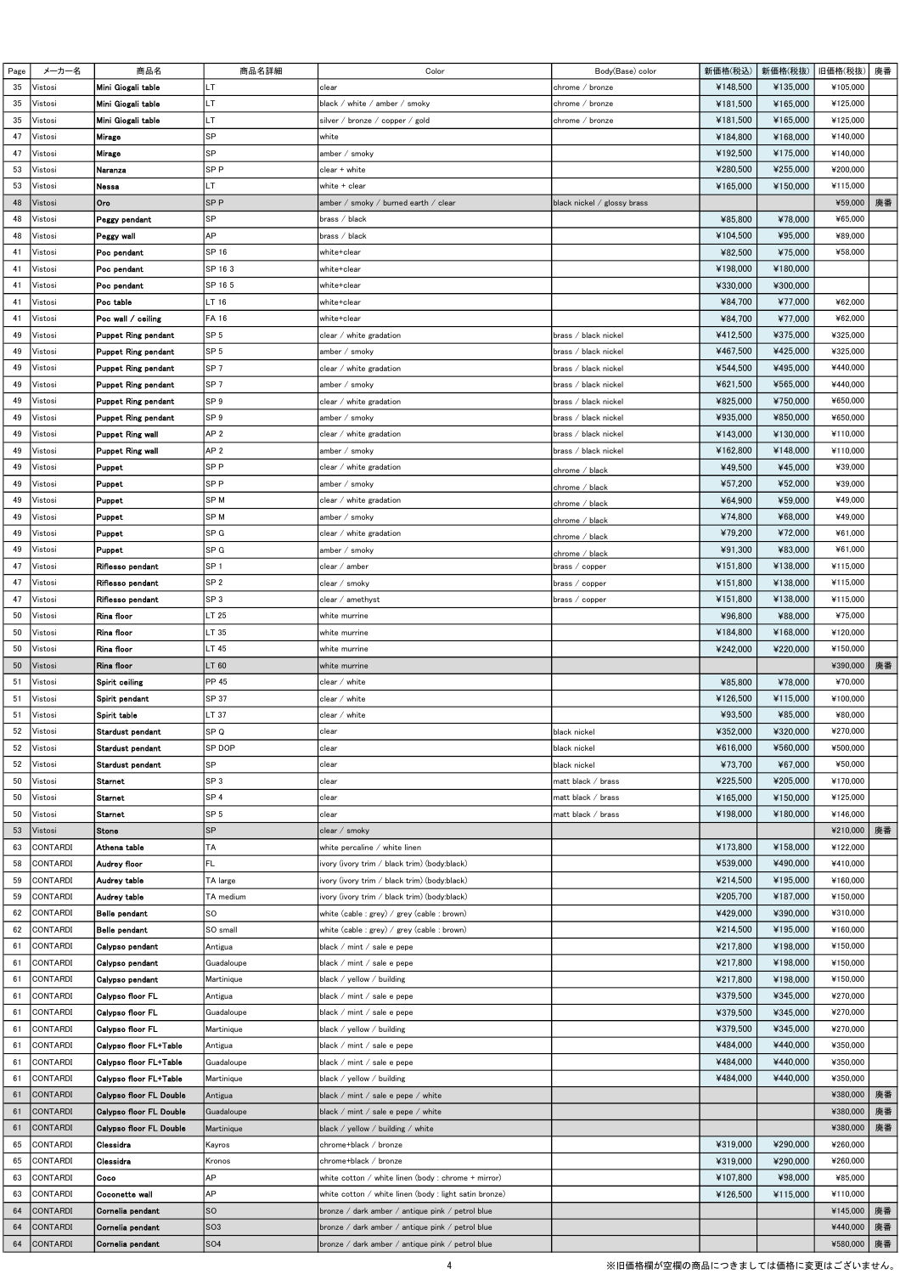| Page | メーカー名    | 商品名                            | 商品名詳細           | Color                                                  | Body(Base) color            | 新価格(税込)  | 新価格(税抜)  | 旧価格(税抜)  | 廃番 |
|------|----------|--------------------------------|-----------------|--------------------------------------------------------|-----------------------------|----------|----------|----------|----|
| 35   | Vistosi  | Mini Giogali table             | LT.             | clear                                                  | chrome / bronze             | ¥148,500 | ¥135,000 | ¥105,000 |    |
| 35   | Vistosi  | Mini Giogali table             | LT              | black / white / amber / smoky                          | chrome / bronze             | ¥181,500 | ¥165,000 | ¥125,000 |    |
| 35   | Vistosi  | Mini Giogali table             | ILT.            | silver / bronze / copper / gold                        | chrome / bronze             | ¥181,500 | ¥165,000 | ¥125,000 |    |
| 47   | Vistosi  | Mirage                         | SP              | white                                                  |                             | ¥184,800 | ¥168,000 | ¥140,000 |    |
| 47   | Vistosi  | Mirage                         | SP              | amber / smoky                                          |                             | ¥192,500 | ¥175,000 | ¥140,000 |    |
| 53   | Vistosi  | Naranza                        | SP P            | clear + white                                          |                             | ¥280,500 | ¥255.000 | ¥200,000 |    |
| 53   | Vistosi  | <b>Nessa</b>                   | LT              | white + clear                                          |                             | ¥165,000 | ¥150,000 | ¥115,000 |    |
| 48   | Vistosi  | Oro                            | SP <sub>P</sub> | amber / smoky / burned earth / clear                   | black nickel / glossy brass |          |          | ¥59,000  | 廃番 |
| 48   | Vistosi  | Peggy pendant                  | SP              | brass / black                                          |                             | ¥85,800  | ¥78,000  | ¥65,000  |    |
| 48   | Vistosi  | Peggy wall                     | AP              | brass / black                                          |                             | ¥104,500 | ¥95,000  | ¥89,000  |    |
| 41   | Vistosi  | Poc pendant                    | SP 16           | white+clear                                            |                             | ¥82,500  | ¥75,000  | ¥58,000  |    |
| 41   | Vistosi  | Poc pendant                    | SP 163          | white+clear                                            |                             | ¥198,000 | ¥180,000 |          |    |
| 41   | Vistosi  | Poc pendant                    | SP 16 5         | white+clear                                            |                             | ¥330,000 | ¥300,000 |          |    |
| 41   | Vistosi  | Poc table                      | LT 16           | white+clear                                            |                             | ¥84,700  | ¥77,000  | ¥62,000  |    |
| 41   | Vistosi  | Poc wall / ceiling             | FA 16           | white+clear                                            |                             | ¥84,700  | ¥77,000  | ¥62,000  |    |
| 49   | Vistosi  | <b>Puppet Ring pendant</b>     | SP <sub>5</sub> | clear / white gradation                                | brass / black nickel        | ¥412,500 | ¥375,000 | ¥325,000 |    |
| 49   | Vistosi  | <b>Puppet Ring pendant</b>     | SP 5            | amber / smoky                                          | brass / black nickel        | ¥467,500 | ¥425,000 | ¥325,000 |    |
| 49   | Vistosi  |                                | SP <sub>7</sub> |                                                        |                             | ¥544,500 | ¥495,000 | ¥440,000 |    |
|      |          | <b>Puppet Ring pendant</b>     |                 | clear / white gradation                                | brass / black nickel        |          | ¥565.000 |          |    |
| 49   | Vistosi  | <b>Puppet Ring pendant</b>     | SP <sub>7</sub> | amber / smoky                                          | brass / black nickel        | ¥621,500 |          | ¥440,000 |    |
| 49   | Vistosi  | <b>Puppet Ring pendant</b>     | SP 9            | clear / white gradation                                | brass / black nickel        | ¥825,000 | ¥750,000 | ¥650,000 |    |
| 49   | Vistosi  | <b>Puppet Ring pendant</b>     | SP 9            | amber / smoky                                          | brass / black nickel        | ¥935,000 | ¥850,000 | ¥650,000 |    |
| 49   | Vistosi  | <b>Puppet Ring wall</b>        | AP <sub>2</sub> | clear / white gradation                                | brass / black nickel        | ¥143,000 | ¥130,000 | ¥110,000 |    |
| 49   | Vistosi  | <b>Puppet Ring wall</b>        | AP <sub>2</sub> | amber / smoky                                          | brass / black nickel        | ¥162,800 | ¥148,000 | ¥110,000 |    |
| 49   | Vistosi  | Puppet                         | SP <sub>P</sub> | clear / white gradation                                | chrome / black              | ¥49,500  | ¥45,000  | ¥39,000  |    |
| 49   | Vistosi  | Puppet                         | SP P            | amber / smoky                                          | chrome / black              | ¥57,200  | ¥52,000  | ¥39,000  |    |
| 49   | Vistosi  | Puppet                         | SP <sub>M</sub> | clear / white gradation                                | chrome / black              | ¥64,900  | ¥59,000  | ¥49,000  |    |
| 49   | Vistosi  | Puppet                         | SP <sub>M</sub> | amber / smoky                                          | chrome / black              | ¥74,800  | ¥68,000  | ¥49,000  |    |
| 49   | Vistosi  | <b>Puppet</b>                  | SP G            | clear / white gradation                                | chrome / black              | ¥79,200  | ¥72,000  | ¥61,000  |    |
| 49   | Vistosi  | Puppet                         | SP G            | amber / smoky                                          | chrome / black              | ¥91,300  | ¥83,000  | ¥61,000  |    |
| 47   | Vistosi  | Riflesso pendant               | SP <sub>1</sub> | clear / amber                                          | brass / copper              | ¥151,800 | ¥138,000 | ¥115,000 |    |
| 47   | Vistosi  | <b>Riflesso pendant</b>        | SP <sub>2</sub> | clear / smoky                                          | brass / copper              | ¥151,800 | ¥138,000 | ¥115,000 |    |
| 47   | Vistosi  | Riflesso pendant               | SP <sub>3</sub> | clear / amethyst                                       | brass / copper              | ¥151,800 | ¥138,000 | ¥115,000 |    |
| 50   | Vistosi  | Rina floor                     | LT 25           | white murrine                                          |                             | ¥96,800  | ¥88,000  | ¥75,000  |    |
| 50   | Vistosi  | Rina floor                     | LT 35           | white murrine                                          |                             | ¥184,800 | ¥168,000 | ¥120,000 |    |
| 50   | Vistosi  | Rina floor                     | LT 45           | white murrine                                          |                             | ¥242,000 | ¥220,000 | ¥150,000 |    |
| 50   | Vistosi  | Rina floor                     | LT 60           | white murrine                                          |                             |          |          | ¥390,000 | 廃番 |
| 51   | Vistosi  | Spirit ceiling                 | PP 45           | clear / white                                          |                             | ¥85,800  | ¥78,000  | ¥70,000  |    |
| 51   | Vistosi  | Spirit pendant                 | SP 37           | clear / white                                          |                             | ¥126,500 | ¥115,000 | ¥100,000 |    |
| 51   |          |                                | LT 37           | clear / white                                          |                             | ¥93,500  | ¥85,000  | ¥80,000  |    |
|      |          |                                |                 |                                                        |                             |          |          |          |    |
|      | Vistosi  | Spirit table                   |                 |                                                        |                             |          |          |          |    |
| 52   | Vistosi  | Stardust pondant               | SP Q            | clear                                                  | black nickel                | ¥352,000 | ¥320,000 | ¥270,000 |    |
| 52   | Vistosi  | Stardust pendant               | <b>SP DOP</b>   | clear                                                  | black nickel                | ¥616,000 | ¥560,000 | ¥500.000 |    |
| 52   | Vistosi  | Stardust pendant               | SP              | clear                                                  | black nickel                | ¥73,700  | ¥67,000  | ¥50,000  |    |
| 50   | Vistosi  | Starnet                        | SP <sub>3</sub> | clear                                                  | matt black / brass          | ¥225,500 | ¥205,000 | ¥170,000 |    |
| 50   | Vistosi  | Starnet                        | SP <sub>4</sub> | clear                                                  | matt black / brass          | ¥165,000 | ¥150,000 | ¥125,000 |    |
| 50   | Vistosi  | <b>Starnet</b>                 | SP 5            | clear                                                  | matt black / brass          | ¥198,000 | ¥180,000 | ¥146,000 |    |
| 53   | Vistosi  | <b>Stone</b>                   | <b>SP</b>       | clear / smoky                                          |                             |          |          | ¥210,000 | 廃番 |
| 63   | CONTARDI | Athena table                   | TA              | white percaline / white linen                          |                             | ¥173,800 | ¥158,000 | ¥122,000 |    |
| 58   | CONTARDI | Audrey floor                   | FL              | ivory (ivory trim / black trim) (body:black)           |                             | ¥539,000 | ¥490,000 | ¥410,000 |    |
| 59   | CONTARDI | Audrey table                   | TA large        | ivory (ivory trim / black trim) (body:black)           |                             | ¥214,500 | ¥195,000 | ¥160,000 |    |
| 59   | CONTARDI | Audrey table                   | TA medium       | ivory (ivory trim / black trim) (body:black)           |                             | ¥205,700 | ¥187,000 | ¥150,000 |    |
| 62   | CONTARDI | Belle pendant                  | lso             | white (cable : grey) / grey (cable : brown)            |                             | ¥429,000 | ¥390,000 | ¥310,000 |    |
| 62   | CONTARDI | <b>Belle pendant</b>           | SO small        | white (cable : grey) / grey (cable : brown)            |                             | ¥214,500 | ¥195,000 | ¥160,000 |    |
| 61   | CONTARDI | Calypso pendant                | Antigua         | black / mint / sale e pepe                             |                             | ¥217,800 | ¥198,000 | ¥150,000 |    |
| 61   | CONTARDI | <b>Calypso pendant</b>         | Guadaloupe      | black / mint / sale e pepe                             |                             | ¥217,800 | ¥198,000 | ¥150,000 |    |
| 61   | CONTARDI | Calypso pendant                | Martinique      | black / yellow / building                              |                             | ¥217,800 | ¥198,000 | ¥150,000 |    |
| 61   | CONTARDI | Calypso floor FL               | Antigua         | black / mint / sale e pepe                             |                             | ¥379,500 | ¥345,000 | ¥270,000 |    |
| 61   | CONTARDI | Calypso floor FL               | Guadaloupe      | black / mint / sale e pepe                             |                             | ¥379,500 | ¥345,000 | ¥270,000 |    |
| 61   | CONTARDI | Calypso floor FL               | Martinique      | black / yellow / building                              |                             | ¥379,500 | ¥345,000 | ¥270,000 |    |
| 61   | CONTARDI | Calypso floor FL+Table         | Antigua         | black / mint / sale e pepe                             |                             | ¥484,000 | ¥440,000 | ¥350,000 |    |
| 61   | CONTARDI | Calypso floor FL+Table         | Guadaloupe      | black / mint / sale e pepe                             |                             | ¥484,000 | ¥440,000 | ¥350,000 |    |
| 61   | CONTARDI | Calypso floor FL+Table         | Martinique      | black / yellow / building                              |                             | ¥484,000 | ¥440,000 | ¥350,000 |    |
| 61   | CONTARDI | <b>Calypso floor FL Double</b> | Antigua         | black / mint / sale e pepe / white                     |                             |          |          | ¥380,000 | 廃番 |
| 61   | CONTARDI | <b>Calypso floor FL Double</b> | Guadaloupe      | black / mint / sale e pepe / white                     |                             |          |          | ¥380,000 | 廃番 |
| 61   | CONTARDI | <b>Calypso floor FL Double</b> | Martinique      | black / yellow / building / white                      |                             |          |          | ¥380,000 | 廃番 |
| 65   | CONTARDI | Clessidra                      | Kayros          | chrome+black / bronze                                  |                             | ¥319,000 | ¥290,000 | ¥260,000 |    |
| 65   | CONTARDI | Clessidra                      | Kronos          | chrome+black / bronze                                  |                             | ¥319,000 | ¥290,000 | ¥260,000 |    |
| 63   | CONTARDI | Coco                           | AP              | white cotton / white linen (body : chrome + mirror)    |                             | ¥107,800 | ¥98,000  | ¥85,000  |    |
| 63   | CONTARDI | Coconette wall                 | AP              | white cotton / white linen (body : light satin bronze) |                             | ¥126,500 | ¥115,000 | ¥110,000 |    |
| 64   | CONTARDI | Cornelia pendant               | <b>SO</b>       | bronze / dark amber / antique pink / petrol blue       |                             |          |          | ¥145,000 | 廃番 |
| 64   | CONTARDI | Cornelia pendant               | SO <sub>3</sub> | bronze / dark amber / antique pink / petrol blue       |                             |          |          | ¥440,000 | 廃番 |
| 64   | CONTARDI | Cornelia pendant               | SO <sub>4</sub> | bronze / dark amber / antique pink / petrol blue       |                             |          |          | ¥580,000 | 廃番 |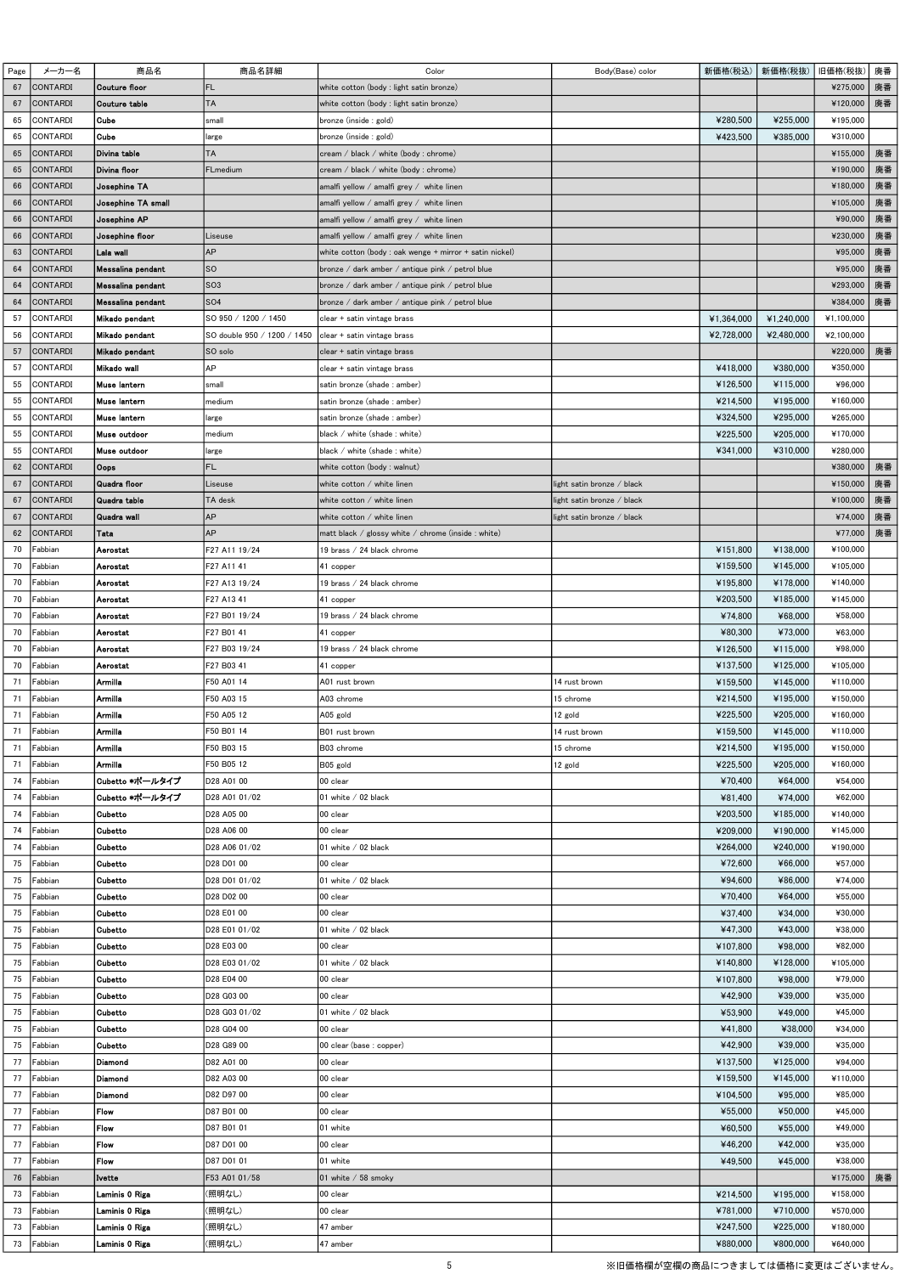| Page     | メーカー名                | 商品名                          | 商品名詳細                       | Color                                                        | Body(Base) color           | 新価格(税込)                  | 新価格(税抜)              | 旧価格(税抜)              | 廃番 |
|----------|----------------------|------------------------------|-----------------------------|--------------------------------------------------------------|----------------------------|--------------------------|----------------------|----------------------|----|
| 67       | <b>CONTARDI</b>      | <b>Couture floor</b>         | FL.                         | white cotton (body : light satin bronze)                     |                            |                          |                      | ¥275,000             | 廃番 |
| 67       | <b>CONTARDI</b>      | Couture table                | TA                          | white cotton (body : light satin bronze)                     |                            |                          |                      | ¥120,000             | 廃番 |
| 65       | CONTARDI             | Cube                         | small                       | bronze (inside : gold)                                       |                            | ¥280,500                 | ¥255,000             | ¥195,000             |    |
| 65       | CONTARDI             | Cube                         | large                       | bronze (inside : gold)                                       |                            | ¥423,500                 | ¥385,000             | ¥310,000             |    |
| 65       | <b>CONTARDI</b>      | Divina table                 | TA                          | cream / black / white (body : chrome)                        |                            |                          |                      | ¥155,000             | 廃番 |
| 65       | CONTARDI             | Divina floor                 | FLmedium                    | cream / black / white (body : chrome)                        |                            |                          |                      | ¥190,000             | 廃番 |
| 66       | CONTARDI             | Josephine TA                 |                             | amalfi yellow / amalfi grey / white linen                    |                            |                          |                      | ¥180,000             | 廃番 |
| 66       | CONTARDI             | Josephine TA small           |                             | amalfi yellow / amalfi grey / white linen                    |                            |                          |                      | ¥105,000             | 廃番 |
| 66       | CONTARDI             | Josephine AP                 |                             | amalfi yellow / amalfi grey / white linen                    |                            |                          |                      | ¥90,000              | 廃番 |
| 66       | CONTARDI             | Josephine floor              | Liseuse                     | amalfi yellow / amalfi grey / white linen                    |                            |                          |                      | ¥230,000             | 廃番 |
| 63       | CONTARDI             | Lala wall                    | AP                          | white cotton (body : oak wenge + mirror + satin nickel)      |                            |                          |                      | ¥95,000              | 廃番 |
| 64       | CONTARDI             | Messalina pendant            | <b>SO</b>                   | bronze / dark amber / antique pink / petrol blue             |                            |                          |                      | ¥95,000              | 廃番 |
| 64       | CONTARDI             | Messalina pendant            | SO <sub>3</sub>             |                                                              |                            |                          |                      | ¥293,000             | 廃番 |
| 64       | CONTARDI             | Messalina pendant            | SO <sub>4</sub>             | bronze / dark amber / antique pink / petrol blue             |                            |                          |                      | ¥384,000             | 廃番 |
| 57       | CONTARDI             | Mikado pendant               | SO 950 / 1200 / 1450        | bronze / dark amber / antique pink / petrol blue             |                            |                          | ¥1,240,000           | ¥1,100,000           |    |
| 56       | CONTARDI             | Mikado pendant               | SO double 950 / 1200 / 1450 | clear + satin vintage brass                                  |                            | ¥1,364,000<br>¥2,728,000 | ¥2,480,000           | ¥2,100,000           |    |
| 57       | CONTARDI             | Mikado pendant               | SO solo                     | clear + satin vintage brass<br>clear + satin vintage brass   |                            |                          |                      | ¥220,000             | 廃番 |
| 57       | CONTARDI             | Mikado wall                  | AP                          |                                                              |                            | ¥418,000                 | ¥380,000             | ¥350,000             |    |
| 55       | CONTARDI             | Muse lantern                 |                             | clear + satin vintage brass                                  |                            | ¥126,500                 | ¥115,000             | ¥96,000              |    |
|          |                      |                              | small                       | satin bronze (shade : amber)                                 |                            | ¥214,500                 | ¥195,000             | ¥160,000             |    |
| 55       | CONTARDI             | Muse lantern                 | medium                      | satin bronze (shade : amber)                                 |                            |                          |                      |                      |    |
| 55<br>55 | CONTARDI<br>CONTARDI | Muse lantern<br>Muse outdoor | large<br>medium             | satin bronze (shade : amber)<br>black / white (shade: white) |                            | ¥324,500<br>¥225,500     | ¥295,000<br>¥205,000 | ¥265.000<br>¥170,000 |    |
|          |                      |                              |                             |                                                              |                            |                          |                      |                      |    |
| 55       | CONTARDI             | Muse outdoor                 | large                       | black / white (shade: white)                                 |                            | ¥341,000                 | ¥310,000             | ¥280,000             |    |
| 62       | CONTARDI             | Oops                         | <b>FL</b>                   | white cotton (body : walnut)                                 | light satin bronze / black |                          |                      | ¥380,000             | 廃番 |
| 67       | CONTARDI             | Quadra floor                 | Liseuse                     | white cotton / white linen                                   |                            |                          |                      | ¥150,000             | 廃番 |
| 67       | <b>CONTARDI</b>      | Quadra table                 | TA desk                     | white cotton / white linen                                   | light satin bronze / black |                          |                      | ¥100,000             | 廃番 |
| 67       | CONTARDI             | Quadra wall                  | AP                          | white cotton / white linen                                   | light satin bronze / black |                          |                      | ¥74,000              | 廃番 |
| 62       | <b>CONTARDI</b>      | Tata                         | AP                          | matt black / glossy white / chrome (inside : white)          |                            |                          |                      | ¥77,000              | 廃番 |
| 70       | Fabbian              | Aerostat                     | F27 A11 19/24               | 19 brass / 24 black chrome                                   |                            | ¥151,800                 | ¥138,000             | ¥100,000             |    |
| 70       | Fabbian              | Aerostat                     | F27 A11 41                  | 41 copper                                                    |                            | ¥159,500                 | ¥145,000             | ¥105,000             |    |
| 70       | Fabbian              | Aerostat                     | F27 A13 19/24               | 19 brass / 24 black chrome                                   |                            | ¥195,800                 | ¥178,000             | ¥140,000             |    |
| 70       | Fabbian              | Aerostat                     | F27 A13 41                  | 41 copper                                                    |                            | ¥203,500                 | ¥185,000             | ¥145,000             |    |
| 70       | Fabbian              | Aerostat                     | F27 B01 19/24               | 19 brass / 24 black chrome                                   |                            | ¥74,800                  | ¥68,000              | ¥58,000              |    |
| 70       | Fabbian              | Aerostat                     | F27 B01 41                  | 41 copper                                                    |                            | ¥80,300                  | ¥73,000              | ¥63,000              |    |
| 70       | Fabbian              | Aerostat                     | F27 B03 19/24               | 19 brass / 24 black chrome                                   |                            | ¥126,500                 | ¥115,000             | ¥98,000              |    |
| 70       | Fabbian              | Aerostat                     | F27 B03 41                  | 41 copper                                                    |                            | ¥137,500                 | ¥125,000             | ¥105,000             |    |
| 71       | Fabbian              | Armilla                      | F50 A01 14                  | A01 rust brown                                               | 14 rust brown              | ¥159,500                 | ¥145,000             | ¥110,000             |    |
| 71       | Fabbian              | Armilla                      | F50 A03 15                  | A03 chrome                                                   | 15 chrome                  | ¥214,500                 | ¥195,000             | ¥150,000             |    |
| 71       | Fabbian              | Armilla                      | F50 A05 12                  | A05 gold                                                     | 12 gold                    | ¥225,500                 | ¥205,000             | ¥160,000             |    |
| 71       | Fabbian              | <b>Armilla</b>               | F50 B01 14                  | B01 rust brown                                               | 14 rust brown              | ¥159,500                 | ¥145,000             | ¥110,000             |    |
| 71       | Fabbian              | Armilla                      | F50 B03 15                  | B03 chrome                                                   | 15 chrome                  | ¥214,500                 | ¥195,000             | ¥150,000             |    |
| 71       | Fabbian              | Armilla                      | F50 B05 12                  | B05 gold                                                     | 12 gold                    | ¥225,500                 | ¥205,000             | ¥160,000             |    |
| 74       | Fabbian              | Cubetto *ポールタイプ              | D28 A01 00                  | 00 clear                                                     |                            | ¥70,400                  | ¥64.000              | ¥54,000              |    |
| 74       | Fabbian              | Cubetto *ポールタイプ              | D28 A01 01/02               | 01 white / 02 black                                          |                            | ¥81,400                  | ¥74,000              | ¥62,000              |    |
| 74       | Fabbian              | Cubetto                      | D28 A05 00                  | 00 clear                                                     |                            | ¥203,500                 | ¥185,000             | ¥140,000             |    |
| 74       | Fabbian              | Cubetto                      | D28 A06 00                  | 00 clear                                                     |                            | ¥209,000                 | ¥190,000             | ¥145,000             |    |
| 74       | Fabbian              | Cubetto                      | D28 A06 01/02               | 01 white / 02 black                                          |                            | ¥264,000                 | ¥240,000             | ¥190,000             |    |
| 75       | Fabbian              | Cubetto                      | D28 D01 00                  | 00 clear                                                     |                            | ¥72,600                  | ¥66,000              | ¥57,000              |    |
| 75       | Fabbian              | Cubetto                      | D28 D01 01/02               | 01 white / 02 black                                          |                            | ¥94,600                  | ¥86,000              | ¥74,000              |    |
| 75       | Fabbian              | Cubetto                      | D28 D02 00                  | 00 clear                                                     |                            | ¥70,400                  | ¥64,000              | ¥55,000              |    |
| 75       | Fabbian              | Cubetto                      | D28 E01 00                  | 00 clear                                                     |                            | ¥37,400                  | ¥34,000              | ¥30,000              |    |
| 75       | Fabbian              | Cubetto                      | D28 E01 01/02               | 01 white / 02 black                                          |                            | ¥47,300                  | ¥43,000              | ¥38,000              |    |
| 75       | Fabbian              | Cubetto                      | D28 E03 00                  | 00 clear                                                     |                            | ¥107,800                 | ¥98,000              | ¥82,000              |    |
| 75       | Fabbian              | Cubetto                      | D28 E03 01/02               | 01 white / 02 black                                          |                            | ¥140,800                 | ¥128,000             | ¥105,000             |    |
| 75       | Fabbian              | Cubetto                      | D28 E04 00                  | 00 clear                                                     |                            | ¥107,800                 | ¥98,000              | ¥79,000              |    |
| 75       | Fabbian              | Cubetto                      | D28 G03 00                  | 00 clear                                                     |                            | ¥42,900                  | ¥39,000              | ¥35,000              |    |
| 75       | Fabbian              | Cubetto                      | D28 G03 01/02               | 01 white / 02 black                                          |                            | ¥53,900                  | ¥49,000              | ¥45,000              |    |
| 75       | Fabbian              | Cubetto                      | D28 G04 00                  | 00 clear                                                     |                            | ¥41,800                  | ¥38,000              | ¥34,000              |    |
| 75       | Fabbian              | Cubetto                      | D28 G89 00                  | 00 clear (base: copper)                                      |                            | ¥42,900                  | ¥39,000              | ¥35,000              |    |
| 77       | Fabbian              | Diamond                      | D82 A01 00                  | 00 clear                                                     |                            | ¥137,500                 | ¥125,000             | ¥94,000              |    |
| 77       | Fabbian              | Diamond                      | D82 A03 00                  | 00 clear                                                     |                            | ¥159,500                 | ¥145,000             | ¥110,000             |    |
| 77       | Fabbian              | Diamond                      | D82 D97 00                  | 00 clear                                                     |                            | ¥104,500                 | ¥95,000              | ¥85,000              |    |
| 77       | Fabbian              | Flow                         | D87 B01 00                  | 00 clear                                                     |                            | ¥55,000                  | ¥50,000              | ¥45,000              |    |
| 77       | Fabbian              | Flow                         | D87 B01 01                  | 01 white                                                     |                            | ¥60,500                  | ¥55,000              | ¥49,000              |    |
| 77       | Fabbian              | Flow                         | D87 D01 00                  | 00 clear                                                     |                            | ¥46,200                  | ¥42,000              | ¥35,000              |    |
| 77       | Fabbian              | Flow                         | D87 D01 01                  | 01 white                                                     |                            | ¥49,500                  | ¥45,000              | ¥38,000              |    |
| 76       | Fabbian              | Ivette                       | F53 A01 01/58               | 01 white / 58 smoky                                          |                            |                          |                      | ¥175,000             | 廃番 |
| 73       | Fabbian              | Laminis 0 Riga               | (照明なし)                      | 00 clear                                                     |                            | ¥214,500                 | ¥195,000             | ¥158,000             |    |
| 73       | Fabbian              | Laminis 0 Riga               | (照明なし)                      | 00 clear                                                     |                            | ¥781,000                 | ¥710,000             | ¥570,000             |    |
| 73       | Fabbian              | Laminis 0 Riga               | (照明なし)                      | 47 amber                                                     |                            | ¥247,500                 | ¥225,000             | ¥180,000             |    |
| 73       | Fabbian              | Laminis 0 Riga               | (照明なし)                      | 47 amber                                                     |                            | ¥880,000                 | ¥800,000             | ¥640,000             |    |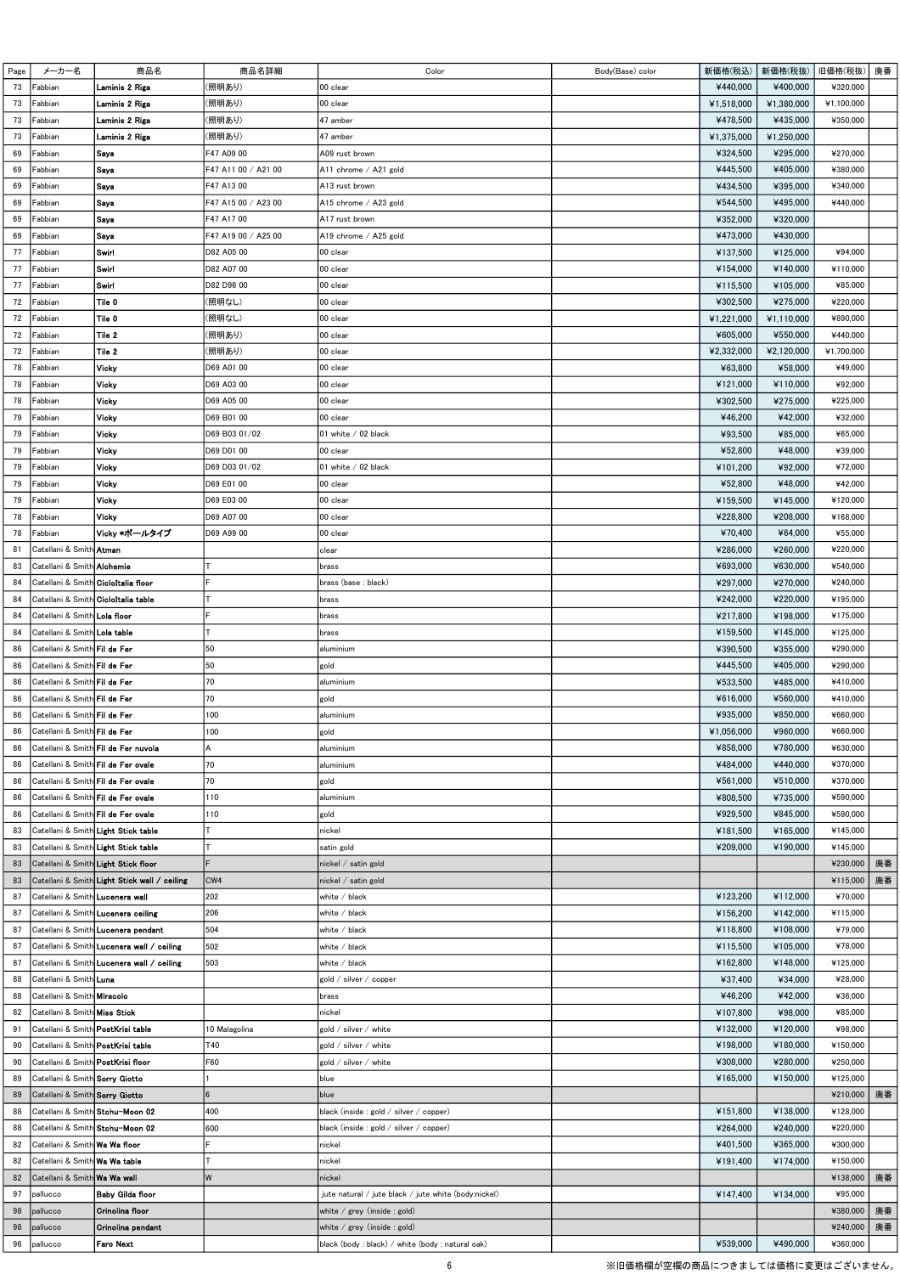| Page | メーカー名                                       | 商品名                                              | 商品名詳細               | Color                                                | Body(Base) color                | 新価格(税込)    | 新価格(税抜)    | 旧価格(税抜)    | 廃番 |
|------|---------------------------------------------|--------------------------------------------------|---------------------|------------------------------------------------------|---------------------------------|------------|------------|------------|----|
| 73   | Fabbian                                     | Laminis 2 Riga                                   | (照明あり)              | 00 clear                                             |                                 | ¥440,000   | ¥400,000   | ¥320,000   |    |
| 73   | Fabbian                                     | Laminis 2 Riga                                   | (照明あり)              | 00 clear                                             |                                 | ¥1,518,000 | ¥1,380,000 | ¥1,100,000 |    |
| 73   | Fabbian                                     | Laminis 2 Riga                                   | (照明あり)              | 47 amber                                             |                                 | ¥478,500   | ¥435,000   | ¥350,000   |    |
| 73   | Fabbian                                     | Laminis 2 Riga                                   | (照明あり)              | 47 amber                                             |                                 | ¥1,375,000 | ¥1,250,000 |            |    |
| 69   | Fabbian                                     | Saya                                             | F47 A09 00          | A09 rust brown                                       |                                 | ¥324,500   | ¥295,000   | ¥270,000   |    |
| 69   | Fabbian                                     | Saya                                             | F47 A11 00 / A21 00 | A11 chrome / A21 gold                                |                                 | ¥445,500   | ¥405,000   | ¥380,000   |    |
| 69   | Fabbian                                     | Saya                                             | F47 A13 00          | A13 rust brown                                       |                                 | ¥434,500   | ¥395,000   | ¥340,000   |    |
| 69   | Fabbian                                     | Saya                                             | F47 A15 00 / A23 00 | A15 chrome / A23 gold                                |                                 | ¥544,500   | ¥495,000   | ¥440,000   |    |
| 69   | Fabbian                                     | Saya                                             | F47 A17 00          | A17 rust brown                                       |                                 | ¥352,000   | ¥320,000   |            |    |
| 69   | Fabbian                                     | Saya                                             | F47 A19 00 / A25 00 | A19 chrome / A25 gold                                |                                 | ¥473,000   | ¥430,000   |            |    |
| 77   | Fabbian                                     | Swirl                                            | D82 A05 00          | 00 clear                                             |                                 | ¥137,500   | ¥125,000   | ¥94,000    |    |
| 77   | Fabbian                                     | Swirl                                            | D82 A07 00          | 00 clear                                             |                                 | ¥154,000   | ¥140,000   | ¥110,000   |    |
| 77   | Fabbian                                     | Swirl                                            | D82 D96 00          | 00 clear                                             |                                 | ¥115,500   | ¥105,000   | ¥85,000    |    |
| 72   | Fabbian                                     | Tile <sub>0</sub>                                | (照明なし)              | 00 clear                                             |                                 | ¥302,500   | ¥275,000   | ¥220,000   |    |
| 72   | Fabbian                                     | Tile 0                                           | (照明なし)              | 00 clear                                             |                                 | ¥1,221,000 | ¥1,110,000 | ¥890,000   |    |
| 72   | Fabbian                                     | Tile 2                                           | (照明あり)              | 00 clear                                             |                                 | ¥605,000   | ¥550,000   | ¥440,000   |    |
| 72   | Fabbian                                     | Tile <sub>2</sub>                                | (照明あり)              | 00 clear                                             |                                 | ¥2,332,000 | ¥2,120,000 | ¥1,700,000 |    |
| 78   | Fabbian                                     | Vicky                                            | D69 A01 00          | 00 clear                                             |                                 | ¥63,800    | ¥58,000    | ¥49,000    |    |
| 78   | Fabbian                                     | Vicky                                            | D69 A03 00          | 00 clear                                             |                                 | ¥121,000   | ¥110,000   | ¥92,000    |    |
| 78   | Fabbian                                     | Vicky                                            | D69 A05 00          | 00 clear                                             |                                 | ¥302,500   | ¥275,000   | ¥225,000   |    |
| 79   | Fabbian                                     | Vicky                                            | D69 B01 00          | 00 clear                                             |                                 | ¥46,200    | ¥42,000    | ¥32,000    |    |
| 79   | Fabbian                                     | Vicky                                            | D69 B03 01/02       | 01 white / 02 black                                  |                                 | ¥93,500    | ¥85,000    | ¥65,000    |    |
| 79   | Fabbian                                     | Vicky                                            | D69 D01 00          | 00 clear                                             |                                 | ¥52,800    | ¥48,000    | ¥39,000    |    |
| 79   | Fabbian                                     | Vicky                                            | D69 D03 01/02       | 01 white / 02 black                                  |                                 | ¥101,200   | ¥92,000    | ¥72,000    |    |
| 79   | Fabbian                                     | Vicky                                            | D69 E01 00          | 00 clear                                             |                                 | ¥52,800    | ¥48,000    | ¥42,000    |    |
| 79   | Fabbian                                     | Vicky                                            | D69 E03 00          | 00 clear                                             |                                 | ¥159,500   | ¥145,000   | ¥120,000   |    |
| 78   | Fabbian                                     | Vicky                                            | D69 A07 00          | 00 clear                                             |                                 | ¥228,800   | ¥208,000   | ¥168,000   |    |
| 78   | Fabbian                                     | Vicky *ポールタイプ                                    | D69 A99 00          | 00 clear                                             |                                 | ¥70,400    | ¥64,000    | ¥55,000    |    |
| 81   | Catellani & Smith  <b>Atman</b>             |                                                  |                     | clear                                                |                                 | ¥286,000   | ¥260,000   | ¥220,000   |    |
| 83   | Catellani & Smith <b> Alchemie</b>          |                                                  |                     | brass                                                |                                 | ¥693,000   | ¥630,000   | ¥540,000   |    |
| 84   | Catellani & Smith <b> CicloItalia floor</b> |                                                  |                     | brass (base : black)                                 |                                 | ¥297,000   | ¥270,000   | ¥240,000   |    |
| 84   |                                             | Catellani & Smith <b>Cicloitalia table</b>       |                     | brass                                                |                                 | ¥242,000   | ¥220,000   | ¥195,000   |    |
| 84   | Catellani & Smith <b>  Lola floor</b>       |                                                  |                     | brass                                                |                                 | ¥217,800   | ¥198,000   | ¥175,000   |    |
| 84   | Catellani & Smith <b>Lola table</b>         |                                                  |                     | brass                                                |                                 | ¥159,500   | ¥145,000   | ¥125,000   |    |
| 86   | Catellani & Smith <b> Fil de Fer</b>        |                                                  | 50                  | aluminium                                            |                                 | ¥390,500   | ¥355,000   | ¥290,000   |    |
| 86   | Catellani & Smith <b> Fil de Fer</b>        |                                                  | 50                  | gold                                                 |                                 | ¥445,500   | ¥405,000   | ¥290,000   |    |
| 86   | Catellani & Smith <b> Fil de Fer</b>        |                                                  | 70                  | aluminium                                            |                                 | ¥533,500   | ¥485,000   | ¥410,000   |    |
| 86   | Catellani & Smith  <b>Fil de Fer</b>        |                                                  | 70                  | gold                                                 |                                 | ¥616,000   | ¥560,000   | ¥410,000   |    |
| 86   | Catellani & Smith Fil de Fer                |                                                  | 100                 | aluminium                                            |                                 | ¥935,000   | ¥850,000   | ¥660,000   |    |
| 86   | Catellani & Smith Fil de Fer                |                                                  | 100                 | gold                                                 |                                 | ¥1,056,000 | ¥960,000   | ¥660,000   |    |
| 86   |                                             | Catellani & Smith Fil de Fer nuvola              | ΙA.                 | aluminium                                            |                                 | ¥858,000   | ¥780,000   | ¥630,000   |    |
| 86   | Catellani & Smith Fil de Fer ovale          |                                                  | 70                  | aluminium                                            |                                 | ¥484,000   | ¥440,000   | ¥370,000   |    |
| 86   | Catellani & Smith <b>Fil de Fer ovale</b>   |                                                  | 70                  | gold                                                 |                                 | ¥561,000   | ¥510,000   | ¥370,000   |    |
| 86   |                                             | Catellani & Smith <b> Fil de Fer ovale</b>       | 110                 | aluminium                                            |                                 | ¥808,500   | ¥735,000   | ¥590,000   |    |
| 86   | Catellani & Smith Fil de Fer ovale          |                                                  | 110                 | gold                                                 |                                 | ¥929,500   | ¥845,000   | ¥590,000   |    |
| 83   |                                             | Catellani & Smith Light Stick table              |                     | nickel                                               |                                 | ¥181,500   | ¥165,000   | ¥145,000   |    |
| 83   |                                             | Catellani & Smith <b> Light Stick table</b>      |                     | satin gold                                           |                                 | ¥209,000   | ¥190,000   | ¥145,000   |    |
| 83   |                                             | Catellani & Smith Light Stick floor              |                     | nickel / satin gold                                  |                                 |            |            | ¥230,000   | 廃番 |
| 83   |                                             | Catellani & Smith Light Stick wall / ceiling     | CW4                 | nickel / satin gold                                  |                                 |            |            | ¥115,000   | 廃番 |
| 87   | Catellani & Smith <b> Lucenera wall</b>     |                                                  | 202                 | white / black                                        |                                 | ¥123,200   | ¥112,000   | ¥70,000    |    |
| 87   |                                             | Catellani & Smith <b>Lucenera ceiling</b>        | 206                 | white / black                                        |                                 | ¥156,200   | ¥142,000   | ¥115,000   |    |
| 87   |                                             | Catellani & Smith <b>Lucenera pendant</b>        | 504                 | white / black                                        |                                 | ¥118,800   | ¥108,000   | ¥79,000    |    |
| 87   |                                             | Catellani & Smith <b>Lucenera wall / ceiling</b> | 502                 | white / black                                        |                                 | ¥115,500   | ¥105,000   | ¥78,000    |    |
| 87   |                                             | Catellani & Smith <b>Lucenera wall / ceiling</b> | 503                 | white / black                                        |                                 | ¥162,800   | ¥148,000   | ¥125,000   |    |
| 88   | Catellani & Smith <b>  Luna</b>             |                                                  |                     | gold / silver / copper                               |                                 | ¥37,400    | ¥34,000    | ¥28,000    |    |
| 88   | Catellani & Smith <b> Miracolo</b>          |                                                  |                     | brass                                                |                                 | ¥46,200    | ¥42,000    | ¥36,000    |    |
| 82   | Catellani & Smith Miss Stick                |                                                  |                     | nickel                                               |                                 | ¥107,800   | ¥98,000    | ¥85,000    |    |
| 91   | Catellani & Smith PostKrisi table           |                                                  | 10 Malagolina       | gold / silver / white                                |                                 | ¥132,000   | ¥120,000   | ¥98,000    |    |
| 90   | Catellani & Smith PostKrisi table           |                                                  | T40                 | gold / silver / white                                |                                 | ¥198,000   | ¥180,000   | ¥150,000   |    |
| 90   | Catellani & Smith Post <b>Krisi floor</b>   |                                                  | F60                 | gold / silver / white                                |                                 | ¥308,000   | ¥280,000   | ¥250,000   |    |
| 89   | Catellani & Smith Sorry Giotto              |                                                  |                     | blue                                                 |                                 | ¥165,000   | ¥150,000   | ¥125,000   |    |
| 89   | Catellani & Smith Sorry Giotto              |                                                  | 6                   | blue                                                 |                                 |            |            | ¥210,000   | 廃番 |
| 88   |                                             | Catellani & Smith Stchu-Moon 02                  | 400                 | black (inside : gold / silver / copper)              |                                 | ¥151,800   | ¥138,000   | ¥128,000   |    |
| 88   |                                             | Catellani & Smith Stchu-Moon 02                  | 600                 | black (inside : gold / silver / copper)              |                                 | ¥264,000   | ¥240,000   | ¥220,000   |    |
| 82   | Catellani & Smith <b> Wa Wa floor</b>       |                                                  |                     | nickel                                               |                                 | ¥401,500   | ¥365,000   | ¥300,000   |    |
| 82   | Catellani & Smith <b> Wa Wa table</b>       |                                                  |                     | nickel                                               |                                 | ¥191,400   | ¥174,000   | ¥150,000   |    |
| 82   | Catellani & Smith <b>Wa Wa wall</b>         |                                                  | W                   | nickel                                               |                                 |            |            | ¥138,000   | 廃番 |
| 97   | pallucco                                    | <b>Baby Gilda floor</b>                          |                     | jute natural / jute black / jute white (body:nickel) |                                 | ¥147,400   | ¥134,000   | ¥95,000    |    |
| 98   | pallucco                                    | Crinolina floor                                  |                     | white / grey (inside : gold)                         |                                 |            |            | ¥380,000   | 廃番 |
| 98   | pallucco                                    | Crinolina pendant                                |                     | white / grey (inside : gold)                         |                                 |            |            | ¥240,000   | 廃番 |
| 96   | pallucco                                    | Faro Next                                        |                     | black (body: black) / white (body: natural oak)      |                                 | ¥539,000   | ¥490,000   | ¥360,000   |    |
|      |                                             |                                                  |                     |                                                      |                                 |            |            |            |    |
|      |                                             |                                                  |                     | 6                                                    | ※旧価格欄が空欄の商品につきましては価格に変更はございません。 |            |            |            |    |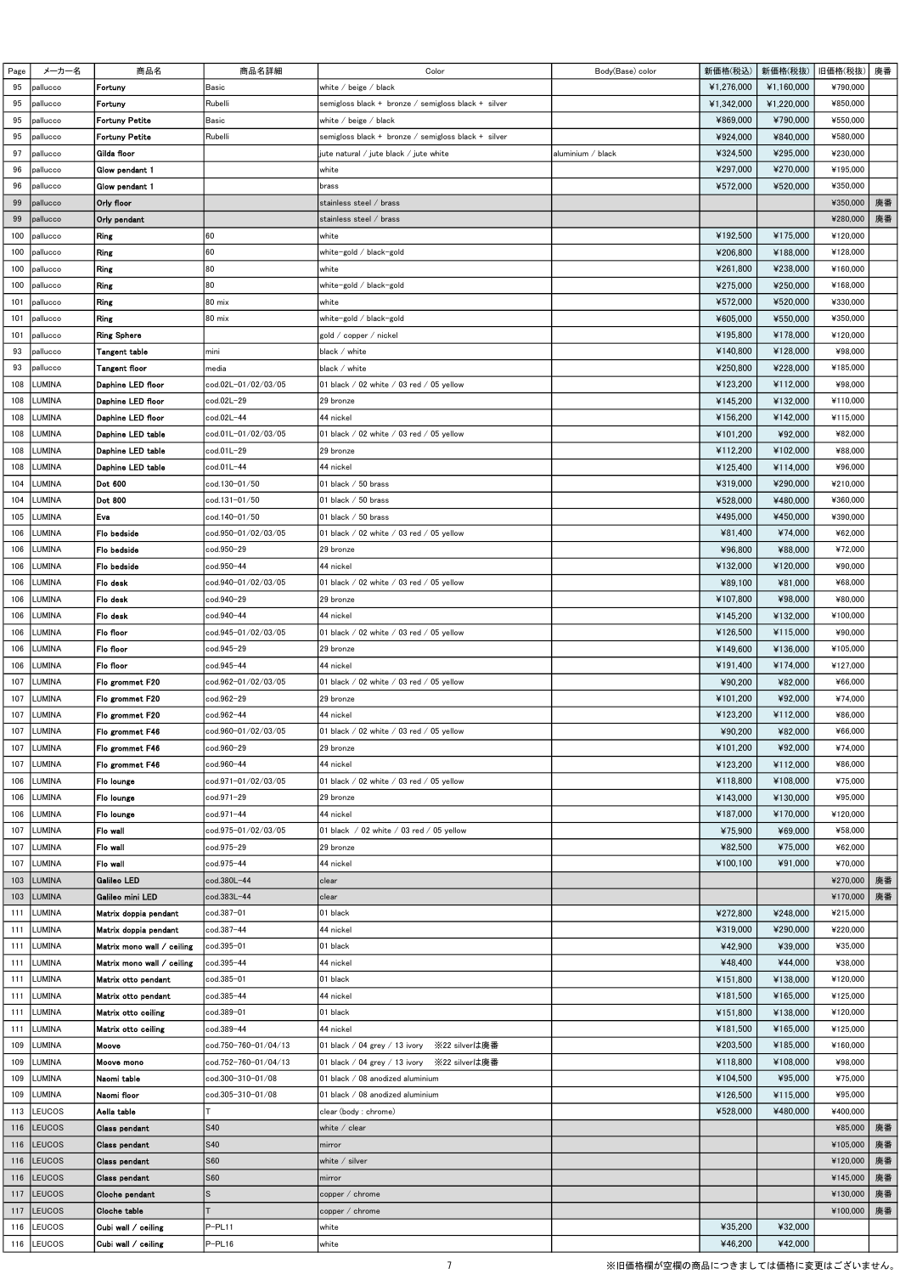| Page       | メーカー名                          | 商品名                                       | 商品名詳細                             | Color                                                 | Body(Base) color  | 新価格(税込)              | 新価格(税抜)             | 旧価格(税抜)              | 廃番 |
|------------|--------------------------------|-------------------------------------------|-----------------------------------|-------------------------------------------------------|-------------------|----------------------|---------------------|----------------------|----|
| 95         | pallucco                       | Fortuny                                   | Basic                             | white / beige / black                                 |                   | ¥1,276,000           | ¥1,160,000          | ¥790,000             |    |
| 95         | pallucco                       | Fortuny                                   | Rubelli                           | semigloss black + bronze / semigloss black + silver   |                   | ¥1,342,000           | ¥1,220,000          | ¥850,000             |    |
| 95         | pallucco                       | <b>Fortuny Petite</b>                     | Basic                             | white / beige / black                                 |                   | ¥869,000             | ¥790,000            | ¥550,000             |    |
| 95         | pallucco                       | <b>Fortuny Petite</b>                     | Rubelli                           | semigloss black + bronze / semigloss black + silver   |                   | ¥924,000             | ¥840,000            | ¥580,000             |    |
| 97         | pallucco                       | Gilda floor                               |                                   | jute natural / jute black / jute white                | aluminium / black | ¥324,500             | ¥295,000            | ¥230,000             |    |
| 96         | pallucco                       | Glow pendant 1                            |                                   | white                                                 |                   | ¥297,000             | ¥270,000            | ¥195,000             |    |
| 96         | pallucco                       | Glow pendant 1                            |                                   | brass                                                 |                   | ¥572,000             | ¥520,000            | ¥350,000             |    |
| 99         | pallucco                       | Orly floor                                |                                   | stainless steel / brass                               |                   |                      |                     | ¥350,000             | 廃番 |
| 99         | pallucco                       | Orly pendant                              |                                   | stainless steel / brass                               |                   |                      |                     | ¥280,000             | 廃番 |
| 100        | pallucco                       | Ring                                      | 60                                | white                                                 |                   | ¥192,500             | ¥175,000            | ¥120,000             |    |
| 100        | pallucco                       | Ring                                      | 60                                | white-gold / black-gold                               |                   | ¥206,800             | ¥188,000            | ¥128,000             |    |
| 100        | pallucco                       | Ring                                      | 80                                | white                                                 |                   | ¥261,800             | ¥238,000            | ¥160,000             |    |
| 100        | pallucco                       | Ring                                      | 80                                | white-gold / black-gold                               |                   | ¥275,000             | ¥250,000            | ¥168,000             |    |
| 101        | pallucco                       | Ring                                      | 80 mix                            | white                                                 |                   | ¥572,000             | ¥520,000            | ¥330,000             |    |
| 101        | pallucco                       | Ring                                      | 80 mix                            | white−gold / black−gold                               |                   | ¥605,000             | ¥550,000            | ¥350,000             |    |
| 101        | pallucco                       | <b>Ring Sphere</b>                        |                                   | gold / copper / nickel                                |                   | ¥195,800             | ¥178,000            | ¥120,000             |    |
| 93         | pallucco                       | Tangent table                             | mini                              | black / white                                         |                   | ¥140,800             | ¥128,000            | ¥98,000              |    |
| 93         | pallucco                       | Tangent floor                             | media                             | black / white                                         |                   | ¥250,800             | ¥228,000            | ¥185,000             |    |
| 108        | UMINA.                         | Daphine LED floor                         | cod.02L-01/02/03/05               | 01 black / 02 white / 03 red / 05 yellow              |                   | ¥123,200             | ¥112,000            | ¥98,000              |    |
| 108        | <b>LUMINA</b>                  | Daphine LED floor                         | cod.02L-29                        | 29 bronze                                             |                   | ¥145,200             | ¥132,000            | ¥110,000             |    |
| 108<br>108 | <b>LUMINA</b><br><b>LUMINA</b> | Daphine LED floor                         | cod.02L-44                        | 44 nickel                                             |                   | ¥156,200<br>¥101,200 | ¥142,000<br>¥92,000 | ¥115,000<br>¥82,000  |    |
| 108        | LUMINA                         | Daphine LED table<br>Daphine LED table    | cod.01L-01/02/03/05<br>cod.01L-29 | 01 black / 02 white / 03 red / 05 yellow<br>29 bronze |                   |                      | ¥102.000            | ¥88,000              |    |
| 108        | _UMINA                         | Daphine LED table                         | cod.01L-44                        | 44 nickel                                             |                   | ¥112,200<br>¥125,400 | ¥114,000            | ¥96,000              |    |
| 104        | UMINA                          | Dot 600                                   | cod.130-01/50                     | 01 black / 50 brass                                   |                   | ¥319,000             | ¥290,000            | ¥210,000             |    |
| 104        | _UMINA                         | Dot 800                                   | cod.131-01/50                     | 01 black / 50 brass                                   |                   | ¥528,000             | ¥480,000            | ¥360,000             |    |
| 105        | <b>LUMINA</b>                  | Eva                                       | cod.140-01/50                     | 01 black / 50 brass                                   |                   | ¥495,000             | ¥450,000            | ¥390,000             |    |
| 106        | UMINA                          | Flo bedside                               | cod.950-01/02/03/05               | 01 black $/$ 02 white $/$ 03 red $/$ 05 yellow        |                   | ¥81,400              | ¥74,000             | ¥62,000              |    |
| 106        | _UMINA                         | Flo bedside                               | cod.950-29                        | 29 bronze                                             |                   | ¥96,800              | ¥88,000             | ¥72,000              |    |
| 106        | <b>LUMINA</b>                  | Flo bedside                               | cod.950-44                        | 44 nickel                                             |                   | ¥132,000             | ¥120,000            | ¥90,000              |    |
| 106        | <b>LUMINA</b>                  | Flo desk                                  | cod.940-01/02/03/05               | 01 black / 02 white / 03 red / 05 yellow              |                   | ¥89,100              | ¥81,000             | ¥68,000              |    |
| 106        | <b>LUMINA</b>                  | Flo desk                                  | cod.940-29                        | 29 bronze                                             |                   | ¥107,800             | ¥98,000             | ¥80,000              |    |
| 106        | _UMINA                         | Flo desk                                  | cod.940-44                        | 44 nickel                                             |                   | ¥145,200             | ¥132,000            | ¥100,000             |    |
| 106        | LUMINA                         | Flo floor                                 | cod.945-01/02/03/05               | 01 black / 02 white / 03 red / 05 yellow              |                   | ¥126,500             | ¥115,000            | ¥90,000              |    |
| 106        | _UMINA                         | Flo floor                                 | cod.945-29                        | 29 bronze                                             |                   | ¥149,600             | ¥136,000            | ¥105,000             |    |
| 106        | <b>LUMINA</b>                  | Flo floor                                 | cod.945-44                        | 44 nickel                                             |                   | ¥191,400             | ¥174,000            | ¥127,000             |    |
| 107        | <b>LUMINA</b>                  | Flo grommet F20                           | cod.962-01/02/03/05               | 01 black / 02 white / 03 red / 05 yellow              |                   | ¥90,200              | ¥82,000             | ¥66,000              |    |
| 107        | <b>LUMINA</b>                  | Flo grommet F20                           | cod.962-29                        | 29 bronze                                             |                   | ¥101,200             | ¥92,000             | ¥74,000              |    |
| 107        | UMINA                          | Flo grommet F20                           | cod.962-44                        | 44 nickel                                             |                   | ¥123,200             | ¥112,000            | ¥86,000              |    |
| 107        | LUMINA                         | Flo grommet F46                           | cod.960-01/02/03/05               | 01 black / 02 white / 03 red / 05 yellow              |                   | ¥90,200              | ¥82,000             | ¥66,000              |    |
| 107        | LUMINA                         | Flo grommet F46                           | cod.960-29                        | 29 bronze                                             |                   | ¥101,200             | ¥92,000             | ¥74,000              |    |
| 107        | LUMINA                         | Flo grommet F46                           | cod.960-44                        | 44 nickel                                             |                   | ¥123,200             | ¥112,000            | ¥86,000              |    |
| 106        | LUMINA                         | Flo lounge                                | cod.971-01/02/03/05               | 01 black / 02 white / 03 red / 05 yellow              |                   | ¥118,800             | ¥108,000            | ¥75,000              |    |
| 106        | <b>LUMINA</b>                  | Flo lounge                                | cod.971-29                        | 29 bronze                                             |                   | ¥143,000             | ¥130,000            | ¥95,000              |    |
| 106        | <b>LUMINA</b>                  | Flo lounge                                | cod.971-44                        | 44 nickel                                             |                   | ¥187,000             | ¥170.000            | ¥120,000             |    |
| 107        | LUMINA                         | Flo wall                                  | cod.975-01/02/03/05               | 01 black / 02 white / 03 red / 05 yellow              |                   | ¥75,900              | ¥69,000             | ¥58,000              |    |
| 107        | LUMINA                         | Flo wall                                  | cod.975-29                        | 29 bronze                                             |                   | ¥82,500              | ¥75,000             | ¥62,000              |    |
| 107        | LUMINA                         | Flo wall                                  | cod.975-44                        | 44 nickel                                             |                   | ¥100,100             | ¥91.000             | ¥70,000              |    |
| 103<br>103 | LUMINA                         | Galileo LED                               | cod.380L-44                       | clear                                                 |                   |                      |                     | ¥270,000             | 廃番 |
| 111        | <b>LUMINA</b><br>LUMINA        | Galileo mini LED<br>Matrix doppia pendant | cod.383L-44<br>cod.387-01         | clear<br>01 black                                     |                   | ¥272,800             | ¥248,000            | ¥170,000<br>¥215,000 | 廃番 |
| 111        | LUMINA                         | Matrix doppia pendant                     | cod.387-44                        | 44 nickel                                             |                   | ¥319,000             | ¥290,000            | ¥220,000             |    |
| 111        | LUMINA                         | Matrix mono wall / ceiling                | cod.395-01                        | 01 black                                              |                   | ¥42,900              | ¥39,000             | ¥35,000              |    |
| 111        | LUMINA                         | Matrix mono wall / ceiling                | cod.395-44                        | 44 nickel                                             |                   | ¥48,400              | ¥44,000             | ¥38,000              |    |
| 111        | <b>LUMINA</b>                  | Matrix otto pendant                       | cod.385-01                        | 01 black                                              |                   | ¥151,800             | ¥138,000            | ¥120,000             |    |
| 111        | <b>LUMINA</b>                  | Matrix otto pendant                       | cod.385-44                        | 44 nickel                                             |                   | ¥181,500             | ¥165,000            | ¥125,000             |    |
| 111        | LUMINA                         | Matrix otto ceiling                       | cod.389-01                        | 01 black                                              |                   | ¥151,800             | ¥138,000            | ¥120,000             |    |
| 111        | LUMINA                         | <b>Matrix otto ceiling</b>                | cod.389-44                        | 44 nickel                                             |                   | ¥181,500             | ¥165,000            | ¥125,000             |    |
| 109        | LUMINA                         | Moove                                     | cod.750-760-01/04/13              | 01 black / 04 grey / 13 ivory<br>※22 silverは廃番        |                   | ¥203,500             | ¥185,000            | ¥160,000             |    |
| 109        | LUMINA                         | Moove mono                                | cod.752-760-01/04/13              | 01 black / 04 grey / 13 ivory<br>※22 silverは廃番        |                   | ¥118,800             | ¥108,000            | ¥98,000              |    |
| 109        | LUMINA                         | Naomi table                               | cod.300-310-01/08                 | 01 black / 08 anodized aluminium                      |                   | ¥104,500             | ¥95,000             | ¥75,000              |    |
| 109        | LUMINA                         | Naomi floor                               | cod.305-310-01/08                 | 01 black / 08 anodized aluminium                      |                   | ¥126,500             | ¥115,000            | ¥95,000              |    |
| 113        | LEUCOS                         | Aella table                               |                                   | clear (body : chrome)                                 |                   | ¥528,000             | ¥480,000            | ¥400,000             |    |
| 116        | LEUCOS                         | <b>Class pendant</b>                      | S40                               | white / clear                                         |                   |                      |                     | ¥85,000              | 廃番 |
| 116        | LEUCOS                         | <b>Class pendant</b>                      | S40                               | mirror                                                |                   |                      |                     | ¥105,000             | 廃番 |
| 116        | LEUCOS                         | <b>Class pendant</b>                      | S60                               | white / silver                                        |                   |                      |                     | ¥120,000             | 廃番 |
| 116        | LEUCOS                         | <b>Class pendant</b>                      | S60                               | mirror                                                |                   |                      |                     | ¥145,000             | 廃番 |
| 117        | LEUCOS                         | <b>Cloche pendant</b>                     | ls                                | copper / chrome                                       |                   |                      |                     | ¥130,000             | 廃番 |
| 117        | LEUCOS                         | Cloche table                              |                                   | copper / chrome                                       |                   |                      |                     | ¥100,000             | 廃番 |
| 116        | LEUCOS                         | Cubi wall / ceiling                       | P-PL11                            | white                                                 |                   | ¥35,200              | ¥32,000             |                      |    |
| 116        | LEUCOS                         | Cubi wall / coiling                       | P-PL16                            | white                                                 |                   | ¥46,200              | ¥42,000             |                      |    |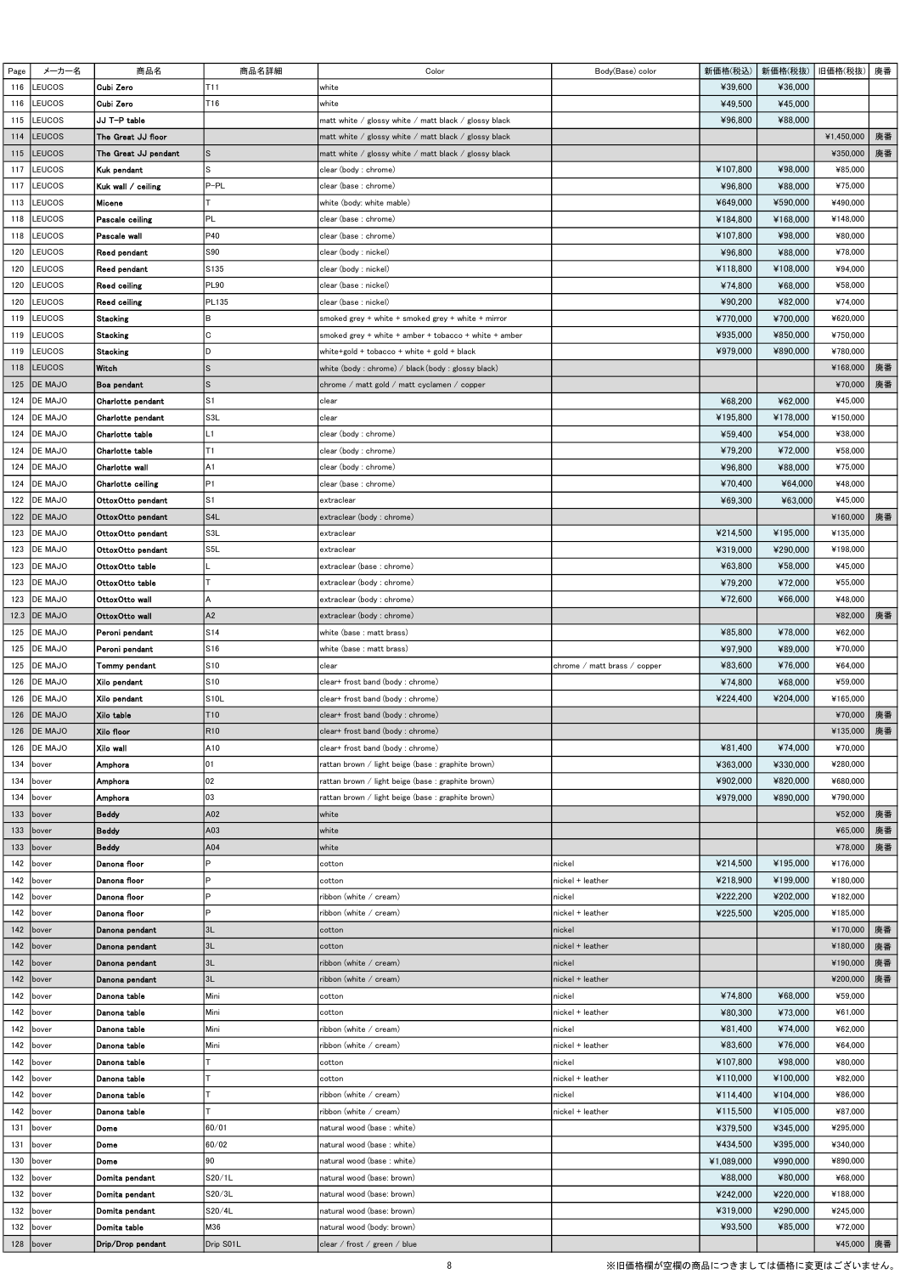| LEUCOS<br>116<br>Cubi Zero<br>T11<br>white<br>¥39,600<br>¥36,000<br>LEUCOS<br>Cubi Zero<br>T16<br>white<br>¥49,500<br>¥45,000<br>116<br>LEUCOS<br>JJ T-P table<br>¥96,800<br>¥88,000<br>115<br>matt white / glossy white / matt black / glossy black<br>¥1,450,000<br>廃番<br>114<br>LEUCOS<br>The Great JJ floor<br>matt white / glossy white / matt black / glossy black<br>廃番<br>LEUCOS<br>The Great JJ pendant<br>¥350,000<br>115<br>matt white / glossy white / matt black / glossy black<br>lS<br>LEUCOS<br>ls<br>¥107,800<br>¥98,000<br>¥85,000<br>117<br>Kuk pendant<br>clear (body : chrome)<br>P-PL<br>¥96,800<br>¥88,000<br>LEUCOS<br>Kuk wall / ceiling<br>¥75,000<br>117<br>clear (base : chrome)<br>113<br>LEUCOS<br>Micone<br>white (body: white mable)<br>¥649,000<br>¥590,000<br>¥490,000<br>LEUCOS<br>PL<br>¥148,000<br>118<br>Pascale ceiling<br>clear (base : chrome)<br>¥184,800<br>¥168,000<br><b>EUCOS</b><br>P40<br>¥80,000<br>118<br>Pascale wall<br>clear (base : chrome)<br>¥107,800<br>¥98,000<br>¥78,000<br>120<br><b>EUCOS</b><br>S90<br>clear (body : nickel)<br>¥96,800<br>¥88,000<br>Reed pendant<br>LEUCOS<br>S135<br>¥118,800<br>¥108,000<br>¥94,000<br>120<br>Reed pendant<br>clear (body : nickel)<br>LEUCOS<br><b>PL90</b><br>¥74,800<br>¥68,000<br>¥58,000<br>120<br><b>Reed ceiling</b><br>clear (base : nickel)<br>¥90,200<br>¥82,000<br>PL135<br>¥74,000<br>LEUCOS<br><b>Reed ceiling</b><br>clear (base : nickel)<br>120<br>LEUCOS<br>lв<br>119<br><b>Stacking</b><br>¥770,000<br>¥700,000<br>¥620,000<br>smoked grey + white + smoked grey + white + mirror<br><b>EUCOS</b><br>¥750,000<br>119<br><b>Stacking</b><br>Iс<br>smoked grey + white + amber + tobacco + white + amber<br>¥935,000<br>¥850,000<br>Iр<br><b>EUCOS</b><br>¥979,000<br>¥780,000<br>119<br><b>Stacking</b><br>white+gold + tobacco + white + gold + black<br>¥890,000<br>廃番<br>LEUCOS<br>Witch<br>¥168,000<br>118<br>ls<br>white (body : chrome) / black (body : glossy black)<br>廃番<br>ls<br>125<br>DE MAJO<br>¥70,000<br>Boa pendant<br>chrome / matt gold / matt cyclamen / copper<br>¥62,000<br>DE MAJO<br>ls1<br>¥68,200<br>¥45,000<br>124<br>Charlotte pendant<br>clear<br>S3L<br>¥195,800<br>¥178,000<br>¥150,000<br>DE MAJO<br>Charlotte pendant<br>124<br>clear<br>L1<br>¥59,400<br>¥54,000<br>¥38,000<br>124<br>DE MAJO<br>Charlotte table<br>clear (body : chrome)<br>DE MAJO<br>Charlotte table<br>IT1<br>¥58,000<br>124<br>clear (body : chrome)<br>¥79,200<br>¥72,000<br>DE MAJO<br>Charlotte wall<br>¥75,000<br>124<br>A1<br>clear (body : chrome)<br>¥96,800<br>¥88,000<br>lP1<br>DE MAJO<br>¥48,000<br>Charlotte ceiling<br>clear (base : chrome)<br>¥70,400<br>¥64,000<br>124<br>ls1<br>122<br>DE MAJO<br>OttoxOtto pendant<br>¥69,300<br>¥63,000<br>¥45,000<br>extraclear<br>廃番<br>DE MAJO<br>S <sub>4</sub> L<br>¥160,000<br>122<br>OttoxOtto pendant<br>extraclear (body : chrome)<br>S3L<br>¥214,500<br>¥195,000<br>¥135,000<br>123<br>DE MAJO<br>OttoxOtto pendant<br>extraclear<br>S <sub>5L</sub><br>¥319,000<br>123<br>DE MAJO<br>OttoxOtto pendant<br>¥290,000<br>¥198,000<br>extraclear<br>OttoxOtto table<br>¥63,800<br>¥58,000<br>123<br>DE MAJO<br>extraclear (base : chrome)<br>¥45,000<br>DE MAJO<br>¥55,000<br>123<br>OttoxOtto table<br>¥79,200<br>¥72,000<br>extraclear (body : chrome)<br>DE MAJO<br>123<br>OttoxOtto wall<br>¥72,600<br>¥48,000<br>IА<br>extraclear (body : chrome)<br>¥66,000<br>廃番<br>A <sub>2</sub><br>12.3<br>DE MAJO<br>OttoxOtto wall<br>extraclear (body : chrome)<br>¥82,000<br>DE MAJO<br>S14<br>¥62,000<br>125<br>Peroni pendant<br>white (base : matt brass)<br>¥85,800<br>¥78,000<br>DE MAJO<br>S16<br>¥97,900<br>¥70,000<br>125<br>¥89,000<br>Peroni pendant<br>white (base : matt brass)<br>¥83,600<br>S10<br>¥76,000<br>DE MAJO<br>Tommy pendant<br>chrome / matt brass / copper<br>¥64,000<br>125<br>clear<br>DE MAJO<br>S10<br>¥74,800<br>¥68,000<br>¥59,000<br>126<br>Xilo pendant<br>clear+ frost band (body : chrome)<br>¥224,400<br>DE MAJO<br>S <sub>10</sub> L<br>¥204,000<br>¥165,000<br>126<br>Xilo pendant<br>clear+ frost band (body : chrome)<br>廃番<br>126<br>DE MAJO<br>Xilo table<br>T <sub>10</sub><br>clear+ frost band (body : chrome)<br>¥70,000<br>廃番<br><b>DE MAJO</b><br>Xilo floor<br>R10<br>¥135,000<br>126<br>clear+ frost band (body : chrome)<br>DE MAJO<br>A10<br>¥74,000<br>¥70,000<br>126<br>Xilo wall<br>clear+ frost band (body : chrome)<br>¥81,400<br>lo1<br>¥363,000<br>¥330,000<br>¥280,000<br>134<br>bover<br>Amphora<br>rattan brown / light beige (base : graphite brown)<br>02<br>¥902,000<br>¥820,000<br>¥680,000<br>134<br>Amphora<br>rattan brown / light beige (base : graphite brown)<br>bover<br>03<br>¥979,000<br>¥890,000<br>134<br><b>Amphora</b><br>rattan brown / light beige (base : graphite brown)<br>¥790,000<br>bover<br>廃番<br>133<br>A02<br>¥52,000<br><b>Beddy</b><br>white<br>bover<br>A03<br>廃番<br>¥65,000<br>133<br>Beddy<br>white<br>bover<br>廃番<br>A04<br><b>Beddy</b><br>white<br>¥78,000<br>133<br>bover<br>lP.<br>¥195,000<br>¥176,000<br>142<br>bover<br>Danona floor<br>cotton<br>nickel<br>¥214,500<br>lp<br>nickel + leather<br>¥218,900<br>¥199,000<br>¥180,000<br>142<br>Danona floor<br>bover<br>cotton<br>lP<br>¥222,200<br>¥202,000<br>¥182,000<br>142<br>Danona floor<br>ribbon (white ∕ cream)<br>nickel<br>bover<br>lР<br>Danona floor<br>nickel + leather<br>¥225,500<br>¥205,000<br>¥185,000<br>142<br>bover<br>ribbon (white / cream)<br>廃番<br>Danona pendant<br>3L<br>¥170,000<br>142<br>nickel<br>bover<br>cotton<br>廃番<br>3L<br>¥180,000<br>Danona pendant<br>142<br>bover<br>cotton<br>nickel + leather<br>廃番<br>3L<br>¥190,000<br>142<br>bover<br>Danona pendant<br>ribbon (white / cream)<br>nickel<br>廃番<br>3L<br>ribbon (white / cream)<br>¥200,000<br>142<br>bover<br>Danona pendant<br>nickel + leather<br>Mini<br>¥74,800<br>¥68,000<br>¥59,000<br>142<br>Danona table<br>nickel<br>bover<br>cotton<br>Mini<br>¥61,000<br>142<br>Danona table<br>¥80,300<br>¥73,000<br>bover<br>cotton<br>nickel + leather<br>Mini<br>¥81,400<br>¥74,000<br>¥62,000<br>142<br>Danona table<br>ribbon (white ∕ cream)<br>nickel<br>bover<br>¥83,600<br>¥76,000<br>Mini<br>¥64,000<br>142<br>Danona table<br>ribbon (white / cream)<br>nickel + leather<br>bover<br>¥107,800<br>¥98,000<br>¥80,000<br>142<br>Danona table<br>nickel<br>bover<br>cotton<br>¥110,000<br>¥100,000<br>¥82,000<br>142<br>Danona table<br>nickel + leather<br>bover<br>cotton<br>¥114,400<br>¥86,000<br>142<br>Danona table<br>ribbon (white / cream)<br>nickel<br>¥104,000<br>bover<br>¥115,500<br>¥87,000<br>142<br>Danona table<br>lΤ<br>ribbon (white ∕ cream)<br>nickel + leather<br>¥105,000<br>bover<br>¥379,500<br>¥345,000<br>¥295,000<br>Dome<br>60/01<br>natural wood (base : white)<br>131<br>bover<br>60/02<br>¥340,000<br>131<br>bover<br>Dome<br>natural wood (base : white)<br>¥434,500<br>¥395,000<br>90<br>natural wood (base : white)<br>¥1,089,000<br>¥990,000<br>¥890,000<br>130<br>bover<br>Dome<br>¥88,000<br>¥80,000<br>¥68,000<br>Domita pendant<br>S20/1L<br>natural wood (base: brown)<br>132<br>bover<br>S20/3L<br>¥242,000<br>¥220,000<br>¥188,000<br>132<br>Domita pendant<br>natural wood (base: brown)<br>bover<br>¥319,000<br>¥290,000<br>Domita pendant<br>S20/4L<br>natural wood (base: brown)<br>¥245,000<br>132<br>bover<br>M36<br>Domita table<br>natural wood (body: brown)<br>¥93,500<br>¥85,000<br>¥72,000<br>132<br>bover<br>廃番<br>Drip/Drop pendant<br>Drip S01L<br>¥45,000<br>128<br>bover<br>clear / frost / green / blue | Page | メーカー名 | 商品名 | 商品名詳細 | Color | Body(Base) color | 新価格(税込) | 新価格(税抜) | 旧価格(税抜) | 廃番 |
|-----------------------------------------------------------------------------------------------------------------------------------------------------------------------------------------------------------------------------------------------------------------------------------------------------------------------------------------------------------------------------------------------------------------------------------------------------------------------------------------------------------------------------------------------------------------------------------------------------------------------------------------------------------------------------------------------------------------------------------------------------------------------------------------------------------------------------------------------------------------------------------------------------------------------------------------------------------------------------------------------------------------------------------------------------------------------------------------------------------------------------------------------------------------------------------------------------------------------------------------------------------------------------------------------------------------------------------------------------------------------------------------------------------------------------------------------------------------------------------------------------------------------------------------------------------------------------------------------------------------------------------------------------------------------------------------------------------------------------------------------------------------------------------------------------------------------------------------------------------------------------------------------------------------------------------------------------------------------------------------------------------------------------------------------------------------------------------------------------------------------------------------------------------------------------------------------------------------------------------------------------------------------------------------------------------------------------------------------------------------------------------------------------------------------------------------------------------------------------------------------------------------------------------------------------------------------------------------------------------------------------------------------------------------------------------------------------------------------------------------------------------------------------------------------------------------------------------------------------------------------------------------------------------------------------------------------------------------------------------------------------------------------------------------------------------------------------------------------------------------------------------------------------------------------------------------------------------------------------------------------------------------------------------------------------------------------------------------------------------------------------------------------------------------------------------------------------------------------------------------------------------------------------------------------------------------------------------------------------------------------------------------------------------------------------------------------------------------------------------------------------------------------------------------------------------------------------------------------------------------------------------------------------------------------------------------------------------------------------------------------------------------------------------------------------------------------------------------------------------------------------------------------------------------------------------------------------------------------------------------------------------------------------------------------------------------------------------------------------------------------------------------------------------------------------------------------------------------------------------------------------------------------------------------------------------------------------------------------------------------------------------------------------------------------------------------------------------------------------------------------------------------------------------------------------------------------------------------------------------------------------------------------------------------------------------------------------------------------------------------------------------------------------------------------------------------------------------------------------------------------------------------------------------------------------------------------------------------------------------------------------------------------------------------------------------------------------------------------------------------------------------------------------------------------------------------------------------------------------------------------------------------------------------------------------------------------------------------------------------------------------------------------------------------------------------------------------------------------------------------------------------------------------------------------------------------------------------------------------------------------------------------------------------------------------------------------------------------------------------------------------------------------------------------------------------------------------------------------------------------------------------------------------------------------------------------------------------------------------------------------------------------------------------------------------------------------------------------------------------------------------------------------------------------------------------------------------------------------------------------------------------------------------------------------------------------------------------------------------------------------------------------------------------------------------------------------------------------------------------------------------------------------------------------------------------------------------------------------------------------------------------------------------------------------------------------------------------------------------------------------------------------------------------------------------------------------------------------------------------------------------------------------------------------------------------------------------------------------------------------------------------------------------------------------------------------------------------------------------------------------------------------------------------------------------------------------------------------------------------------------------------------------------------------------------------------------------------------------------------------|------|-------|-----|-------|-------|------------------|---------|---------|---------|----|
|                                                                                                                                                                                                                                                                                                                                                                                                                                                                                                                                                                                                                                                                                                                                                                                                                                                                                                                                                                                                                                                                                                                                                                                                                                                                                                                                                                                                                                                                                                                                                                                                                                                                                                                                                                                                                                                                                                                                                                                                                                                                                                                                                                                                                                                                                                                                                                                                                                                                                                                                                                                                                                                                                                                                                                                                                                                                                                                                                                                                                                                                                                                                                                                                                                                                                                                                                                                                                                                                                                                                                                                                                                                                                                                                                                                                                                                                                                                                                                                                                                                                                                                                                                                                                                                                                                                                                                                                                                                                                                                                                                                                                                                                                                                                                                                                                                                                                                                                                                                                                                                                                                                                                                                                                                                                                                                                                                                                                                                                                                                                                                                                                                                                                                                                                                                                                                                                                                                                                                                                                                                                                                                                                                                                                                                                                                                                                                                                                                                                                                                                                                                                                                                                                                                                                                                                                                                                                                                                                                                                                                                                                                                                                                                                                                                                                                                                                                                                                                                                                                                                                                                                                 |      |       |     |       |       |                  |         |         |         |    |
|                                                                                                                                                                                                                                                                                                                                                                                                                                                                                                                                                                                                                                                                                                                                                                                                                                                                                                                                                                                                                                                                                                                                                                                                                                                                                                                                                                                                                                                                                                                                                                                                                                                                                                                                                                                                                                                                                                                                                                                                                                                                                                                                                                                                                                                                                                                                                                                                                                                                                                                                                                                                                                                                                                                                                                                                                                                                                                                                                                                                                                                                                                                                                                                                                                                                                                                                                                                                                                                                                                                                                                                                                                                                                                                                                                                                                                                                                                                                                                                                                                                                                                                                                                                                                                                                                                                                                                                                                                                                                                                                                                                                                                                                                                                                                                                                                                                                                                                                                                                                                                                                                                                                                                                                                                                                                                                                                                                                                                                                                                                                                                                                                                                                                                                                                                                                                                                                                                                                                                                                                                                                                                                                                                                                                                                                                                                                                                                                                                                                                                                                                                                                                                                                                                                                                                                                                                                                                                                                                                                                                                                                                                                                                                                                                                                                                                                                                                                                                                                                                                                                                                                                                 |      |       |     |       |       |                  |         |         |         |    |
|                                                                                                                                                                                                                                                                                                                                                                                                                                                                                                                                                                                                                                                                                                                                                                                                                                                                                                                                                                                                                                                                                                                                                                                                                                                                                                                                                                                                                                                                                                                                                                                                                                                                                                                                                                                                                                                                                                                                                                                                                                                                                                                                                                                                                                                                                                                                                                                                                                                                                                                                                                                                                                                                                                                                                                                                                                                                                                                                                                                                                                                                                                                                                                                                                                                                                                                                                                                                                                                                                                                                                                                                                                                                                                                                                                                                                                                                                                                                                                                                                                                                                                                                                                                                                                                                                                                                                                                                                                                                                                                                                                                                                                                                                                                                                                                                                                                                                                                                                                                                                                                                                                                                                                                                                                                                                                                                                                                                                                                                                                                                                                                                                                                                                                                                                                                                                                                                                                                                                                                                                                                                                                                                                                                                                                                                                                                                                                                                                                                                                                                                                                                                                                                                                                                                                                                                                                                                                                                                                                                                                                                                                                                                                                                                                                                                                                                                                                                                                                                                                                                                                                                                                 |      |       |     |       |       |                  |         |         |         |    |
|                                                                                                                                                                                                                                                                                                                                                                                                                                                                                                                                                                                                                                                                                                                                                                                                                                                                                                                                                                                                                                                                                                                                                                                                                                                                                                                                                                                                                                                                                                                                                                                                                                                                                                                                                                                                                                                                                                                                                                                                                                                                                                                                                                                                                                                                                                                                                                                                                                                                                                                                                                                                                                                                                                                                                                                                                                                                                                                                                                                                                                                                                                                                                                                                                                                                                                                                                                                                                                                                                                                                                                                                                                                                                                                                                                                                                                                                                                                                                                                                                                                                                                                                                                                                                                                                                                                                                                                                                                                                                                                                                                                                                                                                                                                                                                                                                                                                                                                                                                                                                                                                                                                                                                                                                                                                                                                                                                                                                                                                                                                                                                                                                                                                                                                                                                                                                                                                                                                                                                                                                                                                                                                                                                                                                                                                                                                                                                                                                                                                                                                                                                                                                                                                                                                                                                                                                                                                                                                                                                                                                                                                                                                                                                                                                                                                                                                                                                                                                                                                                                                                                                                                                 |      |       |     |       |       |                  |         |         |         |    |
|                                                                                                                                                                                                                                                                                                                                                                                                                                                                                                                                                                                                                                                                                                                                                                                                                                                                                                                                                                                                                                                                                                                                                                                                                                                                                                                                                                                                                                                                                                                                                                                                                                                                                                                                                                                                                                                                                                                                                                                                                                                                                                                                                                                                                                                                                                                                                                                                                                                                                                                                                                                                                                                                                                                                                                                                                                                                                                                                                                                                                                                                                                                                                                                                                                                                                                                                                                                                                                                                                                                                                                                                                                                                                                                                                                                                                                                                                                                                                                                                                                                                                                                                                                                                                                                                                                                                                                                                                                                                                                                                                                                                                                                                                                                                                                                                                                                                                                                                                                                                                                                                                                                                                                                                                                                                                                                                                                                                                                                                                                                                                                                                                                                                                                                                                                                                                                                                                                                                                                                                                                                                                                                                                                                                                                                                                                                                                                                                                                                                                                                                                                                                                                                                                                                                                                                                                                                                                                                                                                                                                                                                                                                                                                                                                                                                                                                                                                                                                                                                                                                                                                                                                 |      |       |     |       |       |                  |         |         |         |    |
|                                                                                                                                                                                                                                                                                                                                                                                                                                                                                                                                                                                                                                                                                                                                                                                                                                                                                                                                                                                                                                                                                                                                                                                                                                                                                                                                                                                                                                                                                                                                                                                                                                                                                                                                                                                                                                                                                                                                                                                                                                                                                                                                                                                                                                                                                                                                                                                                                                                                                                                                                                                                                                                                                                                                                                                                                                                                                                                                                                                                                                                                                                                                                                                                                                                                                                                                                                                                                                                                                                                                                                                                                                                                                                                                                                                                                                                                                                                                                                                                                                                                                                                                                                                                                                                                                                                                                                                                                                                                                                                                                                                                                                                                                                                                                                                                                                                                                                                                                                                                                                                                                                                                                                                                                                                                                                                                                                                                                                                                                                                                                                                                                                                                                                                                                                                                                                                                                                                                                                                                                                                                                                                                                                                                                                                                                                                                                                                                                                                                                                                                                                                                                                                                                                                                                                                                                                                                                                                                                                                                                                                                                                                                                                                                                                                                                                                                                                                                                                                                                                                                                                                                                 |      |       |     |       |       |                  |         |         |         |    |
|                                                                                                                                                                                                                                                                                                                                                                                                                                                                                                                                                                                                                                                                                                                                                                                                                                                                                                                                                                                                                                                                                                                                                                                                                                                                                                                                                                                                                                                                                                                                                                                                                                                                                                                                                                                                                                                                                                                                                                                                                                                                                                                                                                                                                                                                                                                                                                                                                                                                                                                                                                                                                                                                                                                                                                                                                                                                                                                                                                                                                                                                                                                                                                                                                                                                                                                                                                                                                                                                                                                                                                                                                                                                                                                                                                                                                                                                                                                                                                                                                                                                                                                                                                                                                                                                                                                                                                                                                                                                                                                                                                                                                                                                                                                                                                                                                                                                                                                                                                                                                                                                                                                                                                                                                                                                                                                                                                                                                                                                                                                                                                                                                                                                                                                                                                                                                                                                                                                                                                                                                                                                                                                                                                                                                                                                                                                                                                                                                                                                                                                                                                                                                                                                                                                                                                                                                                                                                                                                                                                                                                                                                                                                                                                                                                                                                                                                                                                                                                                                                                                                                                                                                 |      |       |     |       |       |                  |         |         |         |    |
|                                                                                                                                                                                                                                                                                                                                                                                                                                                                                                                                                                                                                                                                                                                                                                                                                                                                                                                                                                                                                                                                                                                                                                                                                                                                                                                                                                                                                                                                                                                                                                                                                                                                                                                                                                                                                                                                                                                                                                                                                                                                                                                                                                                                                                                                                                                                                                                                                                                                                                                                                                                                                                                                                                                                                                                                                                                                                                                                                                                                                                                                                                                                                                                                                                                                                                                                                                                                                                                                                                                                                                                                                                                                                                                                                                                                                                                                                                                                                                                                                                                                                                                                                                                                                                                                                                                                                                                                                                                                                                                                                                                                                                                                                                                                                                                                                                                                                                                                                                                                                                                                                                                                                                                                                                                                                                                                                                                                                                                                                                                                                                                                                                                                                                                                                                                                                                                                                                                                                                                                                                                                                                                                                                                                                                                                                                                                                                                                                                                                                                                                                                                                                                                                                                                                                                                                                                                                                                                                                                                                                                                                                                                                                                                                                                                                                                                                                                                                                                                                                                                                                                                                                 |      |       |     |       |       |                  |         |         |         |    |
|                                                                                                                                                                                                                                                                                                                                                                                                                                                                                                                                                                                                                                                                                                                                                                                                                                                                                                                                                                                                                                                                                                                                                                                                                                                                                                                                                                                                                                                                                                                                                                                                                                                                                                                                                                                                                                                                                                                                                                                                                                                                                                                                                                                                                                                                                                                                                                                                                                                                                                                                                                                                                                                                                                                                                                                                                                                                                                                                                                                                                                                                                                                                                                                                                                                                                                                                                                                                                                                                                                                                                                                                                                                                                                                                                                                                                                                                                                                                                                                                                                                                                                                                                                                                                                                                                                                                                                                                                                                                                                                                                                                                                                                                                                                                                                                                                                                                                                                                                                                                                                                                                                                                                                                                                                                                                                                                                                                                                                                                                                                                                                                                                                                                                                                                                                                                                                                                                                                                                                                                                                                                                                                                                                                                                                                                                                                                                                                                                                                                                                                                                                                                                                                                                                                                                                                                                                                                                                                                                                                                                                                                                                                                                                                                                                                                                                                                                                                                                                                                                                                                                                                                                 |      |       |     |       |       |                  |         |         |         |    |
|                                                                                                                                                                                                                                                                                                                                                                                                                                                                                                                                                                                                                                                                                                                                                                                                                                                                                                                                                                                                                                                                                                                                                                                                                                                                                                                                                                                                                                                                                                                                                                                                                                                                                                                                                                                                                                                                                                                                                                                                                                                                                                                                                                                                                                                                                                                                                                                                                                                                                                                                                                                                                                                                                                                                                                                                                                                                                                                                                                                                                                                                                                                                                                                                                                                                                                                                                                                                                                                                                                                                                                                                                                                                                                                                                                                                                                                                                                                                                                                                                                                                                                                                                                                                                                                                                                                                                                                                                                                                                                                                                                                                                                                                                                                                                                                                                                                                                                                                                                                                                                                                                                                                                                                                                                                                                                                                                                                                                                                                                                                                                                                                                                                                                                                                                                                                                                                                                                                                                                                                                                                                                                                                                                                                                                                                                                                                                                                                                                                                                                                                                                                                                                                                                                                                                                                                                                                                                                                                                                                                                                                                                                                                                                                                                                                                                                                                                                                                                                                                                                                                                                                                                 |      |       |     |       |       |                  |         |         |         |    |
|                                                                                                                                                                                                                                                                                                                                                                                                                                                                                                                                                                                                                                                                                                                                                                                                                                                                                                                                                                                                                                                                                                                                                                                                                                                                                                                                                                                                                                                                                                                                                                                                                                                                                                                                                                                                                                                                                                                                                                                                                                                                                                                                                                                                                                                                                                                                                                                                                                                                                                                                                                                                                                                                                                                                                                                                                                                                                                                                                                                                                                                                                                                                                                                                                                                                                                                                                                                                                                                                                                                                                                                                                                                                                                                                                                                                                                                                                                                                                                                                                                                                                                                                                                                                                                                                                                                                                                                                                                                                                                                                                                                                                                                                                                                                                                                                                                                                                                                                                                                                                                                                                                                                                                                                                                                                                                                                                                                                                                                                                                                                                                                                                                                                                                                                                                                                                                                                                                                                                                                                                                                                                                                                                                                                                                                                                                                                                                                                                                                                                                                                                                                                                                                                                                                                                                                                                                                                                                                                                                                                                                                                                                                                                                                                                                                                                                                                                                                                                                                                                                                                                                                                                 |      |       |     |       |       |                  |         |         |         |    |
|                                                                                                                                                                                                                                                                                                                                                                                                                                                                                                                                                                                                                                                                                                                                                                                                                                                                                                                                                                                                                                                                                                                                                                                                                                                                                                                                                                                                                                                                                                                                                                                                                                                                                                                                                                                                                                                                                                                                                                                                                                                                                                                                                                                                                                                                                                                                                                                                                                                                                                                                                                                                                                                                                                                                                                                                                                                                                                                                                                                                                                                                                                                                                                                                                                                                                                                                                                                                                                                                                                                                                                                                                                                                                                                                                                                                                                                                                                                                                                                                                                                                                                                                                                                                                                                                                                                                                                                                                                                                                                                                                                                                                                                                                                                                                                                                                                                                                                                                                                                                                                                                                                                                                                                                                                                                                                                                                                                                                                                                                                                                                                                                                                                                                                                                                                                                                                                                                                                                                                                                                                                                                                                                                                                                                                                                                                                                                                                                                                                                                                                                                                                                                                                                                                                                                                                                                                                                                                                                                                                                                                                                                                                                                                                                                                                                                                                                                                                                                                                                                                                                                                                                                 |      |       |     |       |       |                  |         |         |         |    |
|                                                                                                                                                                                                                                                                                                                                                                                                                                                                                                                                                                                                                                                                                                                                                                                                                                                                                                                                                                                                                                                                                                                                                                                                                                                                                                                                                                                                                                                                                                                                                                                                                                                                                                                                                                                                                                                                                                                                                                                                                                                                                                                                                                                                                                                                                                                                                                                                                                                                                                                                                                                                                                                                                                                                                                                                                                                                                                                                                                                                                                                                                                                                                                                                                                                                                                                                                                                                                                                                                                                                                                                                                                                                                                                                                                                                                                                                                                                                                                                                                                                                                                                                                                                                                                                                                                                                                                                                                                                                                                                                                                                                                                                                                                                                                                                                                                                                                                                                                                                                                                                                                                                                                                                                                                                                                                                                                                                                                                                                                                                                                                                                                                                                                                                                                                                                                                                                                                                                                                                                                                                                                                                                                                                                                                                                                                                                                                                                                                                                                                                                                                                                                                                                                                                                                                                                                                                                                                                                                                                                                                                                                                                                                                                                                                                                                                                                                                                                                                                                                                                                                                                                                 |      |       |     |       |       |                  |         |         |         |    |
|                                                                                                                                                                                                                                                                                                                                                                                                                                                                                                                                                                                                                                                                                                                                                                                                                                                                                                                                                                                                                                                                                                                                                                                                                                                                                                                                                                                                                                                                                                                                                                                                                                                                                                                                                                                                                                                                                                                                                                                                                                                                                                                                                                                                                                                                                                                                                                                                                                                                                                                                                                                                                                                                                                                                                                                                                                                                                                                                                                                                                                                                                                                                                                                                                                                                                                                                                                                                                                                                                                                                                                                                                                                                                                                                                                                                                                                                                                                                                                                                                                                                                                                                                                                                                                                                                                                                                                                                                                                                                                                                                                                                                                                                                                                                                                                                                                                                                                                                                                                                                                                                                                                                                                                                                                                                                                                                                                                                                                                                                                                                                                                                                                                                                                                                                                                                                                                                                                                                                                                                                                                                                                                                                                                                                                                                                                                                                                                                                                                                                                                                                                                                                                                                                                                                                                                                                                                                                                                                                                                                                                                                                                                                                                                                                                                                                                                                                                                                                                                                                                                                                                                                                 |      |       |     |       |       |                  |         |         |         |    |
|                                                                                                                                                                                                                                                                                                                                                                                                                                                                                                                                                                                                                                                                                                                                                                                                                                                                                                                                                                                                                                                                                                                                                                                                                                                                                                                                                                                                                                                                                                                                                                                                                                                                                                                                                                                                                                                                                                                                                                                                                                                                                                                                                                                                                                                                                                                                                                                                                                                                                                                                                                                                                                                                                                                                                                                                                                                                                                                                                                                                                                                                                                                                                                                                                                                                                                                                                                                                                                                                                                                                                                                                                                                                                                                                                                                                                                                                                                                                                                                                                                                                                                                                                                                                                                                                                                                                                                                                                                                                                                                                                                                                                                                                                                                                                                                                                                                                                                                                                                                                                                                                                                                                                                                                                                                                                                                                                                                                                                                                                                                                                                                                                                                                                                                                                                                                                                                                                                                                                                                                                                                                                                                                                                                                                                                                                                                                                                                                                                                                                                                                                                                                                                                                                                                                                                                                                                                                                                                                                                                                                                                                                                                                                                                                                                                                                                                                                                                                                                                                                                                                                                                                                 |      |       |     |       |       |                  |         |         |         |    |
|                                                                                                                                                                                                                                                                                                                                                                                                                                                                                                                                                                                                                                                                                                                                                                                                                                                                                                                                                                                                                                                                                                                                                                                                                                                                                                                                                                                                                                                                                                                                                                                                                                                                                                                                                                                                                                                                                                                                                                                                                                                                                                                                                                                                                                                                                                                                                                                                                                                                                                                                                                                                                                                                                                                                                                                                                                                                                                                                                                                                                                                                                                                                                                                                                                                                                                                                                                                                                                                                                                                                                                                                                                                                                                                                                                                                                                                                                                                                                                                                                                                                                                                                                                                                                                                                                                                                                                                                                                                                                                                                                                                                                                                                                                                                                                                                                                                                                                                                                                                                                                                                                                                                                                                                                                                                                                                                                                                                                                                                                                                                                                                                                                                                                                                                                                                                                                                                                                                                                                                                                                                                                                                                                                                                                                                                                                                                                                                                                                                                                                                                                                                                                                                                                                                                                                                                                                                                                                                                                                                                                                                                                                                                                                                                                                                                                                                                                                                                                                                                                                                                                                                                                 |      |       |     |       |       |                  |         |         |         |    |
|                                                                                                                                                                                                                                                                                                                                                                                                                                                                                                                                                                                                                                                                                                                                                                                                                                                                                                                                                                                                                                                                                                                                                                                                                                                                                                                                                                                                                                                                                                                                                                                                                                                                                                                                                                                                                                                                                                                                                                                                                                                                                                                                                                                                                                                                                                                                                                                                                                                                                                                                                                                                                                                                                                                                                                                                                                                                                                                                                                                                                                                                                                                                                                                                                                                                                                                                                                                                                                                                                                                                                                                                                                                                                                                                                                                                                                                                                                                                                                                                                                                                                                                                                                                                                                                                                                                                                                                                                                                                                                                                                                                                                                                                                                                                                                                                                                                                                                                                                                                                                                                                                                                                                                                                                                                                                                                                                                                                                                                                                                                                                                                                                                                                                                                                                                                                                                                                                                                                                                                                                                                                                                                                                                                                                                                                                                                                                                                                                                                                                                                                                                                                                                                                                                                                                                                                                                                                                                                                                                                                                                                                                                                                                                                                                                                                                                                                                                                                                                                                                                                                                                                                                 |      |       |     |       |       |                  |         |         |         |    |
|                                                                                                                                                                                                                                                                                                                                                                                                                                                                                                                                                                                                                                                                                                                                                                                                                                                                                                                                                                                                                                                                                                                                                                                                                                                                                                                                                                                                                                                                                                                                                                                                                                                                                                                                                                                                                                                                                                                                                                                                                                                                                                                                                                                                                                                                                                                                                                                                                                                                                                                                                                                                                                                                                                                                                                                                                                                                                                                                                                                                                                                                                                                                                                                                                                                                                                                                                                                                                                                                                                                                                                                                                                                                                                                                                                                                                                                                                                                                                                                                                                                                                                                                                                                                                                                                                                                                                                                                                                                                                                                                                                                                                                                                                                                                                                                                                                                                                                                                                                                                                                                                                                                                                                                                                                                                                                                                                                                                                                                                                                                                                                                                                                                                                                                                                                                                                                                                                                                                                                                                                                                                                                                                                                                                                                                                                                                                                                                                                                                                                                                                                                                                                                                                                                                                                                                                                                                                                                                                                                                                                                                                                                                                                                                                                                                                                                                                                                                                                                                                                                                                                                                                                 |      |       |     |       |       |                  |         |         |         |    |
|                                                                                                                                                                                                                                                                                                                                                                                                                                                                                                                                                                                                                                                                                                                                                                                                                                                                                                                                                                                                                                                                                                                                                                                                                                                                                                                                                                                                                                                                                                                                                                                                                                                                                                                                                                                                                                                                                                                                                                                                                                                                                                                                                                                                                                                                                                                                                                                                                                                                                                                                                                                                                                                                                                                                                                                                                                                                                                                                                                                                                                                                                                                                                                                                                                                                                                                                                                                                                                                                                                                                                                                                                                                                                                                                                                                                                                                                                                                                                                                                                                                                                                                                                                                                                                                                                                                                                                                                                                                                                                                                                                                                                                                                                                                                                                                                                                                                                                                                                                                                                                                                                                                                                                                                                                                                                                                                                                                                                                                                                                                                                                                                                                                                                                                                                                                                                                                                                                                                                                                                                                                                                                                                                                                                                                                                                                                                                                                                                                                                                                                                                                                                                                                                                                                                                                                                                                                                                                                                                                                                                                                                                                                                                                                                                                                                                                                                                                                                                                                                                                                                                                                                                 |      |       |     |       |       |                  |         |         |         |    |
|                                                                                                                                                                                                                                                                                                                                                                                                                                                                                                                                                                                                                                                                                                                                                                                                                                                                                                                                                                                                                                                                                                                                                                                                                                                                                                                                                                                                                                                                                                                                                                                                                                                                                                                                                                                                                                                                                                                                                                                                                                                                                                                                                                                                                                                                                                                                                                                                                                                                                                                                                                                                                                                                                                                                                                                                                                                                                                                                                                                                                                                                                                                                                                                                                                                                                                                                                                                                                                                                                                                                                                                                                                                                                                                                                                                                                                                                                                                                                                                                                                                                                                                                                                                                                                                                                                                                                                                                                                                                                                                                                                                                                                                                                                                                                                                                                                                                                                                                                                                                                                                                                                                                                                                                                                                                                                                                                                                                                                                                                                                                                                                                                                                                                                                                                                                                                                                                                                                                                                                                                                                                                                                                                                                                                                                                                                                                                                                                                                                                                                                                                                                                                                                                                                                                                                                                                                                                                                                                                                                                                                                                                                                                                                                                                                                                                                                                                                                                                                                                                                                                                                                                                 |      |       |     |       |       |                  |         |         |         |    |
|                                                                                                                                                                                                                                                                                                                                                                                                                                                                                                                                                                                                                                                                                                                                                                                                                                                                                                                                                                                                                                                                                                                                                                                                                                                                                                                                                                                                                                                                                                                                                                                                                                                                                                                                                                                                                                                                                                                                                                                                                                                                                                                                                                                                                                                                                                                                                                                                                                                                                                                                                                                                                                                                                                                                                                                                                                                                                                                                                                                                                                                                                                                                                                                                                                                                                                                                                                                                                                                                                                                                                                                                                                                                                                                                                                                                                                                                                                                                                                                                                                                                                                                                                                                                                                                                                                                                                                                                                                                                                                                                                                                                                                                                                                                                                                                                                                                                                                                                                                                                                                                                                                                                                                                                                                                                                                                                                                                                                                                                                                                                                                                                                                                                                                                                                                                                                                                                                                                                                                                                                                                                                                                                                                                                                                                                                                                                                                                                                                                                                                                                                                                                                                                                                                                                                                                                                                                                                                                                                                                                                                                                                                                                                                                                                                                                                                                                                                                                                                                                                                                                                                                                                 |      |       |     |       |       |                  |         |         |         |    |
|                                                                                                                                                                                                                                                                                                                                                                                                                                                                                                                                                                                                                                                                                                                                                                                                                                                                                                                                                                                                                                                                                                                                                                                                                                                                                                                                                                                                                                                                                                                                                                                                                                                                                                                                                                                                                                                                                                                                                                                                                                                                                                                                                                                                                                                                                                                                                                                                                                                                                                                                                                                                                                                                                                                                                                                                                                                                                                                                                                                                                                                                                                                                                                                                                                                                                                                                                                                                                                                                                                                                                                                                                                                                                                                                                                                                                                                                                                                                                                                                                                                                                                                                                                                                                                                                                                                                                                                                                                                                                                                                                                                                                                                                                                                                                                                                                                                                                                                                                                                                                                                                                                                                                                                                                                                                                                                                                                                                                                                                                                                                                                                                                                                                                                                                                                                                                                                                                                                                                                                                                                                                                                                                                                                                                                                                                                                                                                                                                                                                                                                                                                                                                                                                                                                                                                                                                                                                                                                                                                                                                                                                                                                                                                                                                                                                                                                                                                                                                                                                                                                                                                                                                 |      |       |     |       |       |                  |         |         |         |    |
|                                                                                                                                                                                                                                                                                                                                                                                                                                                                                                                                                                                                                                                                                                                                                                                                                                                                                                                                                                                                                                                                                                                                                                                                                                                                                                                                                                                                                                                                                                                                                                                                                                                                                                                                                                                                                                                                                                                                                                                                                                                                                                                                                                                                                                                                                                                                                                                                                                                                                                                                                                                                                                                                                                                                                                                                                                                                                                                                                                                                                                                                                                                                                                                                                                                                                                                                                                                                                                                                                                                                                                                                                                                                                                                                                                                                                                                                                                                                                                                                                                                                                                                                                                                                                                                                                                                                                                                                                                                                                                                                                                                                                                                                                                                                                                                                                                                                                                                                                                                                                                                                                                                                                                                                                                                                                                                                                                                                                                                                                                                                                                                                                                                                                                                                                                                                                                                                                                                                                                                                                                                                                                                                                                                                                                                                                                                                                                                                                                                                                                                                                                                                                                                                                                                                                                                                                                                                                                                                                                                                                                                                                                                                                                                                                                                                                                                                                                                                                                                                                                                                                                                                                 |      |       |     |       |       |                  |         |         |         |    |
|                                                                                                                                                                                                                                                                                                                                                                                                                                                                                                                                                                                                                                                                                                                                                                                                                                                                                                                                                                                                                                                                                                                                                                                                                                                                                                                                                                                                                                                                                                                                                                                                                                                                                                                                                                                                                                                                                                                                                                                                                                                                                                                                                                                                                                                                                                                                                                                                                                                                                                                                                                                                                                                                                                                                                                                                                                                                                                                                                                                                                                                                                                                                                                                                                                                                                                                                                                                                                                                                                                                                                                                                                                                                                                                                                                                                                                                                                                                                                                                                                                                                                                                                                                                                                                                                                                                                                                                                                                                                                                                                                                                                                                                                                                                                                                                                                                                                                                                                                                                                                                                                                                                                                                                                                                                                                                                                                                                                                                                                                                                                                                                                                                                                                                                                                                                                                                                                                                                                                                                                                                                                                                                                                                                                                                                                                                                                                                                                                                                                                                                                                                                                                                                                                                                                                                                                                                                                                                                                                                                                                                                                                                                                                                                                                                                                                                                                                                                                                                                                                                                                                                                                                 |      |       |     |       |       |                  |         |         |         |    |
|                                                                                                                                                                                                                                                                                                                                                                                                                                                                                                                                                                                                                                                                                                                                                                                                                                                                                                                                                                                                                                                                                                                                                                                                                                                                                                                                                                                                                                                                                                                                                                                                                                                                                                                                                                                                                                                                                                                                                                                                                                                                                                                                                                                                                                                                                                                                                                                                                                                                                                                                                                                                                                                                                                                                                                                                                                                                                                                                                                                                                                                                                                                                                                                                                                                                                                                                                                                                                                                                                                                                                                                                                                                                                                                                                                                                                                                                                                                                                                                                                                                                                                                                                                                                                                                                                                                                                                                                                                                                                                                                                                                                                                                                                                                                                                                                                                                                                                                                                                                                                                                                                                                                                                                                                                                                                                                                                                                                                                                                                                                                                                                                                                                                                                                                                                                                                                                                                                                                                                                                                                                                                                                                                                                                                                                                                                                                                                                                                                                                                                                                                                                                                                                                                                                                                                                                                                                                                                                                                                                                                                                                                                                                                                                                                                                                                                                                                                                                                                                                                                                                                                                                                 |      |       |     |       |       |                  |         |         |         |    |
|                                                                                                                                                                                                                                                                                                                                                                                                                                                                                                                                                                                                                                                                                                                                                                                                                                                                                                                                                                                                                                                                                                                                                                                                                                                                                                                                                                                                                                                                                                                                                                                                                                                                                                                                                                                                                                                                                                                                                                                                                                                                                                                                                                                                                                                                                                                                                                                                                                                                                                                                                                                                                                                                                                                                                                                                                                                                                                                                                                                                                                                                                                                                                                                                                                                                                                                                                                                                                                                                                                                                                                                                                                                                                                                                                                                                                                                                                                                                                                                                                                                                                                                                                                                                                                                                                                                                                                                                                                                                                                                                                                                                                                                                                                                                                                                                                                                                                                                                                                                                                                                                                                                                                                                                                                                                                                                                                                                                                                                                                                                                                                                                                                                                                                                                                                                                                                                                                                                                                                                                                                                                                                                                                                                                                                                                                                                                                                                                                                                                                                                                                                                                                                                                                                                                                                                                                                                                                                                                                                                                                                                                                                                                                                                                                                                                                                                                                                                                                                                                                                                                                                                                                 |      |       |     |       |       |                  |         |         |         |    |
|                                                                                                                                                                                                                                                                                                                                                                                                                                                                                                                                                                                                                                                                                                                                                                                                                                                                                                                                                                                                                                                                                                                                                                                                                                                                                                                                                                                                                                                                                                                                                                                                                                                                                                                                                                                                                                                                                                                                                                                                                                                                                                                                                                                                                                                                                                                                                                                                                                                                                                                                                                                                                                                                                                                                                                                                                                                                                                                                                                                                                                                                                                                                                                                                                                                                                                                                                                                                                                                                                                                                                                                                                                                                                                                                                                                                                                                                                                                                                                                                                                                                                                                                                                                                                                                                                                                                                                                                                                                                                                                                                                                                                                                                                                                                                                                                                                                                                                                                                                                                                                                                                                                                                                                                                                                                                                                                                                                                                                                                                                                                                                                                                                                                                                                                                                                                                                                                                                                                                                                                                                                                                                                                                                                                                                                                                                                                                                                                                                                                                                                                                                                                                                                                                                                                                                                                                                                                                                                                                                                                                                                                                                                                                                                                                                                                                                                                                                                                                                                                                                                                                                                                                 |      |       |     |       |       |                  |         |         |         |    |
|                                                                                                                                                                                                                                                                                                                                                                                                                                                                                                                                                                                                                                                                                                                                                                                                                                                                                                                                                                                                                                                                                                                                                                                                                                                                                                                                                                                                                                                                                                                                                                                                                                                                                                                                                                                                                                                                                                                                                                                                                                                                                                                                                                                                                                                                                                                                                                                                                                                                                                                                                                                                                                                                                                                                                                                                                                                                                                                                                                                                                                                                                                                                                                                                                                                                                                                                                                                                                                                                                                                                                                                                                                                                                                                                                                                                                                                                                                                                                                                                                                                                                                                                                                                                                                                                                                                                                                                                                                                                                                                                                                                                                                                                                                                                                                                                                                                                                                                                                                                                                                                                                                                                                                                                                                                                                                                                                                                                                                                                                                                                                                                                                                                                                                                                                                                                                                                                                                                                                                                                                                                                                                                                                                                                                                                                                                                                                                                                                                                                                                                                                                                                                                                                                                                                                                                                                                                                                                                                                                                                                                                                                                                                                                                                                                                                                                                                                                                                                                                                                                                                                                                                                 |      |       |     |       |       |                  |         |         |         |    |
|                                                                                                                                                                                                                                                                                                                                                                                                                                                                                                                                                                                                                                                                                                                                                                                                                                                                                                                                                                                                                                                                                                                                                                                                                                                                                                                                                                                                                                                                                                                                                                                                                                                                                                                                                                                                                                                                                                                                                                                                                                                                                                                                                                                                                                                                                                                                                                                                                                                                                                                                                                                                                                                                                                                                                                                                                                                                                                                                                                                                                                                                                                                                                                                                                                                                                                                                                                                                                                                                                                                                                                                                                                                                                                                                                                                                                                                                                                                                                                                                                                                                                                                                                                                                                                                                                                                                                                                                                                                                                                                                                                                                                                                                                                                                                                                                                                                                                                                                                                                                                                                                                                                                                                                                                                                                                                                                                                                                                                                                                                                                                                                                                                                                                                                                                                                                                                                                                                                                                                                                                                                                                                                                                                                                                                                                                                                                                                                                                                                                                                                                                                                                                                                                                                                                                                                                                                                                                                                                                                                                                                                                                                                                                                                                                                                                                                                                                                                                                                                                                                                                                                                                                 |      |       |     |       |       |                  |         |         |         |    |
|                                                                                                                                                                                                                                                                                                                                                                                                                                                                                                                                                                                                                                                                                                                                                                                                                                                                                                                                                                                                                                                                                                                                                                                                                                                                                                                                                                                                                                                                                                                                                                                                                                                                                                                                                                                                                                                                                                                                                                                                                                                                                                                                                                                                                                                                                                                                                                                                                                                                                                                                                                                                                                                                                                                                                                                                                                                                                                                                                                                                                                                                                                                                                                                                                                                                                                                                                                                                                                                                                                                                                                                                                                                                                                                                                                                                                                                                                                                                                                                                                                                                                                                                                                                                                                                                                                                                                                                                                                                                                                                                                                                                                                                                                                                                                                                                                                                                                                                                                                                                                                                                                                                                                                                                                                                                                                                                                                                                                                                                                                                                                                                                                                                                                                                                                                                                                                                                                                                                                                                                                                                                                                                                                                                                                                                                                                                                                                                                                                                                                                                                                                                                                                                                                                                                                                                                                                                                                                                                                                                                                                                                                                                                                                                                                                                                                                                                                                                                                                                                                                                                                                                                                 |      |       |     |       |       |                  |         |         |         |    |
|                                                                                                                                                                                                                                                                                                                                                                                                                                                                                                                                                                                                                                                                                                                                                                                                                                                                                                                                                                                                                                                                                                                                                                                                                                                                                                                                                                                                                                                                                                                                                                                                                                                                                                                                                                                                                                                                                                                                                                                                                                                                                                                                                                                                                                                                                                                                                                                                                                                                                                                                                                                                                                                                                                                                                                                                                                                                                                                                                                                                                                                                                                                                                                                                                                                                                                                                                                                                                                                                                                                                                                                                                                                                                                                                                                                                                                                                                                                                                                                                                                                                                                                                                                                                                                                                                                                                                                                                                                                                                                                                                                                                                                                                                                                                                                                                                                                                                                                                                                                                                                                                                                                                                                                                                                                                                                                                                                                                                                                                                                                                                                                                                                                                                                                                                                                                                                                                                                                                                                                                                                                                                                                                                                                                                                                                                                                                                                                                                                                                                                                                                                                                                                                                                                                                                                                                                                                                                                                                                                                                                                                                                                                                                                                                                                                                                                                                                                                                                                                                                                                                                                                                                 |      |       |     |       |       |                  |         |         |         |    |
|                                                                                                                                                                                                                                                                                                                                                                                                                                                                                                                                                                                                                                                                                                                                                                                                                                                                                                                                                                                                                                                                                                                                                                                                                                                                                                                                                                                                                                                                                                                                                                                                                                                                                                                                                                                                                                                                                                                                                                                                                                                                                                                                                                                                                                                                                                                                                                                                                                                                                                                                                                                                                                                                                                                                                                                                                                                                                                                                                                                                                                                                                                                                                                                                                                                                                                                                                                                                                                                                                                                                                                                                                                                                                                                                                                                                                                                                                                                                                                                                                                                                                                                                                                                                                                                                                                                                                                                                                                                                                                                                                                                                                                                                                                                                                                                                                                                                                                                                                                                                                                                                                                                                                                                                                                                                                                                                                                                                                                                                                                                                                                                                                                                                                                                                                                                                                                                                                                                                                                                                                                                                                                                                                                                                                                                                                                                                                                                                                                                                                                                                                                                                                                                                                                                                                                                                                                                                                                                                                                                                                                                                                                                                                                                                                                                                                                                                                                                                                                                                                                                                                                                                                 |      |       |     |       |       |                  |         |         |         |    |
|                                                                                                                                                                                                                                                                                                                                                                                                                                                                                                                                                                                                                                                                                                                                                                                                                                                                                                                                                                                                                                                                                                                                                                                                                                                                                                                                                                                                                                                                                                                                                                                                                                                                                                                                                                                                                                                                                                                                                                                                                                                                                                                                                                                                                                                                                                                                                                                                                                                                                                                                                                                                                                                                                                                                                                                                                                                                                                                                                                                                                                                                                                                                                                                                                                                                                                                                                                                                                                                                                                                                                                                                                                                                                                                                                                                                                                                                                                                                                                                                                                                                                                                                                                                                                                                                                                                                                                                                                                                                                                                                                                                                                                                                                                                                                                                                                                                                                                                                                                                                                                                                                                                                                                                                                                                                                                                                                                                                                                                                                                                                                                                                                                                                                                                                                                                                                                                                                                                                                                                                                                                                                                                                                                                                                                                                                                                                                                                                                                                                                                                                                                                                                                                                                                                                                                                                                                                                                                                                                                                                                                                                                                                                                                                                                                                                                                                                                                                                                                                                                                                                                                                                                 |      |       |     |       |       |                  |         |         |         |    |
|                                                                                                                                                                                                                                                                                                                                                                                                                                                                                                                                                                                                                                                                                                                                                                                                                                                                                                                                                                                                                                                                                                                                                                                                                                                                                                                                                                                                                                                                                                                                                                                                                                                                                                                                                                                                                                                                                                                                                                                                                                                                                                                                                                                                                                                                                                                                                                                                                                                                                                                                                                                                                                                                                                                                                                                                                                                                                                                                                                                                                                                                                                                                                                                                                                                                                                                                                                                                                                                                                                                                                                                                                                                                                                                                                                                                                                                                                                                                                                                                                                                                                                                                                                                                                                                                                                                                                                                                                                                                                                                                                                                                                                                                                                                                                                                                                                                                                                                                                                                                                                                                                                                                                                                                                                                                                                                                                                                                                                                                                                                                                                                                                                                                                                                                                                                                                                                                                                                                                                                                                                                                                                                                                                                                                                                                                                                                                                                                                                                                                                                                                                                                                                                                                                                                                                                                                                                                                                                                                                                                                                                                                                                                                                                                                                                                                                                                                                                                                                                                                                                                                                                                                 |      |       |     |       |       |                  |         |         |         |    |
|                                                                                                                                                                                                                                                                                                                                                                                                                                                                                                                                                                                                                                                                                                                                                                                                                                                                                                                                                                                                                                                                                                                                                                                                                                                                                                                                                                                                                                                                                                                                                                                                                                                                                                                                                                                                                                                                                                                                                                                                                                                                                                                                                                                                                                                                                                                                                                                                                                                                                                                                                                                                                                                                                                                                                                                                                                                                                                                                                                                                                                                                                                                                                                                                                                                                                                                                                                                                                                                                                                                                                                                                                                                                                                                                                                                                                                                                                                                                                                                                                                                                                                                                                                                                                                                                                                                                                                                                                                                                                                                                                                                                                                                                                                                                                                                                                                                                                                                                                                                                                                                                                                                                                                                                                                                                                                                                                                                                                                                                                                                                                                                                                                                                                                                                                                                                                                                                                                                                                                                                                                                                                                                                                                                                                                                                                                                                                                                                                                                                                                                                                                                                                                                                                                                                                                                                                                                                                                                                                                                                                                                                                                                                                                                                                                                                                                                                                                                                                                                                                                                                                                                                                 |      |       |     |       |       |                  |         |         |         |    |
|                                                                                                                                                                                                                                                                                                                                                                                                                                                                                                                                                                                                                                                                                                                                                                                                                                                                                                                                                                                                                                                                                                                                                                                                                                                                                                                                                                                                                                                                                                                                                                                                                                                                                                                                                                                                                                                                                                                                                                                                                                                                                                                                                                                                                                                                                                                                                                                                                                                                                                                                                                                                                                                                                                                                                                                                                                                                                                                                                                                                                                                                                                                                                                                                                                                                                                                                                                                                                                                                                                                                                                                                                                                                                                                                                                                                                                                                                                                                                                                                                                                                                                                                                                                                                                                                                                                                                                                                                                                                                                                                                                                                                                                                                                                                                                                                                                                                                                                                                                                                                                                                                                                                                                                                                                                                                                                                                                                                                                                                                                                                                                                                                                                                                                                                                                                                                                                                                                                                                                                                                                                                                                                                                                                                                                                                                                                                                                                                                                                                                                                                                                                                                                                                                                                                                                                                                                                                                                                                                                                                                                                                                                                                                                                                                                                                                                                                                                                                                                                                                                                                                                                                                 |      |       |     |       |       |                  |         |         |         |    |
|                                                                                                                                                                                                                                                                                                                                                                                                                                                                                                                                                                                                                                                                                                                                                                                                                                                                                                                                                                                                                                                                                                                                                                                                                                                                                                                                                                                                                                                                                                                                                                                                                                                                                                                                                                                                                                                                                                                                                                                                                                                                                                                                                                                                                                                                                                                                                                                                                                                                                                                                                                                                                                                                                                                                                                                                                                                                                                                                                                                                                                                                                                                                                                                                                                                                                                                                                                                                                                                                                                                                                                                                                                                                                                                                                                                                                                                                                                                                                                                                                                                                                                                                                                                                                                                                                                                                                                                                                                                                                                                                                                                                                                                                                                                                                                                                                                                                                                                                                                                                                                                                                                                                                                                                                                                                                                                                                                                                                                                                                                                                                                                                                                                                                                                                                                                                                                                                                                                                                                                                                                                                                                                                                                                                                                                                                                                                                                                                                                                                                                                                                                                                                                                                                                                                                                                                                                                                                                                                                                                                                                                                                                                                                                                                                                                                                                                                                                                                                                                                                                                                                                                                                 |      |       |     |       |       |                  |         |         |         |    |
|                                                                                                                                                                                                                                                                                                                                                                                                                                                                                                                                                                                                                                                                                                                                                                                                                                                                                                                                                                                                                                                                                                                                                                                                                                                                                                                                                                                                                                                                                                                                                                                                                                                                                                                                                                                                                                                                                                                                                                                                                                                                                                                                                                                                                                                                                                                                                                                                                                                                                                                                                                                                                                                                                                                                                                                                                                                                                                                                                                                                                                                                                                                                                                                                                                                                                                                                                                                                                                                                                                                                                                                                                                                                                                                                                                                                                                                                                                                                                                                                                                                                                                                                                                                                                                                                                                                                                                                                                                                                                                                                                                                                                                                                                                                                                                                                                                                                                                                                                                                                                                                                                                                                                                                                                                                                                                                                                                                                                                                                                                                                                                                                                                                                                                                                                                                                                                                                                                                                                                                                                                                                                                                                                                                                                                                                                                                                                                                                                                                                                                                                                                                                                                                                                                                                                                                                                                                                                                                                                                                                                                                                                                                                                                                                                                                                                                                                                                                                                                                                                                                                                                                                                 |      |       |     |       |       |                  |         |         |         |    |
|                                                                                                                                                                                                                                                                                                                                                                                                                                                                                                                                                                                                                                                                                                                                                                                                                                                                                                                                                                                                                                                                                                                                                                                                                                                                                                                                                                                                                                                                                                                                                                                                                                                                                                                                                                                                                                                                                                                                                                                                                                                                                                                                                                                                                                                                                                                                                                                                                                                                                                                                                                                                                                                                                                                                                                                                                                                                                                                                                                                                                                                                                                                                                                                                                                                                                                                                                                                                                                                                                                                                                                                                                                                                                                                                                                                                                                                                                                                                                                                                                                                                                                                                                                                                                                                                                                                                                                                                                                                                                                                                                                                                                                                                                                                                                                                                                                                                                                                                                                                                                                                                                                                                                                                                                                                                                                                                                                                                                                                                                                                                                                                                                                                                                                                                                                                                                                                                                                                                                                                                                                                                                                                                                                                                                                                                                                                                                                                                                                                                                                                                                                                                                                                                                                                                                                                                                                                                                                                                                                                                                                                                                                                                                                                                                                                                                                                                                                                                                                                                                                                                                                                                                 |      |       |     |       |       |                  |         |         |         |    |
|                                                                                                                                                                                                                                                                                                                                                                                                                                                                                                                                                                                                                                                                                                                                                                                                                                                                                                                                                                                                                                                                                                                                                                                                                                                                                                                                                                                                                                                                                                                                                                                                                                                                                                                                                                                                                                                                                                                                                                                                                                                                                                                                                                                                                                                                                                                                                                                                                                                                                                                                                                                                                                                                                                                                                                                                                                                                                                                                                                                                                                                                                                                                                                                                                                                                                                                                                                                                                                                                                                                                                                                                                                                                                                                                                                                                                                                                                                                                                                                                                                                                                                                                                                                                                                                                                                                                                                                                                                                                                                                                                                                                                                                                                                                                                                                                                                                                                                                                                                                                                                                                                                                                                                                                                                                                                                                                                                                                                                                                                                                                                                                                                                                                                                                                                                                                                                                                                                                                                                                                                                                                                                                                                                                                                                                                                                                                                                                                                                                                                                                                                                                                                                                                                                                                                                                                                                                                                                                                                                                                                                                                                                                                                                                                                                                                                                                                                                                                                                                                                                                                                                                                                 |      |       |     |       |       |                  |         |         |         |    |
|                                                                                                                                                                                                                                                                                                                                                                                                                                                                                                                                                                                                                                                                                                                                                                                                                                                                                                                                                                                                                                                                                                                                                                                                                                                                                                                                                                                                                                                                                                                                                                                                                                                                                                                                                                                                                                                                                                                                                                                                                                                                                                                                                                                                                                                                                                                                                                                                                                                                                                                                                                                                                                                                                                                                                                                                                                                                                                                                                                                                                                                                                                                                                                                                                                                                                                                                                                                                                                                                                                                                                                                                                                                                                                                                                                                                                                                                                                                                                                                                                                                                                                                                                                                                                                                                                                                                                                                                                                                                                                                                                                                                                                                                                                                                                                                                                                                                                                                                                                                                                                                                                                                                                                                                                                                                                                                                                                                                                                                                                                                                                                                                                                                                                                                                                                                                                                                                                                                                                                                                                                                                                                                                                                                                                                                                                                                                                                                                                                                                                                                                                                                                                                                                                                                                                                                                                                                                                                                                                                                                                                                                                                                                                                                                                                                                                                                                                                                                                                                                                                                                                                                                                 |      |       |     |       |       |                  |         |         |         |    |
|                                                                                                                                                                                                                                                                                                                                                                                                                                                                                                                                                                                                                                                                                                                                                                                                                                                                                                                                                                                                                                                                                                                                                                                                                                                                                                                                                                                                                                                                                                                                                                                                                                                                                                                                                                                                                                                                                                                                                                                                                                                                                                                                                                                                                                                                                                                                                                                                                                                                                                                                                                                                                                                                                                                                                                                                                                                                                                                                                                                                                                                                                                                                                                                                                                                                                                                                                                                                                                                                                                                                                                                                                                                                                                                                                                                                                                                                                                                                                                                                                                                                                                                                                                                                                                                                                                                                                                                                                                                                                                                                                                                                                                                                                                                                                                                                                                                                                                                                                                                                                                                                                                                                                                                                                                                                                                                                                                                                                                                                                                                                                                                                                                                                                                                                                                                                                                                                                                                                                                                                                                                                                                                                                                                                                                                                                                                                                                                                                                                                                                                                                                                                                                                                                                                                                                                                                                                                                                                                                                                                                                                                                                                                                                                                                                                                                                                                                                                                                                                                                                                                                                                                                 |      |       |     |       |       |                  |         |         |         |    |
|                                                                                                                                                                                                                                                                                                                                                                                                                                                                                                                                                                                                                                                                                                                                                                                                                                                                                                                                                                                                                                                                                                                                                                                                                                                                                                                                                                                                                                                                                                                                                                                                                                                                                                                                                                                                                                                                                                                                                                                                                                                                                                                                                                                                                                                                                                                                                                                                                                                                                                                                                                                                                                                                                                                                                                                                                                                                                                                                                                                                                                                                                                                                                                                                                                                                                                                                                                                                                                                                                                                                                                                                                                                                                                                                                                                                                                                                                                                                                                                                                                                                                                                                                                                                                                                                                                                                                                                                                                                                                                                                                                                                                                                                                                                                                                                                                                                                                                                                                                                                                                                                                                                                                                                                                                                                                                                                                                                                                                                                                                                                                                                                                                                                                                                                                                                                                                                                                                                                                                                                                                                                                                                                                                                                                                                                                                                                                                                                                                                                                                                                                                                                                                                                                                                                                                                                                                                                                                                                                                                                                                                                                                                                                                                                                                                                                                                                                                                                                                                                                                                                                                                                                 |      |       |     |       |       |                  |         |         |         |    |
|                                                                                                                                                                                                                                                                                                                                                                                                                                                                                                                                                                                                                                                                                                                                                                                                                                                                                                                                                                                                                                                                                                                                                                                                                                                                                                                                                                                                                                                                                                                                                                                                                                                                                                                                                                                                                                                                                                                                                                                                                                                                                                                                                                                                                                                                                                                                                                                                                                                                                                                                                                                                                                                                                                                                                                                                                                                                                                                                                                                                                                                                                                                                                                                                                                                                                                                                                                                                                                                                                                                                                                                                                                                                                                                                                                                                                                                                                                                                                                                                                                                                                                                                                                                                                                                                                                                                                                                                                                                                                                                                                                                                                                                                                                                                                                                                                                                                                                                                                                                                                                                                                                                                                                                                                                                                                                                                                                                                                                                                                                                                                                                                                                                                                                                                                                                                                                                                                                                                                                                                                                                                                                                                                                                                                                                                                                                                                                                                                                                                                                                                                                                                                                                                                                                                                                                                                                                                                                                                                                                                                                                                                                                                                                                                                                                                                                                                                                                                                                                                                                                                                                                                                 |      |       |     |       |       |                  |         |         |         |    |
|                                                                                                                                                                                                                                                                                                                                                                                                                                                                                                                                                                                                                                                                                                                                                                                                                                                                                                                                                                                                                                                                                                                                                                                                                                                                                                                                                                                                                                                                                                                                                                                                                                                                                                                                                                                                                                                                                                                                                                                                                                                                                                                                                                                                                                                                                                                                                                                                                                                                                                                                                                                                                                                                                                                                                                                                                                                                                                                                                                                                                                                                                                                                                                                                                                                                                                                                                                                                                                                                                                                                                                                                                                                                                                                                                                                                                                                                                                                                                                                                                                                                                                                                                                                                                                                                                                                                                                                                                                                                                                                                                                                                                                                                                                                                                                                                                                                                                                                                                                                                                                                                                                                                                                                                                                                                                                                                                                                                                                                                                                                                                                                                                                                                                                                                                                                                                                                                                                                                                                                                                                                                                                                                                                                                                                                                                                                                                                                                                                                                                                                                                                                                                                                                                                                                                                                                                                                                                                                                                                                                                                                                                                                                                                                                                                                                                                                                                                                                                                                                                                                                                                                                                 |      |       |     |       |       |                  |         |         |         |    |
|                                                                                                                                                                                                                                                                                                                                                                                                                                                                                                                                                                                                                                                                                                                                                                                                                                                                                                                                                                                                                                                                                                                                                                                                                                                                                                                                                                                                                                                                                                                                                                                                                                                                                                                                                                                                                                                                                                                                                                                                                                                                                                                                                                                                                                                                                                                                                                                                                                                                                                                                                                                                                                                                                                                                                                                                                                                                                                                                                                                                                                                                                                                                                                                                                                                                                                                                                                                                                                                                                                                                                                                                                                                                                                                                                                                                                                                                                                                                                                                                                                                                                                                                                                                                                                                                                                                                                                                                                                                                                                                                                                                                                                                                                                                                                                                                                                                                                                                                                                                                                                                                                                                                                                                                                                                                                                                                                                                                                                                                                                                                                                                                                                                                                                                                                                                                                                                                                                                                                                                                                                                                                                                                                                                                                                                                                                                                                                                                                                                                                                                                                                                                                                                                                                                                                                                                                                                                                                                                                                                                                                                                                                                                                                                                                                                                                                                                                                                                                                                                                                                                                                                                                 |      |       |     |       |       |                  |         |         |         |    |
|                                                                                                                                                                                                                                                                                                                                                                                                                                                                                                                                                                                                                                                                                                                                                                                                                                                                                                                                                                                                                                                                                                                                                                                                                                                                                                                                                                                                                                                                                                                                                                                                                                                                                                                                                                                                                                                                                                                                                                                                                                                                                                                                                                                                                                                                                                                                                                                                                                                                                                                                                                                                                                                                                                                                                                                                                                                                                                                                                                                                                                                                                                                                                                                                                                                                                                                                                                                                                                                                                                                                                                                                                                                                                                                                                                                                                                                                                                                                                                                                                                                                                                                                                                                                                                                                                                                                                                                                                                                                                                                                                                                                                                                                                                                                                                                                                                                                                                                                                                                                                                                                                                                                                                                                                                                                                                                                                                                                                                                                                                                                                                                                                                                                                                                                                                                                                                                                                                                                                                                                                                                                                                                                                                                                                                                                                                                                                                                                                                                                                                                                                                                                                                                                                                                                                                                                                                                                                                                                                                                                                                                                                                                                                                                                                                                                                                                                                                                                                                                                                                                                                                                                                 |      |       |     |       |       |                  |         |         |         |    |
|                                                                                                                                                                                                                                                                                                                                                                                                                                                                                                                                                                                                                                                                                                                                                                                                                                                                                                                                                                                                                                                                                                                                                                                                                                                                                                                                                                                                                                                                                                                                                                                                                                                                                                                                                                                                                                                                                                                                                                                                                                                                                                                                                                                                                                                                                                                                                                                                                                                                                                                                                                                                                                                                                                                                                                                                                                                                                                                                                                                                                                                                                                                                                                                                                                                                                                                                                                                                                                                                                                                                                                                                                                                                                                                                                                                                                                                                                                                                                                                                                                                                                                                                                                                                                                                                                                                                                                                                                                                                                                                                                                                                                                                                                                                                                                                                                                                                                                                                                                                                                                                                                                                                                                                                                                                                                                                                                                                                                                                                                                                                                                                                                                                                                                                                                                                                                                                                                                                                                                                                                                                                                                                                                                                                                                                                                                                                                                                                                                                                                                                                                                                                                                                                                                                                                                                                                                                                                                                                                                                                                                                                                                                                                                                                                                                                                                                                                                                                                                                                                                                                                                                                                 |      |       |     |       |       |                  |         |         |         |    |
|                                                                                                                                                                                                                                                                                                                                                                                                                                                                                                                                                                                                                                                                                                                                                                                                                                                                                                                                                                                                                                                                                                                                                                                                                                                                                                                                                                                                                                                                                                                                                                                                                                                                                                                                                                                                                                                                                                                                                                                                                                                                                                                                                                                                                                                                                                                                                                                                                                                                                                                                                                                                                                                                                                                                                                                                                                                                                                                                                                                                                                                                                                                                                                                                                                                                                                                                                                                                                                                                                                                                                                                                                                                                                                                                                                                                                                                                                                                                                                                                                                                                                                                                                                                                                                                                                                                                                                                                                                                                                                                                                                                                                                                                                                                                                                                                                                                                                                                                                                                                                                                                                                                                                                                                                                                                                                                                                                                                                                                                                                                                                                                                                                                                                                                                                                                                                                                                                                                                                                                                                                                                                                                                                                                                                                                                                                                                                                                                                                                                                                                                                                                                                                                                                                                                                                                                                                                                                                                                                                                                                                                                                                                                                                                                                                                                                                                                                                                                                                                                                                                                                                                                                 |      |       |     |       |       |                  |         |         |         |    |
|                                                                                                                                                                                                                                                                                                                                                                                                                                                                                                                                                                                                                                                                                                                                                                                                                                                                                                                                                                                                                                                                                                                                                                                                                                                                                                                                                                                                                                                                                                                                                                                                                                                                                                                                                                                                                                                                                                                                                                                                                                                                                                                                                                                                                                                                                                                                                                                                                                                                                                                                                                                                                                                                                                                                                                                                                                                                                                                                                                                                                                                                                                                                                                                                                                                                                                                                                                                                                                                                                                                                                                                                                                                                                                                                                                                                                                                                                                                                                                                                                                                                                                                                                                                                                                                                                                                                                                                                                                                                                                                                                                                                                                                                                                                                                                                                                                                                                                                                                                                                                                                                                                                                                                                                                                                                                                                                                                                                                                                                                                                                                                                                                                                                                                                                                                                                                                                                                                                                                                                                                                                                                                                                                                                                                                                                                                                                                                                                                                                                                                                                                                                                                                                                                                                                                                                                                                                                                                                                                                                                                                                                                                                                                                                                                                                                                                                                                                                                                                                                                                                                                                                                                 |      |       |     |       |       |                  |         |         |         |    |
|                                                                                                                                                                                                                                                                                                                                                                                                                                                                                                                                                                                                                                                                                                                                                                                                                                                                                                                                                                                                                                                                                                                                                                                                                                                                                                                                                                                                                                                                                                                                                                                                                                                                                                                                                                                                                                                                                                                                                                                                                                                                                                                                                                                                                                                                                                                                                                                                                                                                                                                                                                                                                                                                                                                                                                                                                                                                                                                                                                                                                                                                                                                                                                                                                                                                                                                                                                                                                                                                                                                                                                                                                                                                                                                                                                                                                                                                                                                                                                                                                                                                                                                                                                                                                                                                                                                                                                                                                                                                                                                                                                                                                                                                                                                                                                                                                                                                                                                                                                                                                                                                                                                                                                                                                                                                                                                                                                                                                                                                                                                                                                                                                                                                                                                                                                                                                                                                                                                                                                                                                                                                                                                                                                                                                                                                                                                                                                                                                                                                                                                                                                                                                                                                                                                                                                                                                                                                                                                                                                                                                                                                                                                                                                                                                                                                                                                                                                                                                                                                                                                                                                                                                 |      |       |     |       |       |                  |         |         |         |    |
|                                                                                                                                                                                                                                                                                                                                                                                                                                                                                                                                                                                                                                                                                                                                                                                                                                                                                                                                                                                                                                                                                                                                                                                                                                                                                                                                                                                                                                                                                                                                                                                                                                                                                                                                                                                                                                                                                                                                                                                                                                                                                                                                                                                                                                                                                                                                                                                                                                                                                                                                                                                                                                                                                                                                                                                                                                                                                                                                                                                                                                                                                                                                                                                                                                                                                                                                                                                                                                                                                                                                                                                                                                                                                                                                                                                                                                                                                                                                                                                                                                                                                                                                                                                                                                                                                                                                                                                                                                                                                                                                                                                                                                                                                                                                                                                                                                                                                                                                                                                                                                                                                                                                                                                                                                                                                                                                                                                                                                                                                                                                                                                                                                                                                                                                                                                                                                                                                                                                                                                                                                                                                                                                                                                                                                                                                                                                                                                                                                                                                                                                                                                                                                                                                                                                                                                                                                                                                                                                                                                                                                                                                                                                                                                                                                                                                                                                                                                                                                                                                                                                                                                                                 |      |       |     |       |       |                  |         |         |         |    |
|                                                                                                                                                                                                                                                                                                                                                                                                                                                                                                                                                                                                                                                                                                                                                                                                                                                                                                                                                                                                                                                                                                                                                                                                                                                                                                                                                                                                                                                                                                                                                                                                                                                                                                                                                                                                                                                                                                                                                                                                                                                                                                                                                                                                                                                                                                                                                                                                                                                                                                                                                                                                                                                                                                                                                                                                                                                                                                                                                                                                                                                                                                                                                                                                                                                                                                                                                                                                                                                                                                                                                                                                                                                                                                                                                                                                                                                                                                                                                                                                                                                                                                                                                                                                                                                                                                                                                                                                                                                                                                                                                                                                                                                                                                                                                                                                                                                                                                                                                                                                                                                                                                                                                                                                                                                                                                                                                                                                                                                                                                                                                                                                                                                                                                                                                                                                                                                                                                                                                                                                                                                                                                                                                                                                                                                                                                                                                                                                                                                                                                                                                                                                                                                                                                                                                                                                                                                                                                                                                                                                                                                                                                                                                                                                                                                                                                                                                                                                                                                                                                                                                                                                                 |      |       |     |       |       |                  |         |         |         |    |
|                                                                                                                                                                                                                                                                                                                                                                                                                                                                                                                                                                                                                                                                                                                                                                                                                                                                                                                                                                                                                                                                                                                                                                                                                                                                                                                                                                                                                                                                                                                                                                                                                                                                                                                                                                                                                                                                                                                                                                                                                                                                                                                                                                                                                                                                                                                                                                                                                                                                                                                                                                                                                                                                                                                                                                                                                                                                                                                                                                                                                                                                                                                                                                                                                                                                                                                                                                                                                                                                                                                                                                                                                                                                                                                                                                                                                                                                                                                                                                                                                                                                                                                                                                                                                                                                                                                                                                                                                                                                                                                                                                                                                                                                                                                                                                                                                                                                                                                                                                                                                                                                                                                                                                                                                                                                                                                                                                                                                                                                                                                                                                                                                                                                                                                                                                                                                                                                                                                                                                                                                                                                                                                                                                                                                                                                                                                                                                                                                                                                                                                                                                                                                                                                                                                                                                                                                                                                                                                                                                                                                                                                                                                                                                                                                                                                                                                                                                                                                                                                                                                                                                                                                 |      |       |     |       |       |                  |         |         |         |    |
|                                                                                                                                                                                                                                                                                                                                                                                                                                                                                                                                                                                                                                                                                                                                                                                                                                                                                                                                                                                                                                                                                                                                                                                                                                                                                                                                                                                                                                                                                                                                                                                                                                                                                                                                                                                                                                                                                                                                                                                                                                                                                                                                                                                                                                                                                                                                                                                                                                                                                                                                                                                                                                                                                                                                                                                                                                                                                                                                                                                                                                                                                                                                                                                                                                                                                                                                                                                                                                                                                                                                                                                                                                                                                                                                                                                                                                                                                                                                                                                                                                                                                                                                                                                                                                                                                                                                                                                                                                                                                                                                                                                                                                                                                                                                                                                                                                                                                                                                                                                                                                                                                                                                                                                                                                                                                                                                                                                                                                                                                                                                                                                                                                                                                                                                                                                                                                                                                                                                                                                                                                                                                                                                                                                                                                                                                                                                                                                                                                                                                                                                                                                                                                                                                                                                                                                                                                                                                                                                                                                                                                                                                                                                                                                                                                                                                                                                                                                                                                                                                                                                                                                                                 |      |       |     |       |       |                  |         |         |         |    |
|                                                                                                                                                                                                                                                                                                                                                                                                                                                                                                                                                                                                                                                                                                                                                                                                                                                                                                                                                                                                                                                                                                                                                                                                                                                                                                                                                                                                                                                                                                                                                                                                                                                                                                                                                                                                                                                                                                                                                                                                                                                                                                                                                                                                                                                                                                                                                                                                                                                                                                                                                                                                                                                                                                                                                                                                                                                                                                                                                                                                                                                                                                                                                                                                                                                                                                                                                                                                                                                                                                                                                                                                                                                                                                                                                                                                                                                                                                                                                                                                                                                                                                                                                                                                                                                                                                                                                                                                                                                                                                                                                                                                                                                                                                                                                                                                                                                                                                                                                                                                                                                                                                                                                                                                                                                                                                                                                                                                                                                                                                                                                                                                                                                                                                                                                                                                                                                                                                                                                                                                                                                                                                                                                                                                                                                                                                                                                                                                                                                                                                                                                                                                                                                                                                                                                                                                                                                                                                                                                                                                                                                                                                                                                                                                                                                                                                                                                                                                                                                                                                                                                                                                                 |      |       |     |       |       |                  |         |         |         |    |
|                                                                                                                                                                                                                                                                                                                                                                                                                                                                                                                                                                                                                                                                                                                                                                                                                                                                                                                                                                                                                                                                                                                                                                                                                                                                                                                                                                                                                                                                                                                                                                                                                                                                                                                                                                                                                                                                                                                                                                                                                                                                                                                                                                                                                                                                                                                                                                                                                                                                                                                                                                                                                                                                                                                                                                                                                                                                                                                                                                                                                                                                                                                                                                                                                                                                                                                                                                                                                                                                                                                                                                                                                                                                                                                                                                                                                                                                                                                                                                                                                                                                                                                                                                                                                                                                                                                                                                                                                                                                                                                                                                                                                                                                                                                                                                                                                                                                                                                                                                                                                                                                                                                                                                                                                                                                                                                                                                                                                                                                                                                                                                                                                                                                                                                                                                                                                                                                                                                                                                                                                                                                                                                                                                                                                                                                                                                                                                                                                                                                                                                                                                                                                                                                                                                                                                                                                                                                                                                                                                                                                                                                                                                                                                                                                                                                                                                                                                                                                                                                                                                                                                                                                 |      |       |     |       |       |                  |         |         |         |    |
|                                                                                                                                                                                                                                                                                                                                                                                                                                                                                                                                                                                                                                                                                                                                                                                                                                                                                                                                                                                                                                                                                                                                                                                                                                                                                                                                                                                                                                                                                                                                                                                                                                                                                                                                                                                                                                                                                                                                                                                                                                                                                                                                                                                                                                                                                                                                                                                                                                                                                                                                                                                                                                                                                                                                                                                                                                                                                                                                                                                                                                                                                                                                                                                                                                                                                                                                                                                                                                                                                                                                                                                                                                                                                                                                                                                                                                                                                                                                                                                                                                                                                                                                                                                                                                                                                                                                                                                                                                                                                                                                                                                                                                                                                                                                                                                                                                                                                                                                                                                                                                                                                                                                                                                                                                                                                                                                                                                                                                                                                                                                                                                                                                                                                                                                                                                                                                                                                                                                                                                                                                                                                                                                                                                                                                                                                                                                                                                                                                                                                                                                                                                                                                                                                                                                                                                                                                                                                                                                                                                                                                                                                                                                                                                                                                                                                                                                                                                                                                                                                                                                                                                                                 |      |       |     |       |       |                  |         |         |         |    |
|                                                                                                                                                                                                                                                                                                                                                                                                                                                                                                                                                                                                                                                                                                                                                                                                                                                                                                                                                                                                                                                                                                                                                                                                                                                                                                                                                                                                                                                                                                                                                                                                                                                                                                                                                                                                                                                                                                                                                                                                                                                                                                                                                                                                                                                                                                                                                                                                                                                                                                                                                                                                                                                                                                                                                                                                                                                                                                                                                                                                                                                                                                                                                                                                                                                                                                                                                                                                                                                                                                                                                                                                                                                                                                                                                                                                                                                                                                                                                                                                                                                                                                                                                                                                                                                                                                                                                                                                                                                                                                                                                                                                                                                                                                                                                                                                                                                                                                                                                                                                                                                                                                                                                                                                                                                                                                                                                                                                                                                                                                                                                                                                                                                                                                                                                                                                                                                                                                                                                                                                                                                                                                                                                                                                                                                                                                                                                                                                                                                                                                                                                                                                                                                                                                                                                                                                                                                                                                                                                                                                                                                                                                                                                                                                                                                                                                                                                                                                                                                                                                                                                                                                                 |      |       |     |       |       |                  |         |         |         |    |
|                                                                                                                                                                                                                                                                                                                                                                                                                                                                                                                                                                                                                                                                                                                                                                                                                                                                                                                                                                                                                                                                                                                                                                                                                                                                                                                                                                                                                                                                                                                                                                                                                                                                                                                                                                                                                                                                                                                                                                                                                                                                                                                                                                                                                                                                                                                                                                                                                                                                                                                                                                                                                                                                                                                                                                                                                                                                                                                                                                                                                                                                                                                                                                                                                                                                                                                                                                                                                                                                                                                                                                                                                                                                                                                                                                                                                                                                                                                                                                                                                                                                                                                                                                                                                                                                                                                                                                                                                                                                                                                                                                                                                                                                                                                                                                                                                                                                                                                                                                                                                                                                                                                                                                                                                                                                                                                                                                                                                                                                                                                                                                                                                                                                                                                                                                                                                                                                                                                                                                                                                                                                                                                                                                                                                                                                                                                                                                                                                                                                                                                                                                                                                                                                                                                                                                                                                                                                                                                                                                                                                                                                                                                                                                                                                                                                                                                                                                                                                                                                                                                                                                                                                 |      |       |     |       |       |                  |         |         |         |    |
|                                                                                                                                                                                                                                                                                                                                                                                                                                                                                                                                                                                                                                                                                                                                                                                                                                                                                                                                                                                                                                                                                                                                                                                                                                                                                                                                                                                                                                                                                                                                                                                                                                                                                                                                                                                                                                                                                                                                                                                                                                                                                                                                                                                                                                                                                                                                                                                                                                                                                                                                                                                                                                                                                                                                                                                                                                                                                                                                                                                                                                                                                                                                                                                                                                                                                                                                                                                                                                                                                                                                                                                                                                                                                                                                                                                                                                                                                                                                                                                                                                                                                                                                                                                                                                                                                                                                                                                                                                                                                                                                                                                                                                                                                                                                                                                                                                                                                                                                                                                                                                                                                                                                                                                                                                                                                                                                                                                                                                                                                                                                                                                                                                                                                                                                                                                                                                                                                                                                                                                                                                                                                                                                                                                                                                                                                                                                                                                                                                                                                                                                                                                                                                                                                                                                                                                                                                                                                                                                                                                                                                                                                                                                                                                                                                                                                                                                                                                                                                                                                                                                                                                                                 |      |       |     |       |       |                  |         |         |         |    |
|                                                                                                                                                                                                                                                                                                                                                                                                                                                                                                                                                                                                                                                                                                                                                                                                                                                                                                                                                                                                                                                                                                                                                                                                                                                                                                                                                                                                                                                                                                                                                                                                                                                                                                                                                                                                                                                                                                                                                                                                                                                                                                                                                                                                                                                                                                                                                                                                                                                                                                                                                                                                                                                                                                                                                                                                                                                                                                                                                                                                                                                                                                                                                                                                                                                                                                                                                                                                                                                                                                                                                                                                                                                                                                                                                                                                                                                                                                                                                                                                                                                                                                                                                                                                                                                                                                                                                                                                                                                                                                                                                                                                                                                                                                                                                                                                                                                                                                                                                                                                                                                                                                                                                                                                                                                                                                                                                                                                                                                                                                                                                                                                                                                                                                                                                                                                                                                                                                                                                                                                                                                                                                                                                                                                                                                                                                                                                                                                                                                                                                                                                                                                                                                                                                                                                                                                                                                                                                                                                                                                                                                                                                                                                                                                                                                                                                                                                                                                                                                                                                                                                                                                                 |      |       |     |       |       |                  |         |         |         |    |
|                                                                                                                                                                                                                                                                                                                                                                                                                                                                                                                                                                                                                                                                                                                                                                                                                                                                                                                                                                                                                                                                                                                                                                                                                                                                                                                                                                                                                                                                                                                                                                                                                                                                                                                                                                                                                                                                                                                                                                                                                                                                                                                                                                                                                                                                                                                                                                                                                                                                                                                                                                                                                                                                                                                                                                                                                                                                                                                                                                                                                                                                                                                                                                                                                                                                                                                                                                                                                                                                                                                                                                                                                                                                                                                                                                                                                                                                                                                                                                                                                                                                                                                                                                                                                                                                                                                                                                                                                                                                                                                                                                                                                                                                                                                                                                                                                                                                                                                                                                                                                                                                                                                                                                                                                                                                                                                                                                                                                                                                                                                                                                                                                                                                                                                                                                                                                                                                                                                                                                                                                                                                                                                                                                                                                                                                                                                                                                                                                                                                                                                                                                                                                                                                                                                                                                                                                                                                                                                                                                                                                                                                                                                                                                                                                                                                                                                                                                                                                                                                                                                                                                                                                 |      |       |     |       |       |                  |         |         |         |    |
|                                                                                                                                                                                                                                                                                                                                                                                                                                                                                                                                                                                                                                                                                                                                                                                                                                                                                                                                                                                                                                                                                                                                                                                                                                                                                                                                                                                                                                                                                                                                                                                                                                                                                                                                                                                                                                                                                                                                                                                                                                                                                                                                                                                                                                                                                                                                                                                                                                                                                                                                                                                                                                                                                                                                                                                                                                                                                                                                                                                                                                                                                                                                                                                                                                                                                                                                                                                                                                                                                                                                                                                                                                                                                                                                                                                                                                                                                                                                                                                                                                                                                                                                                                                                                                                                                                                                                                                                                                                                                                                                                                                                                                                                                                                                                                                                                                                                                                                                                                                                                                                                                                                                                                                                                                                                                                                                                                                                                                                                                                                                                                                                                                                                                                                                                                                                                                                                                                                                                                                                                                                                                                                                                                                                                                                                                                                                                                                                                                                                                                                                                                                                                                                                                                                                                                                                                                                                                                                                                                                                                                                                                                                                                                                                                                                                                                                                                                                                                                                                                                                                                                                                                 |      |       |     |       |       |                  |         |         |         |    |
|                                                                                                                                                                                                                                                                                                                                                                                                                                                                                                                                                                                                                                                                                                                                                                                                                                                                                                                                                                                                                                                                                                                                                                                                                                                                                                                                                                                                                                                                                                                                                                                                                                                                                                                                                                                                                                                                                                                                                                                                                                                                                                                                                                                                                                                                                                                                                                                                                                                                                                                                                                                                                                                                                                                                                                                                                                                                                                                                                                                                                                                                                                                                                                                                                                                                                                                                                                                                                                                                                                                                                                                                                                                                                                                                                                                                                                                                                                                                                                                                                                                                                                                                                                                                                                                                                                                                                                                                                                                                                                                                                                                                                                                                                                                                                                                                                                                                                                                                                                                                                                                                                                                                                                                                                                                                                                                                                                                                                                                                                                                                                                                                                                                                                                                                                                                                                                                                                                                                                                                                                                                                                                                                                                                                                                                                                                                                                                                                                                                                                                                                                                                                                                                                                                                                                                                                                                                                                                                                                                                                                                                                                                                                                                                                                                                                                                                                                                                                                                                                                                                                                                                                                 |      |       |     |       |       |                  |         |         |         |    |
|                                                                                                                                                                                                                                                                                                                                                                                                                                                                                                                                                                                                                                                                                                                                                                                                                                                                                                                                                                                                                                                                                                                                                                                                                                                                                                                                                                                                                                                                                                                                                                                                                                                                                                                                                                                                                                                                                                                                                                                                                                                                                                                                                                                                                                                                                                                                                                                                                                                                                                                                                                                                                                                                                                                                                                                                                                                                                                                                                                                                                                                                                                                                                                                                                                                                                                                                                                                                                                                                                                                                                                                                                                                                                                                                                                                                                                                                                                                                                                                                                                                                                                                                                                                                                                                                                                                                                                                                                                                                                                                                                                                                                                                                                                                                                                                                                                                                                                                                                                                                                                                                                                                                                                                                                                                                                                                                                                                                                                                                                                                                                                                                                                                                                                                                                                                                                                                                                                                                                                                                                                                                                                                                                                                                                                                                                                                                                                                                                                                                                                                                                                                                                                                                                                                                                                                                                                                                                                                                                                                                                                                                                                                                                                                                                                                                                                                                                                                                                                                                                                                                                                                                                 |      |       |     |       |       |                  |         |         |         |    |
|                                                                                                                                                                                                                                                                                                                                                                                                                                                                                                                                                                                                                                                                                                                                                                                                                                                                                                                                                                                                                                                                                                                                                                                                                                                                                                                                                                                                                                                                                                                                                                                                                                                                                                                                                                                                                                                                                                                                                                                                                                                                                                                                                                                                                                                                                                                                                                                                                                                                                                                                                                                                                                                                                                                                                                                                                                                                                                                                                                                                                                                                                                                                                                                                                                                                                                                                                                                                                                                                                                                                                                                                                                                                                                                                                                                                                                                                                                                                                                                                                                                                                                                                                                                                                                                                                                                                                                                                                                                                                                                                                                                                                                                                                                                                                                                                                                                                                                                                                                                                                                                                                                                                                                                                                                                                                                                                                                                                                                                                                                                                                                                                                                                                                                                                                                                                                                                                                                                                                                                                                                                                                                                                                                                                                                                                                                                                                                                                                                                                                                                                                                                                                                                                                                                                                                                                                                                                                                                                                                                                                                                                                                                                                                                                                                                                                                                                                                                                                                                                                                                                                                                                                 |      |       |     |       |       |                  |         |         |         |    |
|                                                                                                                                                                                                                                                                                                                                                                                                                                                                                                                                                                                                                                                                                                                                                                                                                                                                                                                                                                                                                                                                                                                                                                                                                                                                                                                                                                                                                                                                                                                                                                                                                                                                                                                                                                                                                                                                                                                                                                                                                                                                                                                                                                                                                                                                                                                                                                                                                                                                                                                                                                                                                                                                                                                                                                                                                                                                                                                                                                                                                                                                                                                                                                                                                                                                                                                                                                                                                                                                                                                                                                                                                                                                                                                                                                                                                                                                                                                                                                                                                                                                                                                                                                                                                                                                                                                                                                                                                                                                                                                                                                                                                                                                                                                                                                                                                                                                                                                                                                                                                                                                                                                                                                                                                                                                                                                                                                                                                                                                                                                                                                                                                                                                                                                                                                                                                                                                                                                                                                                                                                                                                                                                                                                                                                                                                                                                                                                                                                                                                                                                                                                                                                                                                                                                                                                                                                                                                                                                                                                                                                                                                                                                                                                                                                                                                                                                                                                                                                                                                                                                                                                                                 |      |       |     |       |       |                  |         |         |         |    |
|                                                                                                                                                                                                                                                                                                                                                                                                                                                                                                                                                                                                                                                                                                                                                                                                                                                                                                                                                                                                                                                                                                                                                                                                                                                                                                                                                                                                                                                                                                                                                                                                                                                                                                                                                                                                                                                                                                                                                                                                                                                                                                                                                                                                                                                                                                                                                                                                                                                                                                                                                                                                                                                                                                                                                                                                                                                                                                                                                                                                                                                                                                                                                                                                                                                                                                                                                                                                                                                                                                                                                                                                                                                                                                                                                                                                                                                                                                                                                                                                                                                                                                                                                                                                                                                                                                                                                                                                                                                                                                                                                                                                                                                                                                                                                                                                                                                                                                                                                                                                                                                                                                                                                                                                                                                                                                                                                                                                                                                                                                                                                                                                                                                                                                                                                                                                                                                                                                                                                                                                                                                                                                                                                                                                                                                                                                                                                                                                                                                                                                                                                                                                                                                                                                                                                                                                                                                                                                                                                                                                                                                                                                                                                                                                                                                                                                                                                                                                                                                                                                                                                                                                                 |      |       |     |       |       |                  |         |         |         |    |
|                                                                                                                                                                                                                                                                                                                                                                                                                                                                                                                                                                                                                                                                                                                                                                                                                                                                                                                                                                                                                                                                                                                                                                                                                                                                                                                                                                                                                                                                                                                                                                                                                                                                                                                                                                                                                                                                                                                                                                                                                                                                                                                                                                                                                                                                                                                                                                                                                                                                                                                                                                                                                                                                                                                                                                                                                                                                                                                                                                                                                                                                                                                                                                                                                                                                                                                                                                                                                                                                                                                                                                                                                                                                                                                                                                                                                                                                                                                                                                                                                                                                                                                                                                                                                                                                                                                                                                                                                                                                                                                                                                                                                                                                                                                                                                                                                                                                                                                                                                                                                                                                                                                                                                                                                                                                                                                                                                                                                                                                                                                                                                                                                                                                                                                                                                                                                                                                                                                                                                                                                                                                                                                                                                                                                                                                                                                                                                                                                                                                                                                                                                                                                                                                                                                                                                                                                                                                                                                                                                                                                                                                                                                                                                                                                                                                                                                                                                                                                                                                                                                                                                                                                 |      |       |     |       |       |                  |         |         |         |    |
|                                                                                                                                                                                                                                                                                                                                                                                                                                                                                                                                                                                                                                                                                                                                                                                                                                                                                                                                                                                                                                                                                                                                                                                                                                                                                                                                                                                                                                                                                                                                                                                                                                                                                                                                                                                                                                                                                                                                                                                                                                                                                                                                                                                                                                                                                                                                                                                                                                                                                                                                                                                                                                                                                                                                                                                                                                                                                                                                                                                                                                                                                                                                                                                                                                                                                                                                                                                                                                                                                                                                                                                                                                                                                                                                                                                                                                                                                                                                                                                                                                                                                                                                                                                                                                                                                                                                                                                                                                                                                                                                                                                                                                                                                                                                                                                                                                                                                                                                                                                                                                                                                                                                                                                                                                                                                                                                                                                                                                                                                                                                                                                                                                                                                                                                                                                                                                                                                                                                                                                                                                                                                                                                                                                                                                                                                                                                                                                                                                                                                                                                                                                                                                                                                                                                                                                                                                                                                                                                                                                                                                                                                                                                                                                                                                                                                                                                                                                                                                                                                                                                                                                                                 |      |       |     |       |       |                  |         |         |         |    |
|                                                                                                                                                                                                                                                                                                                                                                                                                                                                                                                                                                                                                                                                                                                                                                                                                                                                                                                                                                                                                                                                                                                                                                                                                                                                                                                                                                                                                                                                                                                                                                                                                                                                                                                                                                                                                                                                                                                                                                                                                                                                                                                                                                                                                                                                                                                                                                                                                                                                                                                                                                                                                                                                                                                                                                                                                                                                                                                                                                                                                                                                                                                                                                                                                                                                                                                                                                                                                                                                                                                                                                                                                                                                                                                                                                                                                                                                                                                                                                                                                                                                                                                                                                                                                                                                                                                                                                                                                                                                                                                                                                                                                                                                                                                                                                                                                                                                                                                                                                                                                                                                                                                                                                                                                                                                                                                                                                                                                                                                                                                                                                                                                                                                                                                                                                                                                                                                                                                                                                                                                                                                                                                                                                                                                                                                                                                                                                                                                                                                                                                                                                                                                                                                                                                                                                                                                                                                                                                                                                                                                                                                                                                                                                                                                                                                                                                                                                                                                                                                                                                                                                                                                 |      |       |     |       |       |                  |         |         |         |    |
|                                                                                                                                                                                                                                                                                                                                                                                                                                                                                                                                                                                                                                                                                                                                                                                                                                                                                                                                                                                                                                                                                                                                                                                                                                                                                                                                                                                                                                                                                                                                                                                                                                                                                                                                                                                                                                                                                                                                                                                                                                                                                                                                                                                                                                                                                                                                                                                                                                                                                                                                                                                                                                                                                                                                                                                                                                                                                                                                                                                                                                                                                                                                                                                                                                                                                                                                                                                                                                                                                                                                                                                                                                                                                                                                                                                                                                                                                                                                                                                                                                                                                                                                                                                                                                                                                                                                                                                                                                                                                                                                                                                                                                                                                                                                                                                                                                                                                                                                                                                                                                                                                                                                                                                                                                                                                                                                                                                                                                                                                                                                                                                                                                                                                                                                                                                                                                                                                                                                                                                                                                                                                                                                                                                                                                                                                                                                                                                                                                                                                                                                                                                                                                                                                                                                                                                                                                                                                                                                                                                                                                                                                                                                                                                                                                                                                                                                                                                                                                                                                                                                                                                                                 |      |       |     |       |       |                  |         |         |         |    |
|                                                                                                                                                                                                                                                                                                                                                                                                                                                                                                                                                                                                                                                                                                                                                                                                                                                                                                                                                                                                                                                                                                                                                                                                                                                                                                                                                                                                                                                                                                                                                                                                                                                                                                                                                                                                                                                                                                                                                                                                                                                                                                                                                                                                                                                                                                                                                                                                                                                                                                                                                                                                                                                                                                                                                                                                                                                                                                                                                                                                                                                                                                                                                                                                                                                                                                                                                                                                                                                                                                                                                                                                                                                                                                                                                                                                                                                                                                                                                                                                                                                                                                                                                                                                                                                                                                                                                                                                                                                                                                                                                                                                                                                                                                                                                                                                                                                                                                                                                                                                                                                                                                                                                                                                                                                                                                                                                                                                                                                                                                                                                                                                                                                                                                                                                                                                                                                                                                                                                                                                                                                                                                                                                                                                                                                                                                                                                                                                                                                                                                                                                                                                                                                                                                                                                                                                                                                                                                                                                                                                                                                                                                                                                                                                                                                                                                                                                                                                                                                                                                                                                                                                                 |      |       |     |       |       |                  |         |         |         |    |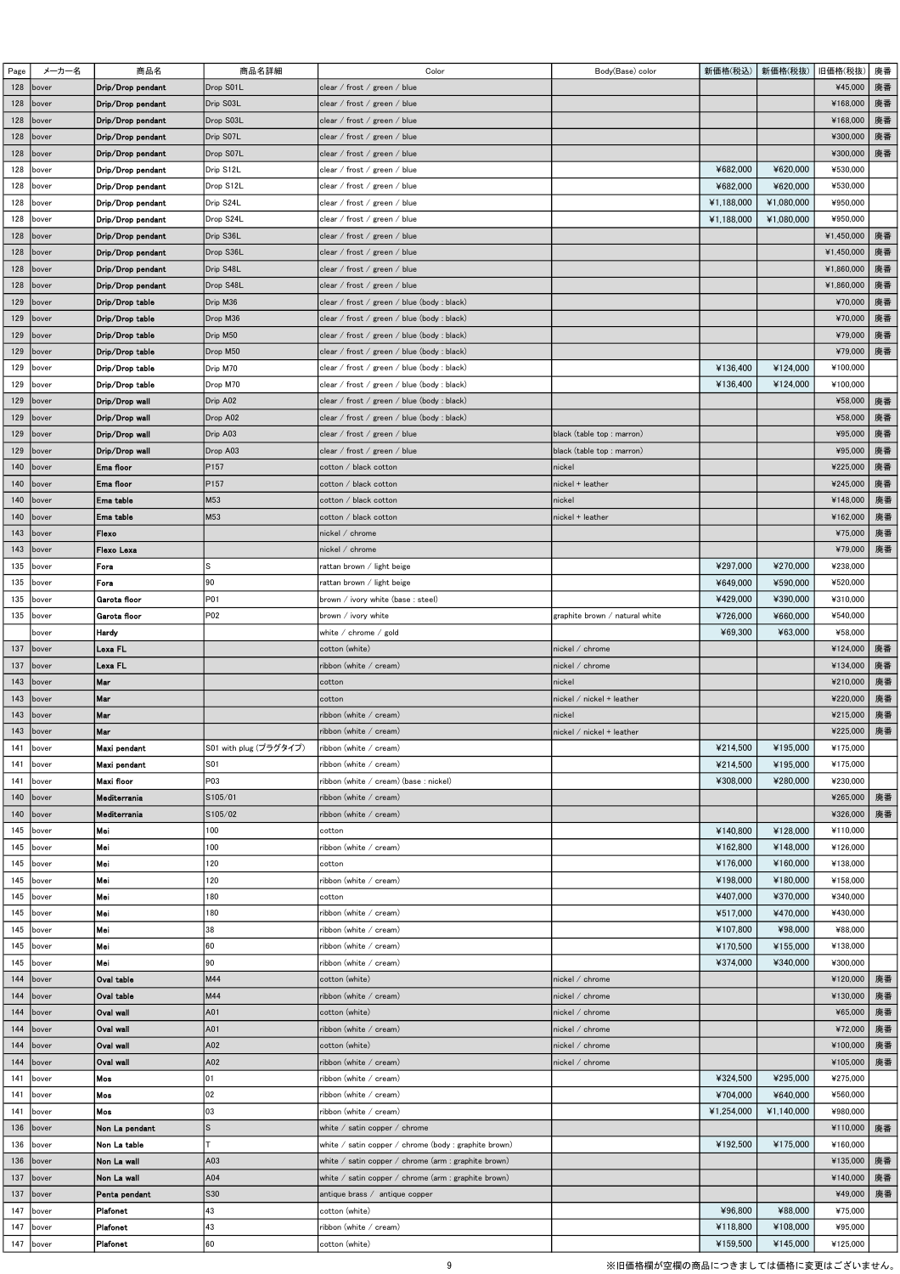|      | メーカー名     | 商品名               |                        |                                                       |                                |            | 新価格(税抜)    | 旧価格(税抜)    |    |
|------|-----------|-------------------|------------------------|-------------------------------------------------------|--------------------------------|------------|------------|------------|----|
| Page |           |                   | 商品名詳細                  | Color                                                 | Body(Base) color               | 新価格(税込)    |            |            | 廃番 |
| 128  | bover     | Drip/Drop pendant | Drop S01L              | clear / frost / green / blue                          |                                |            |            | ¥45,000    | 廃番 |
| 128  | bover     | Drip/Drop pendant | Drip S03L              | clear / frost / green / blue                          |                                |            |            | ¥168,000   | 廃番 |
| 128  | bover     | Drip/Drop pendant | Drop S03L              | clear / frost / green / blue                          |                                |            |            | ¥168,000   | 廃番 |
| 128  | bover     | Drip/Drop pendant | Drip S07L              | clear / frost / green / blue                          |                                |            |            | ¥300,000   | 廃番 |
|      |           |                   |                        |                                                       |                                |            |            |            |    |
| 128  | bover     | Drip/Drop pendant | Drop S07L              | clear / frost / green / blue                          |                                |            |            | ¥300,000   | 廃番 |
| 128  | bover     | Drip/Drop pendant | Drip S12L              | clear / frost / green / blue                          |                                | ¥682,000   | ¥620,000   | ¥530,000   |    |
| 128  | bover     | Drip/Drop pendant | Drop S12L              | clear / frost / green / blue                          |                                | ¥682,000   | ¥620,000   | ¥530,000   |    |
| 128  | bover     | Drip/Drop pendant | Drip S24L              | clear / frost / green / blue                          |                                | ¥1,188,000 | ¥1,080,000 | ¥950,000   |    |
|      |           |                   |                        |                                                       |                                |            |            |            |    |
| 128  | bover     | Drip/Drop pendant | Drop S24L              | clear / frost / green / blue                          |                                | ¥1,188,000 | ¥1.080.000 | ¥950,000   |    |
| 128  | bover     | Drip/Drop pendant | Drip S36L              | clear / frost / green / blue                          |                                |            |            | ¥1,450,000 | 廃番 |
| 128  | bover     | Drip/Drop pendant | Drop S36L              | clear / frost / green / blue                          |                                |            |            | ¥1,450,000 | 廃番 |
| 128  | bover     | Drip/Drop pendant | Drip S48L              | clear / frost / green / blue                          |                                |            |            | ¥1,860,000 | 廃番 |
|      |           |                   |                        |                                                       |                                |            |            |            |    |
| 128  | bover     | Drip/Drop pendant | Drop S48L              | clear / frost / green / blue                          |                                |            |            | ¥1,860,000 | 廃番 |
| 129  | bover     | Drip/Drop table   | Drip M36               | clear / frost / green / blue (body : black)           |                                |            |            | ¥70,000    | 廃番 |
| 129  | bover     | Drip/Drop table   | Drop M36               | clear / frost / green / blue (body : black)           |                                |            |            | ¥70,000    | 廃番 |
| 129  | bover     | Drip/Drop table   | Drip M50               | clear / frost / green / blue (body : black)           |                                |            |            | ¥79,000    | 廃番 |
|      |           |                   |                        |                                                       |                                |            |            |            |    |
| 129  | bover     | Drip/Drop table   | Drop M50               | clear / frost / green / blue (body : black)           |                                |            |            | ¥79,000    | 廃番 |
| 129  | bover     | Drip/Drop table   | Drip M70               | clear / frost / green / blue (body : black)           |                                | ¥136,400   | ¥124,000   | ¥100,000   |    |
| 129  | bover     | Drip/Drop table   | Drop M70               | clear / frost / green / blue (body : black)           |                                | ¥136,400   | ¥124,000   | ¥100,000   |    |
| 129  | bover     | Drip/Drop wall    | Drip A02               | clear / frost / green / blue (body : black)           |                                |            |            | ¥58,000    | 廃番 |
|      |           |                   |                        |                                                       |                                |            |            |            |    |
| 129  | bover     | Drip/Drop wall    | Drop A02               | clear / frost / green / blue (body : black)           |                                |            |            | ¥58,000    | 廃番 |
| 129  | bover     | Drip/Drop wall    | Drip A03               | clear / frost / green / blue                          | black (table top : marron)     |            |            | ¥95,000    | 廃番 |
| 129  | bover     | Drip/Drop wall    | Drop A03               | clear / frost / green / blue                          | black (table top : marron)     |            |            | ¥95,000    | 廃番 |
| 140  | bover     | Ema floor         | P <sub>157</sub>       | cotton / black cotton                                 | nickel                         |            |            | ¥225,000   | 廃番 |
|      |           |                   |                        |                                                       |                                |            |            |            |    |
| 140  | bover     | Ema floor         | P <sub>157</sub>       | cotton / black cotton                                 | nickel + leather               |            |            | ¥245,000   | 廃番 |
| 140  | bover     | Ema table         | M53                    | cotton / black cotton                                 | nickel                         |            |            | ¥148,000   | 廃番 |
| 140  | bover     | Ema table         | M53                    | cotton / black cotton                                 | nickel + leather               |            |            | ¥162,000   | 廃番 |
| 143  | bover     | Flexo             |                        | nickel / chrome                                       |                                |            |            | ¥75,000    | 廃番 |
|      |           |                   |                        |                                                       |                                |            |            |            |    |
| 143  | bover     | Flexo Lexa        |                        | nickel ∕ chrome                                       |                                |            |            | ¥79,000    | 廃番 |
| 135  | bover     | Fora              | S                      | rattan brown ∕ light beige                            |                                | ¥297,000   | ¥270,000   | ¥238,000   |    |
| 135  | bover     | Fora              | 90                     | ∙attan brown ∕ light beige                            |                                | ¥649,000   | ¥590,000   | ¥520,000   |    |
| 135  | bover     | Garota floor      | P01                    | brown / ivory white (base : steel)                    |                                | ¥429,000   | ¥390,000   | ¥310,000   |    |
|      |           |                   |                        |                                                       |                                |            |            |            |    |
| 135  | bover     | Garota floor      | P02                    | brown / ivory white                                   | graphite brown / natural white | ¥726,000   | ¥660,000   | ¥540,000   |    |
|      | bover     | Hardy             |                        | white / chrome / gold                                 |                                | ¥69,300    | ¥63,000    | ¥58,000    |    |
| 137  | bover     | Lexa FL           |                        | cotton (white)                                        | nickel / chrome                |            |            | ¥124,000   | 廃番 |
| 137  | bover     | Lexa FL           |                        | ribbon (white / cream)                                | nickel / chrome                |            |            | ¥134,000   | 廃番 |
|      |           |                   |                        |                                                       |                                |            |            |            |    |
| 143  | bover     | Mar               |                        | cotton                                                | nickel                         |            |            | ¥210,000   | 廃番 |
| 143  | bover     | Mar               |                        | cotton                                                | nickel ∕ nickel + leather      |            |            | ¥220,000   | 廃番 |
| 143  | bover     | Mar               |                        | ribbon (white / cream)                                | nickel                         |            |            | ¥215,000   | 廃番 |
| 143  | bover     | Mar               |                        | ribbon (white / cream)                                | nickel / nickel + leather      |            |            | ¥225.000   | 廃番 |
|      |           |                   |                        |                                                       |                                |            |            |            |    |
| 141  | bover     | Maxi pendant      | S01 with plug (プラグタイプ) | ribbon (white / cream)                                |                                | ¥214,500   | ¥195,000   | ¥175,000   |    |
| 141  | bover     | Maxi pendant      | S01                    | ∙ibbon (white ∕ cream)                                |                                | ¥214,500   | ¥195,000   | ¥175,000   |    |
| 141  | bover     | Maxi floor        | P03                    | ribbon (white / cream) (base : nickel)                |                                | ¥308,000   | ¥280,000   | ¥230,000   |    |
| 140  | bover     | Mediterrania      | S105/01                | ribbon (white / cream)                                |                                |            |            | ¥265,000   | 廃番 |
|      |           |                   |                        |                                                       |                                |            |            |            |    |
| 140  | bover     | Mediterrania      | S105/02                | ribbon (white / cream)                                |                                |            |            | ¥326,000   | 廃番 |
| 145  | bover     | Mei               | 100                    | cotton                                                |                                | ¥140,800   | ¥128,000   | ¥110,000   |    |
| 145  | bover     | Mei               | 100                    | ribbon (white / cream)                                |                                | ¥162,800   | ¥148,000   | ¥126,000   |    |
| 145  | bover     | Mei               | 120                    | cotton                                                |                                | ¥176,000   | ¥160,000   | ¥138,000   |    |
|      |           |                   |                        |                                                       |                                |            |            |            |    |
| 145  | bover     | Mei               | 120                    | ribbon (white / cream)                                |                                | ¥198,000   | ¥180,000   | ¥158,000   |    |
| 145  | bover     | Mei               | 180                    | cotton                                                |                                | ¥407,000   | ¥370,000   | ¥340,000   |    |
| 145  | bover     | Mei               | 180                    | ribbon (white / cream)                                |                                | ¥517,000   | ¥470,000   | ¥430,000   |    |
| 145  | bover     | Mei               | 38                     | ibbon (white ∕ cream)                                 |                                | ¥107,800   | ¥98,000    | ¥88,000    |    |
|      |           |                   |                        |                                                       |                                |            |            |            |    |
| 145  | bover     | Mei               | 60                     | ribbon (white / cream)                                |                                | ¥170,500   | ¥155,000   | ¥138,000   |    |
| 145  | bover     | Mei               | 90                     | ribbon (white / cream)                                |                                | ¥374,000   | ¥340,000   | ¥300,000   |    |
| 144  | bover     | Oval table        | M44                    | cotton (white)                                        | nickel / chrome                |            |            | ¥120,000   | 廃番 |
| 144  | bover     | Oval table        | M44                    | ribbon (white / cream)                                | nickel / chrome                |            |            | ¥130,000   | 廃番 |
|      |           |                   |                        |                                                       |                                |            |            |            |    |
| 144  | bover     | Oval wall         | A01                    | cotton (white)                                        | nickel / chrome                |            |            | ¥65,000    | 廃番 |
| 144  | bover     | Oval wall         | A01                    | ribbon (white / cream)                                | nickel / chrome                |            |            | ¥72,000    | 廃番 |
| 144  | bover     | Oval wall         | A02                    | cotton (white)                                        | nickel / chrome                |            |            | ¥100,000   | 廃番 |
| 144  | bover     | Oval wall         | A02                    | ribbon (white / cream)                                | nickel / chrome                |            |            | ¥105,000   | 廃番 |
|      |           |                   |                        |                                                       |                                |            |            |            |    |
| 141  | bover     | Mos               | 01                     | ribbon (white / cream)                                |                                | ¥324,500   | ¥295,000   | ¥275,000   |    |
| 141  | bover     | Mos               | 02                     | ribbon (white / cream)                                |                                | ¥704,000   | ¥640,000   | ¥560,000   |    |
| 141  | bover     | Mos               | 03                     | ribbon (white / cream)                                |                                | ¥1,254,000 | ¥1,140,000 | ¥980,000   |    |
| 136  | bover     | Non La pendant    | ls.                    | white / satin copper / chrome                         |                                |            |            | ¥110,000   | 廃番 |
|      |           |                   |                        |                                                       |                                |            |            |            |    |
| 136  | bover     | Non La table      |                        | white / satin copper / chrome (body : graphite brown) |                                | ¥192,500   | ¥175,000   | ¥160,000   |    |
| 136  | bover     | Non La wall       | A03                    | white / satin copper / chrome (arm : graphite brown)  |                                |            |            | ¥135,000   | 廃番 |
| 137  | bover     | Non La wall       | A04                    | white / satin copper / chrome (arm : graphite brown)  |                                |            |            | ¥140,000   | 廃番 |
| 137  | bover     | Penta pendant     | S30                    | antique brass / antique copper                        |                                |            |            | ¥49,000    | 廃番 |
|      |           |                   |                        |                                                       |                                |            |            |            |    |
| 147  | bover     | Plafonet          | 43                     | cotton (white)                                        |                                | ¥96,800    | ¥88,000    | ¥75,000    |    |
| 147  | bover     | Plafonet          | 43                     | ribbon (white / cream)                                |                                | ¥118,800   | ¥108,000   | ¥95,000    |    |
|      | 147 bover | Plafonet          | 60                     | cotton (white)                                        |                                | ¥159,500   | ¥145,000   | ¥125,000   |    |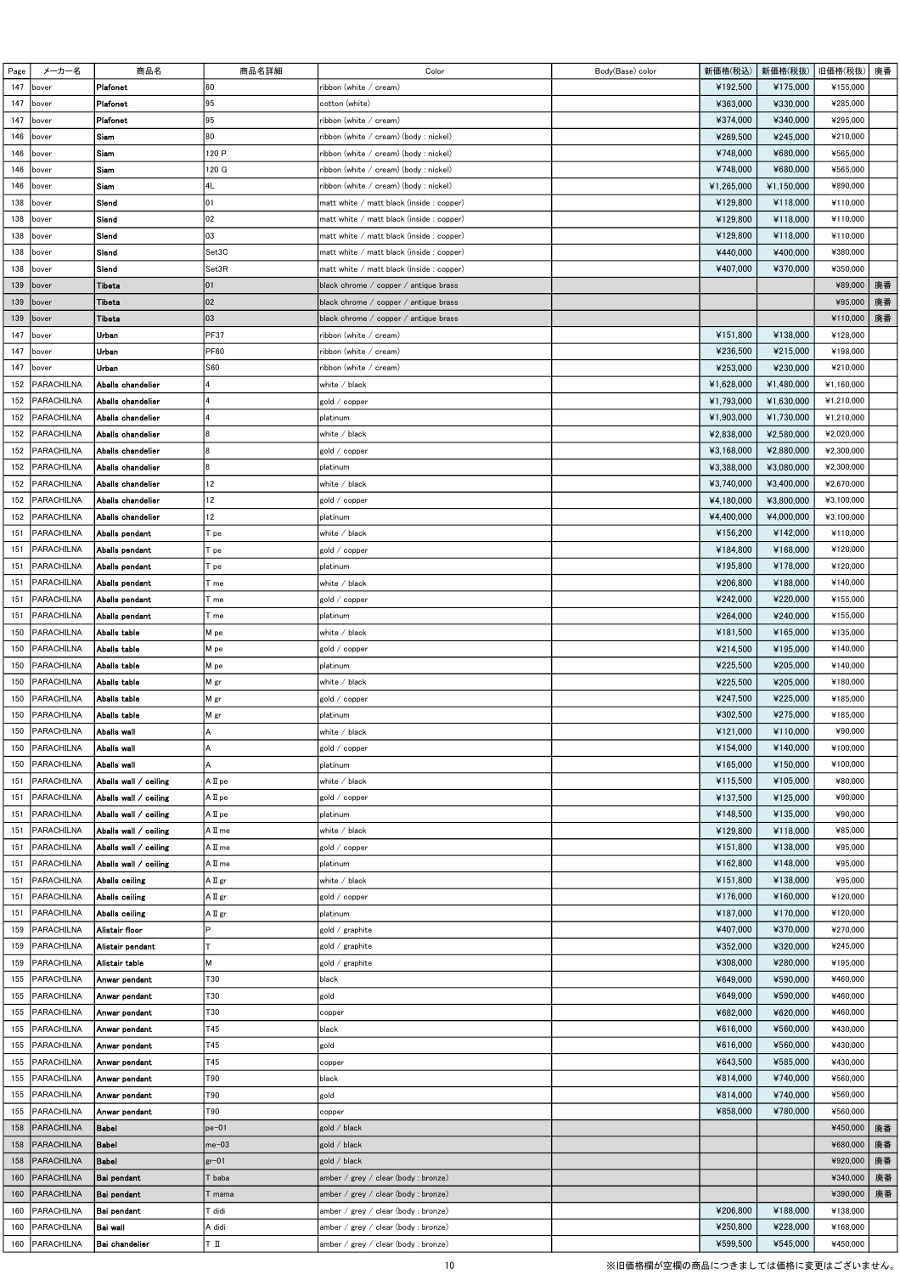| Page       | メーカー名                    | 商品名                                            | 商品名詳細             | Color                                                                                  | Body(Base) color                | 新価格(税込)                | 新価格(税抜)                | 旧価格(税抜)                | 廃番 |
|------------|--------------------------|------------------------------------------------|-------------------|----------------------------------------------------------------------------------------|---------------------------------|------------------------|------------------------|------------------------|----|
| 147        | bover                    | Plafonet                                       | 60                | ribbon (white / cream)                                                                 |                                 | ¥192,500               | ¥175,000               | ¥155,000               |    |
| 147        | bover                    | Plafonet                                       | 95                | cotton (white)                                                                         |                                 | ¥363,000               | ¥330,000               | ¥285,000               |    |
| 147        | bover                    | Plafonet                                       | 95                | ribbon (white ∕ cream)                                                                 |                                 | ¥374,000               | ¥340,000               | ¥295,000               |    |
| 146        | bover                    | Siam                                           | 80                | ribbon (white / cream) (body : nickel)                                                 |                                 | ¥269,500               | ¥245,000               | ¥210,000               |    |
| 146        | oover                    | Siam                                           | 120 P             | ribbon (white / cream) (body : nickel)                                                 |                                 | ¥748,000               | ¥680.000               | ¥565,000               |    |
| 146        | bover                    | Siam                                           | 120 G             | ribbon (white / cream) (body : nickel)                                                 |                                 | ¥748,000               | ¥680.000               | ¥565,000               |    |
| 146        | bover                    | Siam<br>Slend                                  | 4L<br>101         | ribbon (white / cream) (body : nickel)                                                 |                                 | ¥1,265,000             | ¥1,150,000             | ¥890,000<br>¥110,000   |    |
| 138<br>138 | bover<br>bover           | Slond                                          | 02                | natt white / matt black (inside : copper)<br>matt white / matt black (inside : copper) |                                 | ¥129,800<br>¥129,800   | ¥118,000<br>¥118,000   | ¥110,000               |    |
| 138        | bover                    | Slend                                          | 03                | matt white / matt black (inside : copper)                                              |                                 | ¥129,800               | ¥118,000               | ¥110,000               |    |
| 138        | bover                    | Slend                                          | Set3C             | matt white / matt black (inside : copper)                                              |                                 | ¥440,000               | ¥400,000               | ¥380,000               |    |
| 138        | bover                    | Slend                                          | Set3R             | matt white / matt black (inside : copper)                                              |                                 | ¥407,000               | ¥370,000               | ¥350,000               |    |
| 139        | bover                    | <b>Tibeta</b>                                  | 01                | black chrome / copper / antique brass                                                  |                                 |                        |                        | ¥89,000                | 廃番 |
| 139        | bover                    | Tibeta                                         | 02                | black chrome / copper / antique brass                                                  |                                 |                        |                        | ¥95,000                | 廃番 |
| 139        | pover                    | Tibeta                                         | 03                | black chrome / copper / antique brass                                                  |                                 |                        |                        | ¥110,000               | 廃番 |
| 147        | oover                    | Urban                                          | PF37              | ribbon (white / cream)                                                                 |                                 | ¥151,800               | ¥138,000               | ¥128,000               |    |
| 147        | bover                    | Urban                                          | PF60              | ribbon (white / cream)                                                                 |                                 | ¥236,500               | ¥215,000               | ¥198,000               |    |
| 147        | bover                    | Urban                                          | S60               | ribbon (white / cream)                                                                 |                                 | ¥253,000               | ¥230,000               | ¥210,000               |    |
| 152        | PARACHILNA               | Aballs chandelier                              |                   | white / black                                                                          |                                 | ¥1,628,000             | ¥1,480,000             | ¥1,160,000             |    |
| 152        | PARACHILNA               | Aballs chandelier                              |                   | gold / copper                                                                          |                                 | ¥1,793,000             | ¥1,630,000             | ¥1,210,000             |    |
| 152        | PARACHILNA               | Aballs chandelier                              |                   | platinum                                                                               |                                 | ¥1,903,000             | ¥1,730,000             | ¥1,210,000             |    |
| 152        | PARACHILNA               | Aballs chandelier                              |                   | white / black                                                                          |                                 | ¥2,838,000             | ¥2,580,000             | ¥2,020,000             |    |
| 152        | PARACHILNA               | Aballs chandelier                              | l8                | gold / copper                                                                          |                                 | ¥3,168,000             | ¥2,880,000             | ¥2,300,000             |    |
| 152        | PARACHILNA               | Aballs chandelier                              | l8                | platinum                                                                               |                                 | ¥3,388,000             | ¥3,080,000             | ¥2,300,000             |    |
| 152        | PARACHILNA               | Aballs chandelier                              | 12                | white / black                                                                          |                                 | ¥3,740,000             | ¥3,400,000             | ¥2,670,000             |    |
| 152        | PARACHILNA               | Aballs chandelier                              | 12                | gold / copper                                                                          |                                 | ¥4,180,000             | ¥3,800,000             | ¥3,100,000             |    |
| 152<br>151 | PARACHILNA<br>PARACHILNA | Aballs chandelier<br>Aballs pendant            | 12<br>T pe        | platinum<br>white / black                                                              |                                 | ¥4,400,000<br>¥156,200 | ¥4,000,000<br>¥142,000 | ¥3,100,000<br>¥110,000 |    |
| 151        | PARACHILNA               | Abalis pendant                                 | T pe              | gold ∕ copper                                                                          |                                 | ¥184,800               | ¥168,000               | ¥120,000               |    |
| 151        | PARACHILNA               | Aballs pendant                                 | T pe              | platinum                                                                               |                                 | ¥195,800               | ¥178,000               | ¥120,000               |    |
| 151        | PARACHILNA               | Aballs pendant                                 | T me              | white / black                                                                          |                                 | ¥206,800               | ¥188,000               | ¥140,000               |    |
| 151        | PARACHILNA               | Aballs pendant                                 | T me              | gold / copper                                                                          |                                 | ¥242,000               | ¥220,000               | ¥155,000               |    |
| 151        | PARACHILNA               | Aballs pendant                                 | T me              | platinum                                                                               |                                 | ¥264,000               | ¥240,000               | ¥155,000               |    |
| 150        | PARACHILNA               | Aballs table                                   | M pe              | white / black                                                                          |                                 | ¥181,500               | ¥165,000               | ¥135,000               |    |
| 150        | PARACHILNA               | Aballs table                                   | M pe              | gold / copper                                                                          |                                 | ¥214,500               | ¥195,000               | ¥140,000               |    |
| 150        | PARACHILNA               | Aballs table                                   | M pe              | platinum                                                                               |                                 | ¥225,500               | ¥205,000               | ¥140,000               |    |
| 150        | PARACHILNA               | Abalis table                                   | M gr              | white / black                                                                          |                                 | ¥225,500               | ¥205,000               | ¥180,000               |    |
| 150        | PARACHILNA               | Abalis table                                   | M gr              | gold / copper                                                                          |                                 | ¥247,500               | ¥225,000               | ¥185,000               |    |
| 150        | PARACHILNA               | Aballs table                                   | M gr              | platinum                                                                               |                                 | ¥302,500               | ¥275,000               | ¥185,000               |    |
| 150        | PARACHILNA               | Aballs wall                                    | A                 | white / black                                                                          |                                 | ¥121,000               | ¥110,000               | ¥90,000                |    |
| 150        | PARACHILNA               | Aballs wall                                    | ΙA                | gold / copper                                                                          |                                 | ¥154,000               | ¥140,000               | ¥100,000               |    |
| 150        | PARACHILNA               | <b>Aballs wall</b>                             | l٨                | platinum                                                                               |                                 | ¥165,000               | ¥150,000               | ¥100,000               |    |
| 151        | PARACHILNA               | Aballs wall / ceiling                          | AII pe            | white / black                                                                          |                                 | ¥115,500               | ¥105,000               | ¥80,000                |    |
| 151        | PARACHILNA               | Aballs wall / ceiling                          | All pe            | gold / copper                                                                          |                                 | ¥137,500               | ¥125,000               | ¥90,000                |    |
| 151        | PARACHILNA               | Aballs wall / ceiling                          | All pe            | platinum                                                                               |                                 | ¥148,500               | ¥135,000               | ¥90,000                |    |
| 151        | PARACHILNA<br>PARACHILNA | Aballs wall / ceiling<br>Aballs wall / coiling | A II me<br>AII me | white / black<br>gold / copper                                                         |                                 | ¥129,800               | ¥118,000<br>¥138,000   | ¥85,000<br>¥95,000     |    |
| 151<br>151 | PARACHILNA               | Aballs wall / ceiling                          | A ∏ me            | platinum                                                                               |                                 | ¥151,800<br>¥162,800   | ¥148,000               | ¥95,000                |    |
| 151        | PARACHILNA               | <b>Aballs ceiling</b>                          | AII gr            | white / black                                                                          |                                 | ¥151,800               | ¥138,000               | ¥95,000                |    |
| 151        | PARACHILNA               | <b>Aballs ceiling</b>                          | AII gr            | gold / copper                                                                          |                                 | ¥176,000               | ¥160,000               | ¥120,000               |    |
| 151        | PARACHILNA               | <b>Abalis ceiling</b>                          | AII gr            | platinum                                                                               |                                 | ¥187,000               | ¥170,000               | ¥120,000               |    |
| 159        | PARACHILNA               | Alistair floor                                 | lP.               | gold / graphite                                                                        |                                 | ¥407,000               | ¥370,000               | ¥270,000               |    |
| 159        | PARACHILNA               | Alistair pendant                               |                   | gold / graphite                                                                        |                                 | ¥352,000               | ¥320,000               | ¥245,000               |    |
| 159        | PARACHILNA               | Alistair table                                 | M                 | gold / graphite                                                                        |                                 | ¥308,000               | ¥280,000               | ¥195,000               |    |
| 155        | PARACHILNA               | Anwar pendant                                  | T30               | black                                                                                  |                                 | ¥649,000               | ¥590,000               | ¥460,000               |    |
| 155        | PARACHILNA               | Anwar pendant                                  | T30               | gold                                                                                   |                                 | ¥649,000               | ¥590,000               | ¥460,000               |    |
| 155        | PARACHILNA               | Anwar pendant                                  | T30               | copper                                                                                 |                                 | ¥682,000               | ¥620,000               | ¥460,000               |    |
| 155        | PARACHILNA               | Anwar pendant                                  | T45               | black                                                                                  |                                 | ¥616,000               | ¥560,000               | ¥430,000               |    |
| 155        | PARACHILNA               | Anwar pendant                                  | T45               | gold                                                                                   |                                 | ¥616,000               | ¥560,000               | ¥430,000               |    |
| 155        | PARACHILNA               | Anwar pendant                                  | T45               | copper                                                                                 |                                 | ¥643,500               | ¥585,000               | ¥430,000               |    |
| 155        | PARACHILNA               | Anwar pendant                                  | T90<br>T90        | black                                                                                  |                                 | ¥814,000               | ¥740,000               | ¥560,000               |    |
| 155<br>155 | PARACHILNA<br>PARACHILNA | Anwar pendant<br>Anwar pondant                 | T90               | gold                                                                                   |                                 | ¥814,000<br>¥858,000   | ¥740,000<br>¥780,000   | ¥560,000<br>¥560,000   |    |
| 158        | PARACHILNA               | <b>Babel</b>                                   | $pe-01$           | copper<br>gold / black                                                                 |                                 |                        |                        | ¥450,000               | 廃番 |
| 158        | PARACHILNA               | <b>Babel</b>                                   | $me-03$           | gold / black                                                                           |                                 |                        |                        | ¥680,000               | 廃番 |
| 158        | PARACHILNA               | <b>Babel</b>                                   | $gr-01$           | gold / black                                                                           |                                 |                        |                        | ¥920,000               | 廃番 |
| 160        | PARACHILNA               | Bai pendant                                    | T baba            | amber / grey / clear (body : bronze)                                                   |                                 |                        |                        | ¥340,000               | 廃番 |
| 160        | PARACHILNA               | Bai pendant                                    | T mama            | amber / grey / clear (body : bronze)                                                   |                                 |                        |                        | ¥390,000               | 廃番 |
| 160        | PARACHILNA               | Bai pendant                                    | T didi            | amber / grey / clear (body : bronze)                                                   |                                 | ¥206,800               | ¥188,000               | ¥138,000               |    |
| 160        | PARACHILNA               | Bai wall                                       | A didi            | amber / grey / clear (body : bronze)                                                   |                                 | ¥250,800               | ¥228,000               | ¥168,000               |    |
| 160        | PARACHILNA               | Bai chandelier                                 | TΙ                | amber / grey / clear (body : bronze)                                                   |                                 | ¥599,500               | ¥545,000               | ¥450,000               |    |
|            |                          |                                                |                   | 10                                                                                     | ※旧価格欄が空欄の商品につきましては価格に変更はございません。 |                        |                        |                        |    |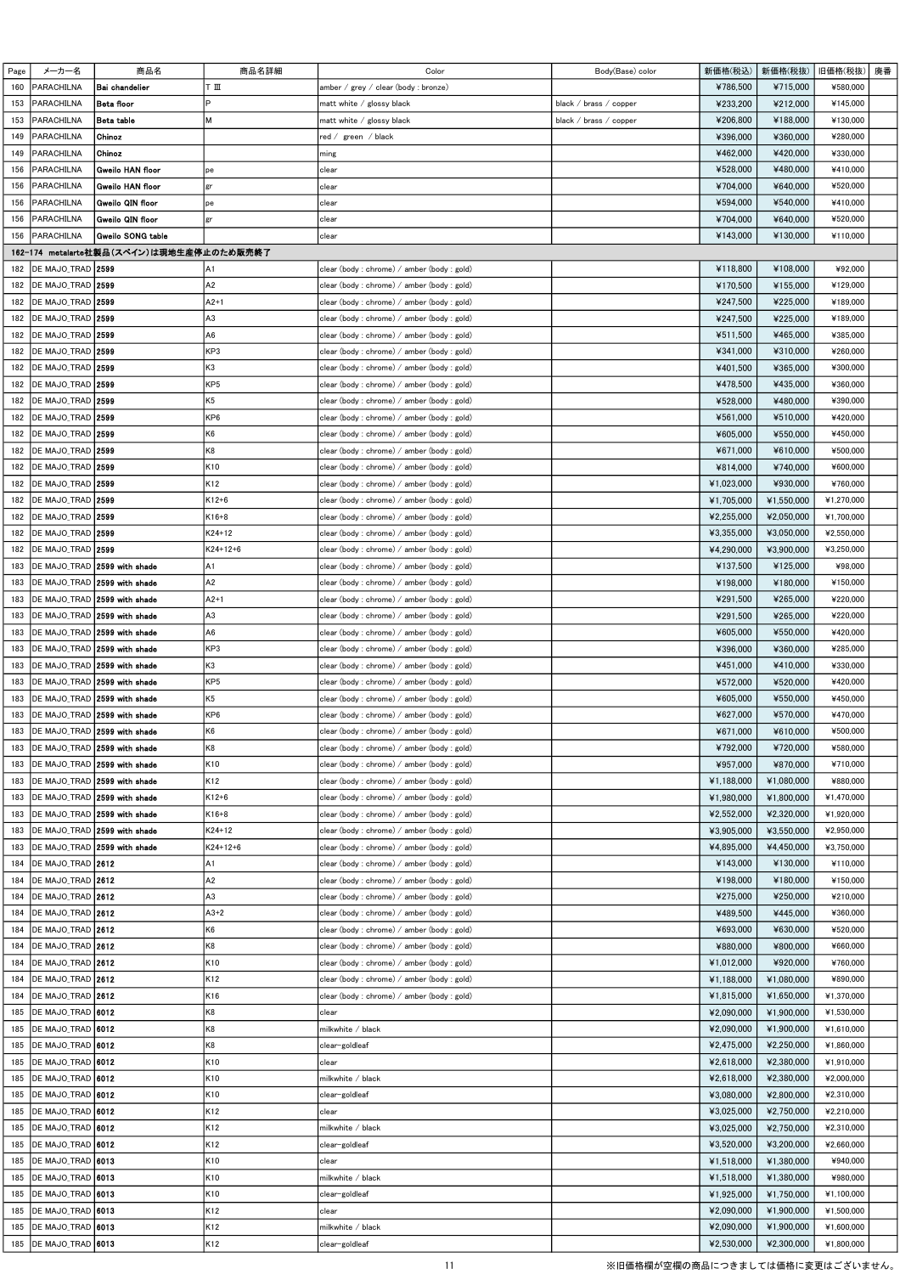| Page | メーカー名                        | 商品名                                      | 商品名詳細          | Color                                       | Body(Base) color       | 新価格(税込)    | 新価格(税抜)    | 旧価格(税抜)    | 廃番 |
|------|------------------------------|------------------------------------------|----------------|---------------------------------------------|------------------------|------------|------------|------------|----|
| 160  | PARACHILNA                   | Bai chandelier                           | ΤШ             | amber / grey / clear (body : bronze)        |                        | ¥786,500   | ¥715,000   | ¥580,000   |    |
| 153  | PARACHILNA                   | Beta floor                               | Þ              | matt white / glossy black                   | black / brass / copper | ¥233,200   | ¥212,000   | ¥145,000   |    |
| 153  | PARACHILNA                   | Beta table                               | M              | matt white / glossy black                   | black / brass / copper | ¥206,800   | ¥188,000   | ¥130,000   |    |
| 149  | PARACHILNA                   | Chinoz                                   |                | red / green / black                         |                        | ¥396.000   | ¥360,000   | ¥280,000   |    |
| 149  | PARACHILNA                   | Chinoz                                   |                | ming                                        |                        | ¥462,000   | ¥420,000   | ¥330,000   |    |
| 156  | PARACHILNA                   | <b>Gweilo HAN floor</b>                  | pe             | clear                                       |                        | ¥528,000   | ¥480,000   | ¥410,000   |    |
| 156  | PARACHILNA                   | <b>Gweilo HAN floor</b>                  |                | clear                                       |                        | ¥704,000   | ¥640,000   | ¥520,000   |    |
| 156  | PARACHILNA                   | Gweilo QIN floor                         | be             | clear                                       |                        | ¥594,000   | ¥540,000   | ¥410,000   |    |
| 156  | PARACHILNA                   | Gweilo QIN floor                         | gr             | clear                                       |                        | ¥704,000   | ¥640,000   | ¥520,000   |    |
| 156  | PARACHILNA                   | Gweilo SONG table                        |                | clear                                       |                        | ¥143,000   | ¥130,000   | ¥110,000   |    |
|      |                              | 162-174 metalarte社製品(スペイン)は現地生産停止のため販売終了 |                |                                             |                        |            |            |            |    |
| 182  | DE MAJO TRAD 2599            |                                          | A1             | clear (body: chrome) / amber (body: gold)   |                        | ¥118,800   | ¥108,000   | ¥92,000    |    |
| 182  | DE MAJO_TRAD   2599          |                                          | A <sub>2</sub> | clear (body : chrome) / amber (body : gold) |                        | ¥170,500   | ¥155,000   | ¥129,000   |    |
| 182  | DE MAJO_TRAD   2599          |                                          | $A2+1$         | clear (body: chrome) / amber (body: gold)   |                        | ¥247,500   | ¥225,000   | ¥189,000   |    |
| 182  | DE MAJO_TRAD   2599          |                                          | A <sub>3</sub> | clear (body : chrome) / amber (body : gold) |                        | ¥247,500   | ¥225,000   | ¥189,000   |    |
| 182  | DE MAJO_TRAD   2599          |                                          | A <sub>6</sub> | clear (body : chrome) / amber (body : gold) |                        | ¥511,500   | ¥465,000   | ¥385,000   |    |
| 182  | DE MAJO_TRAD   2599          |                                          | KP3            | clear (body : chrome) / amber (body : gold) |                        | ¥341,000   | ¥310,000   | ¥260,000   |    |
| 182  | DE MAJO_TRAD <b>2599</b>     |                                          | K3             | clear (body : chrome) / amber (body : gold) |                        | ¥401,500   | ¥365,000   | ¥300,000   |    |
| 182  | DE MAJO_TRAD   2599          |                                          | KP5            | clear (body: chrome) / amber (body: gold)   |                        | ¥478,500   | ¥435,000   | ¥360,000   |    |
| 182  | DE MAJO_TRAD   2599          |                                          | K <sub>5</sub> | clear (body : chrome) / amber (body : gold) |                        | ¥528,000   | ¥480,000   | ¥390,000   |    |
| 182  | DE MAJO_TRAD 2599            |                                          | KP6            | clear (body : chrome) / amber (body : gold) |                        | ¥561,000   | ¥510,000   | ¥420,000   |    |
| 182  | DE MAJO_TRAD   2599          |                                          | K <sub>6</sub> | clear (body : chrome) / amber (body : gold) |                        | ¥605,000   | ¥550,000   | ¥450,000   |    |
| 182  | DE MAJO_TRAD 2599            |                                          | K8             | clear (body : chrome) / amber (body : gold) |                        | ¥671,000   | ¥610,000   | ¥500,000   |    |
| 182  | DE MAJO_TRAD   2599          |                                          | K10            | clear (body : chrome) / amber (body : gold) |                        | ¥814,000   | ¥740,000   | ¥600,000   |    |
| 182  | DE MAJO_TRAD   2599          |                                          | K12            | clear (body : chrome) / amber (body : gold) |                        | ¥1,023,000 | ¥930,000   | ¥760,000   |    |
| 182  | DE MAJO_TRAD <b>2599</b>     |                                          | $K12+6$        | clear (body : chrome) / amber (body : gold) |                        | ¥1,705,000 | ¥1,550,000 | ¥1,270,000 |    |
| 182  | DE MAJO_TRAD   2599          |                                          | $K16+8$        | clear (body : chrome) / amber (body : gold) |                        | ¥2,255,000 | ¥2,050,000 | ¥1,700,000 |    |
| 182  | DE MAJO_TRAD   2599          |                                          | K24+12         | clear (body : chrome) / amber (body : gold) |                        | ¥3,355,000 | ¥3,050,000 | ¥2,550,000 |    |
| 182  | DE MAJO_TRAD   2599          |                                          | $K24+12+6$     | clear (body : chrome) / amber (body : gold) |                        | ¥4,290,000 | ¥3,900,000 | ¥3,250,000 |    |
| 183  |                              | DE MAJO_TRAD 2599 with shade             | A1             | clear (body: chrome) / amber (body: gold)   |                        | ¥137,500   | ¥125,000   | ¥98,000    |    |
| 183  |                              | DE MAJO_TRAD 2599 with shade             | A <sub>2</sub> | clear (body : chrome) / amber (body : gold) |                        | ¥198,000   | ¥180,000   | ¥150,000   |    |
| 183  |                              | DE MAJO_TRAD 2599 with shade             | $A2+1$         | clear (body : chrome) / amber (body : gold) |                        | ¥291,500   | ¥265,000   | ¥220,000   |    |
| 183  |                              | DE MAJO_TRAD 2599 with shade             | A <sub>3</sub> | clear (body: chrome) / amber (body: gold)   |                        | ¥291,500   | ¥265,000   | ¥220,000   |    |
| 183  |                              | DE MAJO_TRAD 2599 with shade             | A <sub>6</sub> | clear (body : chrome) / amber (body : gold) |                        | ¥605,000   | ¥550,000   | ¥420,000   |    |
| 183  |                              | DE MAJO_TRAD 2599 with shade             | KP3            | clear (body : chrome) / amber (body : gold) |                        | ¥396,000   | ¥360,000   | ¥285,000   |    |
| 183  |                              | DE MAJO_TRAD <b>2599 with shade</b>      | K <sub>3</sub> | clear (body: chrome) / amber (body: gold)   |                        | ¥451,000   | ¥410,000   | ¥330,000   |    |
| 183  |                              | DE MAJO_TRAD 2599 with shade             | KP5            | clear (body : chrome) / amber (body : gold) |                        | ¥572,000   | ¥520,000   | ¥420,000   |    |
| 183  |                              | DE MAJO_TRAD 2599 with shade             | K <sub>5</sub> | clear (body : chrome) / amber (body : gold) |                        | ¥605,000   | ¥550,000   | ¥450,000   |    |
| 183  |                              | DE MAJO_TRAD 2599 with shade             | KP6            | clear (body : chrome) / amber (body : gold) |                        | ¥627,000   | ¥570,000   | ¥470,000   |    |
| 183  |                              | DE MAJO_TRAD 2599 with shade             | K6             | clear (body : chrome) / amber (body : gold) |                        | ¥671,000   | ¥610,000   | ¥500,000   |    |
|      | DE MAJO_TRAD 2599 with shade |                                          | K8             |                                             |                        | ¥792,000   |            | ¥580,000   |    |
| 183  |                              | DE MAJO_TRAD 2599 with shade             | K10            | clear (body : chrome) / amber (body : gold) |                        |            | ¥720,000   |            |    |
| 183  |                              |                                          |                | clear (body: chrome) / amber (body: gold)   |                        | ¥957,000   | ¥870,000   | ¥710,000   |    |
| 183  |                              | DE MAJO_TRAD 2599 with shade             | K12            | clear (body : chrome) / amber (body : gold) |                        | ¥1,188,000 | ¥1,080,000 | ¥880,000   |    |
| 183  |                              | DE MAJO TRAD 2599 with shade             | $K12+6$        | clear (body: chrome) / amber (body: gold)   |                        | ¥1,980,000 | ¥1,800,000 | ¥1,470,000 |    |
| 183  |                              | DE MAJO_TRAD 2599 with shade             | $K16+8$        | clear (body : chrome) / amber (body : gold) |                        | ¥2,552,000 | ¥2,320,000 | ¥1,920,000 |    |
| 183  |                              | DE MAJO_TRAD 2599 with shade             | K24+12         | clear (body : chrome) / amber (body : gold) |                        | ¥3,905,000 | ¥3,550,000 | ¥2,950,000 |    |
| 183  |                              | DE MAJO_TRAD 2599 with shade             | $K24+12+6$     | clear (body: chrome) / amber (body: gold)   |                        | ¥4,895,000 | ¥4,450,000 | ¥3,750,000 |    |
| 184  | DE MAJO_TRAD   2612          |                                          | A <sub>1</sub> | clear (body: chrome) / amber (body: gold)   |                        | ¥143,000   | ¥130,000   | ¥110,000   |    |
| 184  | DE MAJO_TRAD   2612          |                                          | A <sub>2</sub> | clear (body : chrome) / amber (body : gold) |                        | ¥198,000   | ¥180,000   | ¥150,000   |    |
| 184  | DE MAJO_TRAD 2612            |                                          | A <sub>3</sub> | clear (body: chrome) / amber (body: gold)   |                        | ¥275,000   | ¥250,000   | ¥210,000   |    |
| 184  | DE MAJO_TRAD 2612            |                                          | $A3+2$         | clear (body: chrome) / amber (body: gold)   |                        | ¥489,500   | ¥445,000   | ¥360,000   |    |
| 184  | DE MAJO_TRAD   2612          |                                          | K6             | clear (body: chrome) / amber (body: gold)   |                        | ¥693,000   | ¥630,000   | ¥520,000   |    |
| 184  | DE MAJO_TRAD 2612            |                                          | K8             | clear (body: chrome) / amber (body: gold)   |                        | ¥880,000   | ¥800,000   | ¥660,000   |    |
| 184  | DE MAJO_TRAD <b>2612</b>     |                                          | K10            | clear (body : chrome) / amber (body : gold) |                        | ¥1,012,000 | ¥920,000   | ¥760,000   |    |
| 184  | DE MAJO_TRAD 2612            |                                          | K12            | clear (body : chrome) / amber (body : gold) |                        | ¥1,188,000 | ¥1,080,000 | ¥890,000   |    |
| 184  | DE MAJO_TRAD 2612            |                                          | K16            | clear (body : chrome) / amber (body : gold) |                        | ¥1,815,000 | ¥1,650,000 | ¥1,370,000 |    |
| 185  | DE MAJO_TRAD   6012          |                                          | K8             | clear                                       |                        | ¥2,090,000 | ¥1,900,000 | ¥1,530,000 |    |
| 185  | DE MAJO_TRAD   6012          |                                          | K8             | milkwhite / black                           |                        | ¥2,090,000 | ¥1,900,000 | ¥1,610,000 |    |
| 185  | DE MAJO_TRAD   6012          |                                          | K8             | clear-goldleaf                              |                        | ¥2,475,000 | ¥2,250,000 | ¥1,860,000 |    |
| 185  | DE MAJO_TRAD   6012          |                                          | K10            | clear                                       |                        | ¥2,618,000 | ¥2,380,000 | ¥1,910,000 |    |
| 185  | DE MAJO_TRAD   6012          |                                          | K10            | milkwhite / black                           |                        | ¥2,618,000 | ¥2,380,000 | ¥2,000,000 |    |
| 185  | DE MAJO_TRAD   6012          |                                          | K10            | clear-goldleaf                              |                        | ¥3,080,000 | ¥2,800,000 | ¥2,310,000 |    |
| 185  | DE MAJO_TRAD   6012          |                                          | K12            | clear                                       |                        | ¥3,025,000 | ¥2,750,000 | ¥2,210,000 |    |
| 185  | DE MAJO_TRAD 6012            |                                          | K12            | milkwhite / black                           |                        | ¥3,025,000 | ¥2,750,000 | ¥2,310,000 |    |
| 185  | DE MAJO_TRAD <b>6012</b>     |                                          | K12            | clear-goldleaf                              |                        | ¥3,520,000 | ¥3,200,000 | ¥2,660,000 |    |
| 185  | DE MAJO_TRAD 6013            |                                          | K10            | clear                                       |                        | ¥1,518,000 | ¥1,380,000 | ¥940,000   |    |
| 185  | DE MAJO_TRAD 6013            |                                          | K10            | milkwhite / black                           |                        | ¥1,518,000 | ¥1,380,000 | ¥980,000   |    |
| 185  | DE MAJO_TRAD 6013            |                                          | K10            | clear-goldleaf                              |                        | ¥1,925,000 | ¥1,750,000 | ¥1,100,000 |    |
| 185  | DE MAJO_TRAD 6013            |                                          | K12            | clear                                       |                        | ¥2,090,000 | ¥1,900,000 | ¥1,500,000 |    |
| 185  | DE MAJO_TRAD   6013          |                                          | K12            | milkwhite / black                           |                        | ¥2,090,000 | ¥1,900,000 | ¥1,600,000 |    |
| 185  | DE MAJO_TRAD 6013            |                                          | K12            | clear-goldleaf                              |                        | ¥2,530,000 | ¥2,300,000 | ¥1,800,000 |    |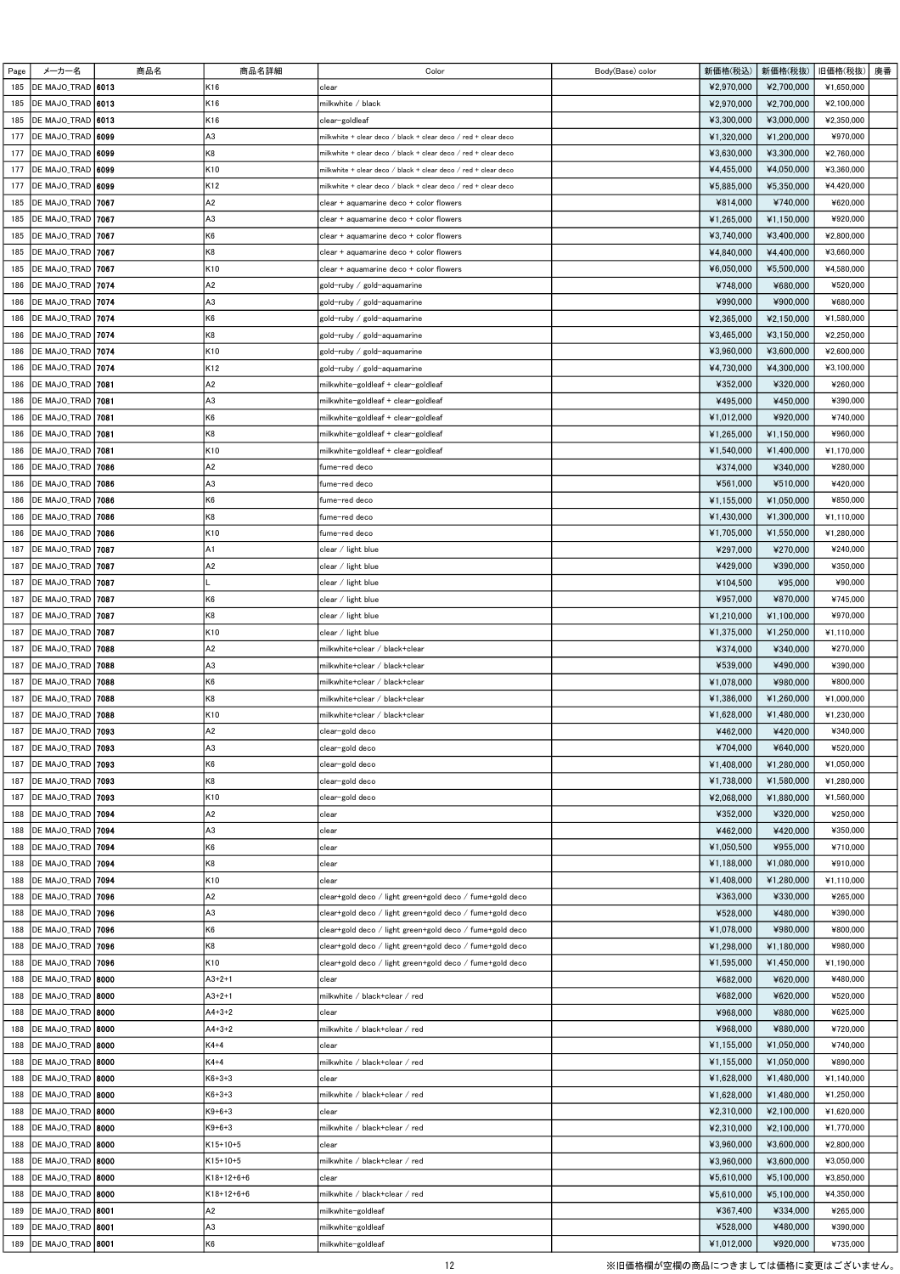| $\mathsf{Page}\xspace$ | メーカー名                                  | 商品名 | 商品名詳細                        | Color                                                          | Body(Base) color | 新価格(税込)                  | 新価格(税抜)                  | 旧価格(税抜)              | 廃番 |
|------------------------|----------------------------------------|-----|------------------------------|----------------------------------------------------------------|------------------|--------------------------|--------------------------|----------------------|----|
| 185                    | DE MAJO_TRAD   6013                    |     | K16                          | clear                                                          |                  | ¥2,970,000               | ¥2.700.000               | ¥1.650.000           |    |
| 185                    | DE MAJO_TRAD   6013                    |     | K16                          | milkwhite / black                                              |                  | ¥2,970,000               | ¥2,700,000               | ¥2,100,000           |    |
| 185                    | DE MAJO_TRAD   6013                    |     | K16                          | clear-goldleaf                                                 |                  | ¥3,300,000               | ¥3,000,000               | ¥2,350,000           |    |
| 177                    | DE MAJO_TRAD   6099                    |     | A3                           | milkwhite + clear deco / black + clear deco / red + clear deco |                  | ¥1,320,000               | ¥1,200,000               | ¥970,000             |    |
| 177                    | DE MAJO_TRAD   6099                    |     | K8                           | milkwhite + clear deco / black + clear deco / red + clear deco |                  | ¥3,630,000               | ¥3,300,000               | ¥2,760,000           |    |
| 177                    | DE MAJO_TRAD 6099                      |     | K10                          | milkwhite + clear deco / black + clear deco / red + clear deco |                  | ¥4,455,000               | ¥4,050,000               | ¥3,360,000           |    |
| 177                    | DE MAJO_TRAD   6099                    |     | K12                          | milkwhite + clear deco / black + clear deco / red + clear deco |                  | ¥5,885,000               | ¥5,350,000               | ¥4,420,000           |    |
| 185                    | DE MAJO_TRAD   7067                    |     | A <sub>2</sub>               | clear + aquamarine deco + color flowers                        |                  | ¥814,000                 | ¥740,000                 | ¥620,000             |    |
| 185                    | DE MAJO_TRAD   7067                    |     | A <sub>3</sub>               | clear + aquamarine deco + color flowers                        |                  | ¥1,265,000               | ¥1,150,000               | ¥920,000             |    |
| 185                    | DE MAJO_TRAD   7067                    |     | K6                           | clear + aquamarine deco + color flowers                        |                  | ¥3,740,000               | ¥3,400,000               | ¥2,800,000           |    |
| 185                    | DE MAJO_TRAD   7067                    |     | K <sub>8</sub>               | clear + aquamarine deco + color flowers                        |                  | ¥4,840,000               | ¥4,400,000               | ¥3,660,000           |    |
| 185                    | DE MAJO_TRAD   7067                    |     | K10                          | clear + aquamarine deco + color flowers                        |                  | ¥6,050,000               | ¥5,500,000               | ¥4,580,000           |    |
| 186                    | DE MAJO_TRAD <b>7074</b>               |     | A <sub>2</sub>               | gold-ruby / gold-aquamarine                                    |                  | ¥748,000                 | ¥680,000                 | ¥520,000             |    |
| 186                    | DE MAJO_TRAD   7074                    |     | A <sub>3</sub>               | gold-ruby / gold-aquamarine                                    |                  | ¥990,000                 | ¥900,000                 | ¥680,000             |    |
| 186                    | DE MAJO_TRAD   7074                    |     | K6                           | gold-ruby / gold-aquamarine                                    |                  | ¥2,365,000               | ¥2,150,000               | ¥1,580,000           |    |
| 186                    | DE MAJO_TRAD   7074                    |     | K8                           | gold-ruby / gold-aquamarine                                    |                  | ¥3,465,000               | ¥3,150,000               | ¥2,250,000           |    |
| 186                    | DE MAJO_TRAD   7074                    |     | K10                          | gold-ruby / gold-aquamarine                                    |                  | ¥3,960,000               | ¥3,600,000               | ¥2,600,000           |    |
| 186                    | DE MAJO_TRAD   7074                    |     | K12                          | gold-ruby / gold-aquamarine                                    |                  | ¥4,730,000               | ¥4,300,000               | ¥3,100,000           |    |
| 186                    | DE MAJO_TRAD   7081                    |     | A <sub>2</sub>               | milkwhite-goldleaf + clear-goldleaf                            |                  | ¥352,000                 | ¥320,000                 | ¥260,000             |    |
| 186                    | DE MAJO_TRAD   7081                    |     | A <sub>3</sub>               | milkwhite-goldleaf + clear-goldleaf                            |                  | ¥495,000                 | ¥450,000                 | ¥390,000             |    |
| 186                    | DE MAJO_TRAD   7081                    |     | K6                           | milkwhite-goldleaf + clear-goldleaf                            |                  | ¥1,012,000               | ¥920,000                 | ¥740,000             |    |
| 186                    | DE MAJO TRAD <b>7081</b>               |     | K <sub>8</sub>               | milkwhite-goldleaf + clear-goldleaf                            |                  | ¥1,265,000               | ¥1,150,000               | ¥960,000             |    |
| 186                    | DE MAJO_TRAD   7081                    |     | K10                          | milkwhite-goldleaf + clear-goldleaf                            |                  | ¥1,540,000               | ¥1,400,000               | ¥1,170,000           |    |
| 186                    | DE MAJO_TRAD   7086                    |     | A2                           | fume–red deco                                                  |                  | ¥374,000                 | ¥340,000                 | ¥280,000             |    |
| 186                    | DE MAJO_TRAD   7086                    |     | A <sub>3</sub>               | fume-red deco                                                  |                  | ¥561,000                 | ¥510,000                 | ¥420,000             |    |
| 186                    | DE MAJO_TRAD   7086                    |     | K6                           | fume-red deco                                                  |                  | ¥1,155,000               | ¥1,050,000               | ¥850,000             |    |
| 186                    | DE MAJO_TRAD   7086                    |     | K8                           | fume–red deco                                                  |                  | ¥1,430,000               | ¥1,300,000               | ¥1,110,000           |    |
| 186                    | DE MAJO_TRAD   7086                    |     | K10                          | fume–red deco                                                  |                  | ¥1,705,000               | ¥1,550,000               | ¥1,280,000           |    |
| 187                    | DE MAJO_TRAD   7087                    |     | A1                           | clear / light blue                                             |                  | ¥297,000                 | ¥270,000                 | ¥240,000             |    |
| 187                    | DE MAJO_TRAD   7087                    |     | A <sub>2</sub>               | clear / light blue                                             |                  | ¥429,000                 | ¥390,000                 | ¥350,000             |    |
| 187                    | DE MAJO_TRAD   7087                    |     |                              | clear / light blue                                             |                  | ¥104,500                 | ¥95,000                  | ¥90,000              |    |
| 187                    | DE MAJO_TRAD   7087                    |     | K6                           | clear / light blue                                             |                  | ¥957,000                 | ¥870,000                 | ¥745,000             |    |
| 187                    | DE MAJO_TRAD   7087                    |     | K <sub>8</sub>               | clear / light blue                                             |                  | ¥1,210,000               | ¥1,100,000               | ¥970,000             |    |
| 187                    | DE MAJO_TRAD   7087                    |     | K10                          | clear / light blue                                             |                  | ¥1,375,000               | ¥1,250,000               | ¥1,110,000           |    |
| 187                    | DE MAJO_TRAD   7088                    |     | A2                           | milkwhite+clear / black+clear                                  |                  | ¥374,000                 | ¥340,000                 | ¥270,000             |    |
| 187                    | DE MAJO_TRAD   7088                    |     | A <sub>3</sub>               | milkwhite+clear / black+clear                                  |                  | ¥539,000                 | ¥490,000                 | ¥390,000             |    |
| 187                    | DE MAJO_TRAD   7088                    |     | K6                           | milkwhite+clear / black+clear                                  |                  | ¥1,078,000               | ¥980,000                 | ¥800,000             |    |
| 187                    | DE MAJO_TRAD   7088                    |     | K8                           | milkwhite+clear / black+clear                                  |                  | ¥1,386,000               | ¥1,260,000               | ¥1,000,000           |    |
| 187                    | DE MAJO_TRAD   7088                    |     | K10                          | milkwhite+clear / black+clear                                  |                  | ¥1,628,000               | ¥1,480,000               | ¥1,230,000           |    |
| 187                    | DE MAJO_TRAD   7093                    |     | A <sub>2</sub>               | clear-gold deco                                                |                  | ¥462,000                 | ¥420,000                 | ¥340,000             |    |
| 187                    | DE MAJO_TRAD   7093                    |     | A <sub>3</sub>               | clear-gold deco                                                |                  | ¥704,000                 | ¥640,000                 | ¥520,000             |    |
| 187                    | DE MAJO_TRAD   7093                    |     | K <sub>6</sub>               | clear-gold deco                                                |                  | ¥1.408.000               | ¥1,280,000               | ¥1,050,000           |    |
| 187                    | DE MAJO_TRAD   7093                    |     | K8                           | clear-gold deco                                                |                  | ¥1,738,000               | ¥1.580.000               | ¥1,280,000           |    |
| 187                    | DE MAJO_TRAD   7093                    |     | K10                          | clear-gold deco                                                |                  | ¥2,068,000               | ¥1,880,000               | ¥1,560,000           |    |
| 188                    | DE MAJO_TRAD 7094                      |     | A <sub>2</sub>               | clear                                                          |                  | ¥352,000                 | ¥320,000                 | ¥250,000             |    |
| 188                    | DE MAJO_TRAD 7094                      |     | A <sub>3</sub>               | clear                                                          |                  | ¥462,000                 | ¥420,000                 | ¥350,000             |    |
| 188                    | DE MAJO_TRAD   7094                    |     | K <sub>6</sub>               | clear                                                          |                  | ¥1,050,500               | ¥955,000                 | ¥710,000             |    |
| 188                    | DE MAJO_TRAD   7094                    |     | K8                           | clear                                                          |                  | ¥1,188,000               | ¥1,080,000               | ¥910,000             |    |
| 188                    | DE MAJO_TRAD   7094                    |     | K10                          | clear                                                          |                  | ¥1,408,000               | ¥1,280,000               | ¥1,110,000           |    |
| 188                    | DE MAJO_TRAD   7096                    |     | A <sub>2</sub>               | clear+gold deco / light green+gold deco / fume+gold deco       |                  | ¥363,000                 | ¥330,000                 | ¥265,000             |    |
| 188                    | DE MAJO_TRAD   7096                    |     | A <sub>3</sub>               | clear+gold deco / light green+gold deco / fume+gold deco       |                  | ¥528,000                 | ¥480,000                 | ¥390,000             |    |
| 188                    | DE MAJO_TRAD 7096                      |     | K6                           | clear+gold deco / light green+gold deco / fume+gold deco       |                  | ¥1,078,000               | ¥980,000                 | ¥800,000             |    |
| 188                    | DE MAJO_TRAD   7096                    |     | K8                           | clear+gold deco / light green+gold deco / fume+gold deco       |                  | ¥1,298,000               | ¥1,180,000               | ¥980,000             |    |
| 188                    | DE MAJO_TRAD   7096                    |     | K10                          | clear+gold deco / light green+gold deco / fume+gold deco       |                  | ¥1,595,000               | ¥1,450,000               | ¥1,190,000           |    |
| 188                    | DE MAJO_TRAD   8000                    |     | $A3+2+1$                     | clear                                                          |                  | ¥682,000                 | ¥620,000                 | ¥480,000             |    |
| 188                    | DE MAJO_TRAD 8000                      |     | $A3+2+1$                     | milkwhite / black+clear / red                                  |                  | ¥682,000                 | ¥620,000                 | ¥520,000             |    |
| 188                    | DE MAJO_TRAD 8000                      |     | $A4 + 3 + 2$                 | clear                                                          |                  | ¥968,000                 | ¥880,000                 | ¥625,000             |    |
| 188                    | DE MAJO_TRAD 8000                      |     | $A4 + 3 + 2$                 | milkwhite / black+clear / red                                  |                  | ¥968,000                 | ¥880,000                 | ¥720,000             |    |
|                        | DE MAJO_TRAD 8000                      |     |                              |                                                                |                  |                          |                          |                      |    |
| 188                    | DE MAJO_TRAD 8000                      |     | $K4+4$<br>K4+4               | clear                                                          |                  | ¥1,155,000<br>¥1,155,000 | ¥1,050,000<br>¥1,050,000 | ¥740,000<br>¥890,000 |    |
| 188                    | DE MAJO_TRAD 8000                      |     |                              | milkwhite / black+clear / red                                  |                  |                          |                          |                      |    |
| 188                    |                                        |     | $K6 + 3 + 3$<br>$K6 + 3 + 3$ | clear                                                          |                  | ¥1,628,000               | ¥1,480,000               | ¥1,140,000           |    |
| 188                    | DE MAJO_TRAD 8000<br>DE MAJO_TRAD 8000 |     |                              | milkwhite / black+clear / red                                  |                  | ¥1,628,000               | ¥1,480,000               | ¥1,250,000           |    |
| 188                    |                                        |     | $K9 + 6 + 3$                 | clear                                                          |                  | ¥2,310,000               | ¥2,100,000               | ¥1,620,000           |    |
| 188                    | DE MAJO_TRAD   8000                    |     | $K9+6+3$                     | milkwhite / black+clear / red                                  |                  | ¥2,310,000               | ¥2,100,000               | ¥1,770,000           |    |
| 188                    | DE MAJO_TRAD   8000                    |     | $K15+10+5$                   | clear                                                          |                  | ¥3,960,000               | ¥3,600,000               | ¥2,800,000           |    |
| 188                    | DE MAJO_TRAD   8000                    |     | $K15+10+5$                   | milkwhite / black+clear / red                                  |                  | ¥3,960,000               | ¥3,600,000               | ¥3,050,000           |    |
| 188                    | DE MAJO_TRAD   8000                    |     | $K18+12+6+6$                 | clear                                                          |                  | ¥5,610,000               | ¥5,100,000               | ¥3,850,000           |    |
| 188                    | DE MAJO_TRAD   8000                    |     | $K18+12+6+6$                 | milkwhite / black+clear / red                                  |                  | ¥5,610,000               | ¥5,100,000               | ¥4,350,000           |    |
| 189                    | DE MAJO_TRAD 8001                      |     | A <sub>2</sub>               | milkwhite-goldleaf                                             |                  | ¥367,400                 | ¥334,000                 | ¥265,000             |    |
| 189                    | DE MAJO_TRAD   8001                    |     | A <sub>3</sub>               | milkwhite-goldleaf                                             |                  | ¥528,000                 | ¥480,000                 | ¥390,000             |    |
| 189                    | DE MAJO_TRAD 8001                      |     | K6                           | milkwhite-goldleaf                                             |                  | ¥1,012,000               | ¥920,000                 | ¥735,000             |    |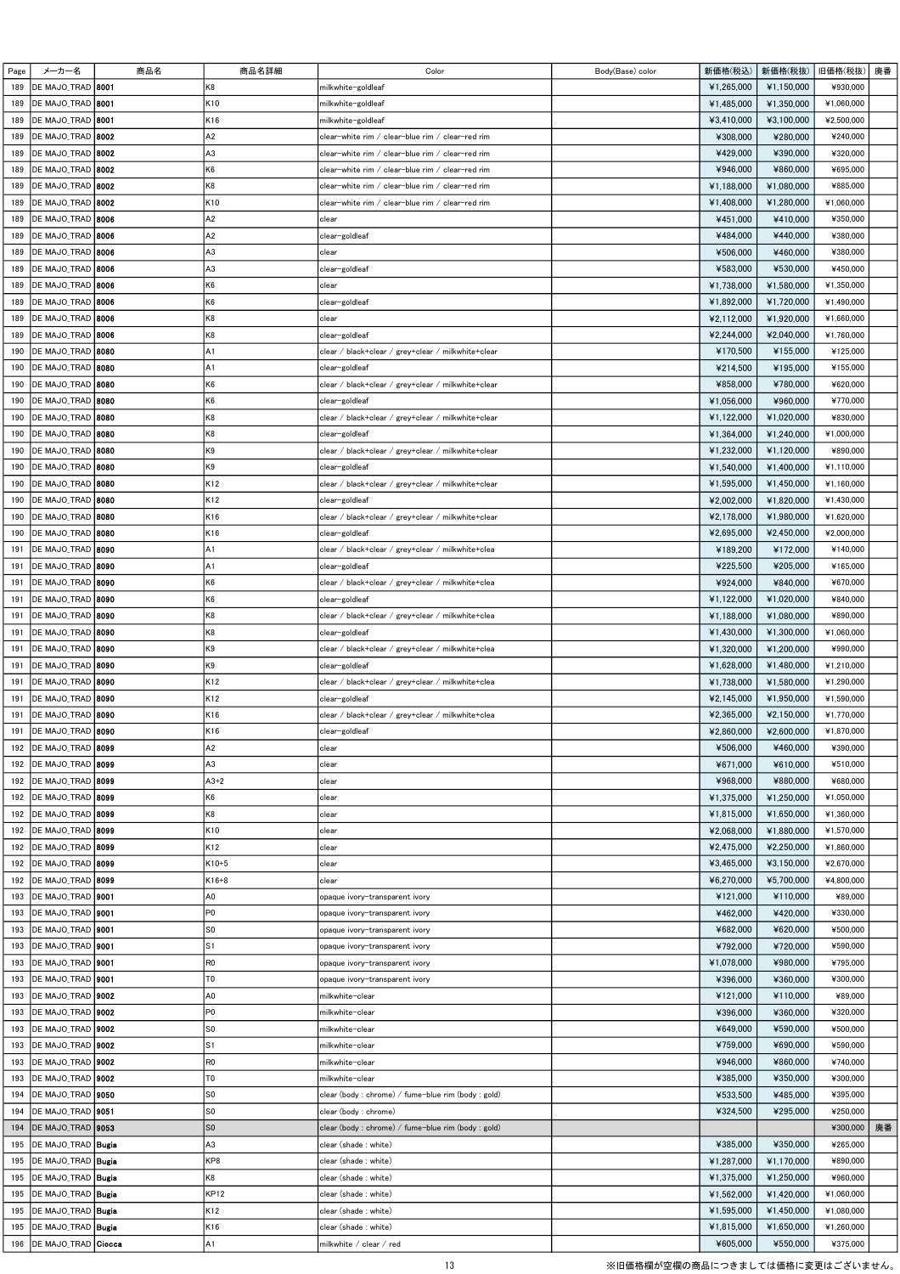| Page       | メーカー名                                    | 商品名 | 商品名詳細          | Color                                              | Body(Base) color | 新価格(税込)                  | 新価格(税抜)                  | 旧価格(税抜)                | 廃番 |
|------------|------------------------------------------|-----|----------------|----------------------------------------------------|------------------|--------------------------|--------------------------|------------------------|----|
| 189        | DE MAJO TRAD <b>8001</b>                 |     | K8             | milkwhite-goldleaf                                 |                  | ¥1,265,000               | ¥1.150.000               | ¥930,000               |    |
| 189        | DE MAJO_TRAD 8001                        |     | K10            | milkwhite-goldleaf                                 |                  | ¥1,485,000               | ¥1,350,000               | ¥1,060,000             |    |
| 189        | DE MAJO_TRAD   8001                      |     | K16            | milkwhite-goldleaf                                 |                  | ¥3,410,000               | ¥3,100,000               | ¥2,500,000             |    |
| 189        | DE MAJO_TRAD   8002                      |     | A2             | clear-white rim / clear-blue rim / clear-red rim   |                  | ¥308,000                 | ¥280,000                 | ¥240,000               |    |
| 189        | DE MAJO_TRAD   8002                      |     | A <sub>3</sub> | clear-white rim / clear-blue rim / clear-red rim   |                  | ¥429,000                 | ¥390,000                 | ¥320,000               |    |
| 189        | DE MAJO_TRAD 8002                        |     | K <sub>6</sub> | clear−white rim / clear−blue rim / clear−red rim   |                  | ¥946,000                 | ¥860,000                 | ¥695,000               |    |
| 189        | DE MAJO_TRAD   8002                      |     | K8             | clear-white rim / clear-blue rim / clear-red rim   |                  | ¥1,188,000               | ¥1,080,000               | ¥885,000               |    |
| 189        | DE MAJO_TRAD 8002                        |     | K10            | clear-white rim / clear-blue rim / clear-red rim   |                  | ¥1,408,000               | ¥1,280,000               | ¥1,060,000             |    |
| 189        | DE MAJO_TRAD   8006                      |     | A <sub>2</sub> | clear                                              |                  | ¥451,000                 | ¥410,000                 | ¥350,000               |    |
| 189        | DE MAJO_TRAD   8006                      |     | A <sub>2</sub> | clear-goldleaf                                     |                  | ¥484,000                 | ¥440,000                 | ¥380,000               |    |
| 189        | DE MAJO_TRAD   8006                      |     | A <sub>3</sub> | clear                                              |                  | ¥506,000                 | ¥460,000                 | ¥380,000               |    |
| 189        | DE MAJO_TRAD   8006                      |     | A <sub>3</sub> | clear-goldleaf                                     |                  | ¥583,000                 | ¥530,000                 | ¥450,000               |    |
| 189        | DE MAJO_TRAD 8006                        |     | K6             | slear                                              |                  | ¥1,738,000               | ¥1,580,000               | ¥1,350,000             |    |
| 189        | DE MAJO_TRAD   8006                      |     | K6             | clear-goldleaf                                     |                  | ¥1,892,000               | ¥1,720,000               | ¥1,490,000             |    |
| 189        | DE MAJO_TRAD   8006                      |     | K8             | clear                                              |                  | ¥2,112,000               | ¥1,920,000               | ¥1,660,000             |    |
| 189        | DE MAJO_TRAD   8006                      |     | K8             | clear–goldleaf                                     |                  | ¥2,244,000               | ¥2,040,000               | ¥1,760,000             |    |
| 190        | DE MAJO_TRAD 8080                        |     | A <sub>1</sub> | clear / black+clear / grey+clear / milkwhite+clear |                  | ¥170,500                 | ¥155,000                 | ¥125,000               |    |
| 190        | DE MAJO_TRAD 8080                        |     | A1             | clear-goldleaf                                     |                  | ¥214,500                 | ¥195,000                 | ¥155,000               |    |
| 190        | DE MAJO_TRAD 8080                        |     | K <sub>6</sub> | clear / black+clear / grey+clear / milkwhite+clear |                  | ¥858,000                 | ¥780,000                 | ¥620,000               |    |
| 190        | DE MAJO_TRAD 8080                        |     | K <sub>6</sub> | clear-goldleaf                                     |                  | ¥1,056,000               | ¥960,000                 | ¥770,000               |    |
|            |                                          |     | K8             | clear / black+clear / grey+clear / milkwhite+clear |                  |                          |                          |                        |    |
| 190<br>190 | DE MAJO_TRAD   8080<br>DE MAJO_TRAD 8080 |     | K8             |                                                    |                  | ¥1,122,000<br>¥1,364,000 | ¥1,020,000<br>¥1,240,000 | ¥830,000<br>¥1,000,000 |    |
|            |                                          |     |                | clear–goldleaf                                     |                  |                          |                          |                        |    |
| 190        | DE MAJO_TRAD 8080                        |     | K9             | clear / black+clear / grey+clear / milkwhite+clear |                  | ¥1,232,000               | ¥1,120,000               | ¥890,000               |    |
| 190        | DE MAJO_TRAD 8080                        |     | K9             | clear–goldleaf                                     |                  | ¥1,540,000               | ¥1,400,000               | ¥1,110,000             |    |
| 190        | DE MAJO_TRAD 8080                        |     | K12            | clear / black+clear / grey+clear / milkwhite+clear |                  | ¥1,595,000               | ¥1,450,000               | ¥1,160,000             |    |
| 190        | DE MAJO_TRAD   8080                      |     | K12            | clear-goldleaf                                     |                  | ¥2,002,000               | ¥1,820,000               | ¥1,430,000             |    |
| 190        | DE MAJO_TRAD   8080                      |     | K16            | clear / black+clear / grey+clear / milkwhite+clear |                  | ¥2,178,000               | ¥1,980,000               | ¥1,620,000             |    |
| 190        | DE MAJO_TRAD 8080                        |     | K16            | clear-goldleaf                                     |                  | ¥2,695,000               | ¥2,450,000               | ¥2,000,000             |    |
| 191        | DE MAJO_TRAD 8090                        |     | A <sub>1</sub> | clear / black+clear / grey+clear / milkwhite+clea  |                  | ¥189,200                 | ¥172,000                 | ¥140,000               |    |
| 191        | DE MAJO_TRAD 8090                        |     | A <sub>1</sub> | clear–goldleaf                                     |                  | ¥225,500                 | ¥205,000                 | ¥165,000               |    |
| 191        | DE MAJO_TRAD 8090                        |     | K <sub>6</sub> | clear / black+clear / grey+clear / milkwhite+clea  |                  | ¥924,000                 | ¥840,000                 | ¥670,000               |    |
| 191        | DE MAJO_TRAD   8090                      |     | K6             | clear-goldleaf                                     |                  | ¥1,122,000               | ¥1,020,000               | ¥840,000               |    |
| 191        | DE MAJO_TRAD 8090                        |     | K8             | clear / black+clear / grey+clear / milkwhite+clea  |                  | ¥1,188,000               | ¥1,080,000               | ¥890,000               |    |
| 191        | DE MAJO_TRAD 8090                        |     | K8             | clear–goldleaf                                     |                  | ¥1,430,000               | ¥1,300,000               | ¥1,060,000             |    |
| 191        | DE MAJO_TRAD 8090                        |     | K9             | clear / black+clear / grey+clear / milkwhite+clea  |                  | ¥1,320,000               | ¥1,200,000               | ¥990,000               |    |
| 191        | DE MAJO_TRAD   8090                      |     | K9             | clear-goldleaf                                     |                  | ¥1,628,000               | ¥1,480,000               | ¥1,210,000             |    |
| 191        | DE MAJO_TRAD   8090                      |     | K12            | clear / black+clear / grey+clear / milkwhite+clea  |                  | ¥1,738,000               | ¥1,580,000               | ¥1,290,000             |    |
| 191        | DE MAJO_TRAD   8090                      |     | K12            | clear–goldleaf                                     |                  | ¥2,145,000               | ¥1,950,000               | ¥1,590,000             |    |
| 191        | DE MAJO_TRAD 8090                        |     | K16            | clear / black+clear / grey+clear / milkwhite+clea  |                  | ¥2,365,000               | ¥2,150,000               | ¥1,770,000             |    |
| 191        | DE MAJO_TRAD 8090                        |     | K16            | clear-goldleaf                                     |                  | ¥2,860,000               | ¥2,600,000               | ¥1,870,000             |    |
| 192        | DE MAJO_TRAD   8099                      |     | A <sub>2</sub> | clear                                              |                  | ¥506,000                 | ¥460,000                 | ¥390,000               |    |
| 192        | DE MAJO_TRAD 8099                        |     | A <sub>3</sub> | clear                                              |                  | ¥671,000                 | ¥610,000                 | ¥510,000               |    |
| 192        | DE MAJO_TRAD 8099                        |     | $A3+2$         | clear                                              |                  | ¥968,000                 | ¥880,000                 | ¥680,000               |    |
| 192        | DE MAJO_TRAD 8099                        |     | K <sub>6</sub> | clear                                              |                  | ¥1,375,000               | ¥1,250,000               | ¥1,050,000             |    |
| 192        | DE MAJO_TRAD 8099                        |     | K8             | clear                                              |                  | ¥1,815,000               | ¥1,650,000               | ¥1,360,000             |    |
| 192        | DE MAJO_TRAD 8099                        |     | K10            | clear                                              |                  | ¥2,068,000               | ¥1.880,000               | ¥1,570,000             |    |
| 192        | DE MAJO_TRAD 8099                        |     | K12            | clear                                              |                  | ¥2,475,000               | ¥2,250,000               | ¥1,860,000             |    |
| 192        | DE MAJO_TRAD 8099                        |     | K10+5          | clear                                              |                  | ¥3,465,000               | ¥3,150,000               | ¥2,670,000             |    |
| 192        | DE MAJO_TRAD 8099                        |     | $K16+8$        | clear                                              |                  | ¥6,270,000               | ¥5,700,000               | ¥4,800,000             |    |
| 193        | DE MAJO_TRAD   9001                      |     | A <sub>0</sub> | opaque ivory-transparent ivory                     |                  | ¥121,000                 | ¥110,000                 | ¥89,000                |    |
| 193        | DE MAJO_TRAD   9001                      |     | P <sub>0</sub> | opaque ivory-transparent ivory                     |                  | ¥462,000                 | ¥420,000                 | ¥330,000               |    |
| 193        | DE MAJO_TRAD   9001                      |     | S <sub>0</sub> | opaque ivory-transparent ivory                     |                  | ¥682,000                 | ¥620,000                 | ¥500,000               |    |
| 193        | DE MAJO_TRAD   9001                      |     | S <sub>1</sub> | opaque ivory-transparent ivory                     |                  | ¥792,000                 | ¥720,000                 | ¥590,000               |    |
| 193        | DE MAJO_TRAD   9001                      |     | R <sub>0</sub> | opaque ivory-transparent ivory                     |                  | ¥1,078,000               | ¥980,000                 | ¥795,000               |    |
| 193        | DE MAJO_TRAD   9001                      |     | T <sub>0</sub> | opaque ivory-transparent ivory                     |                  | ¥396,000                 | ¥360,000                 | ¥300,000               |    |
| 193        | DE MAJO_TRAD   9002                      |     | A <sub>0</sub> | milkwhite-clear                                    |                  | ¥121,000                 | ¥110,000                 | ¥89,000                |    |
| 193        | DE MAJO_TRAD   9002                      |     | P <sub>0</sub> | milkwhite-clear                                    |                  | ¥396,000                 | ¥360,000                 | ¥320,000               |    |
| 193        | DE MAJO_TRAD   9002                      |     | S <sub>0</sub> | milkwhite-clear                                    |                  | ¥649,000                 | ¥590,000                 | ¥500,000               |    |
| 193        | DE MAJO_TRAD   9002                      |     | S <sub>1</sub> | milkwhite-clear                                    |                  | ¥759,000                 | ¥690,000                 | ¥590,000               |    |
| 193        | DE MAJO_TRAD   9002                      |     | R <sub>0</sub> | milkwhite-clear                                    |                  | ¥946,000                 | ¥860,000                 | ¥740,000               |    |
| 193        | DE MAJO_TRAD   9002                      |     | T <sub>0</sub> | milkwhite-clear                                    |                  | ¥385,000                 | ¥350,000                 | ¥300,000               |    |
| 194        | DE MAJO_TRAD   9050                      |     | S <sub>0</sub> | clear (body: chrome) / fume-blue rim (body: gold)  |                  | ¥533,500                 | ¥485,000                 | ¥395,000               |    |
| 194        | DE MAJO_TRAD   9051                      |     | S <sub>0</sub> | clear (body : chrome)                              |                  | ¥324,500                 | ¥295,000                 | ¥250,000               |    |
| 194        | DE MAJO_TRAD   9053                      |     | S <sub>0</sub> | clear (body: chrome) / fume-blue rim (body: gold)  |                  |                          |                          | ¥300,000               | 廃番 |
| 195        | DE MAJO_TRAD Bugia                       |     | A <sub>3</sub> | clear (shade : white)                              |                  | ¥385,000                 | ¥350,000                 | ¥265,000               |    |
| 195        | DE MAJO_TRAD Bugia                       |     | KP8            | clear (shade : white)                              |                  | ¥1,287,000               | ¥1,170,000               | ¥890,000               |    |
| 195        | DE MAJO_TRAD Bugia                       |     | K <sub>8</sub> | clear (shade : white)                              |                  | ¥1,375,000               | ¥1,250,000               | ¥960,000               |    |
| 195        | DE MAJO_TRAD Bugia                       |     | KP12           | clear (shade : white)                              |                  | ¥1,562,000               | ¥1,420,000               | ¥1,060,000             |    |
| 195        | DE MAJO_TRAD Bugia                       |     | K12            | clear (shade : white)                              |                  | ¥1,595,000               | ¥1,450,000               | ¥1,080,000             |    |
| 195        | DE MAJO_TRAD Bugia                       |     | K16            | clear (shade : white)                              |                  | ¥1,815,000               | ¥1,650,000               | ¥1,260,000             |    |
| 196        | DE MAJO_TRAD   Ciocca                    |     | A <sub>1</sub> | milkwhite / clear / red                            |                  | ¥605,000                 | ¥550,000                 | ¥375,000               |    |
|            |                                          |     |                |                                                    |                  |                          |                          |                        |    |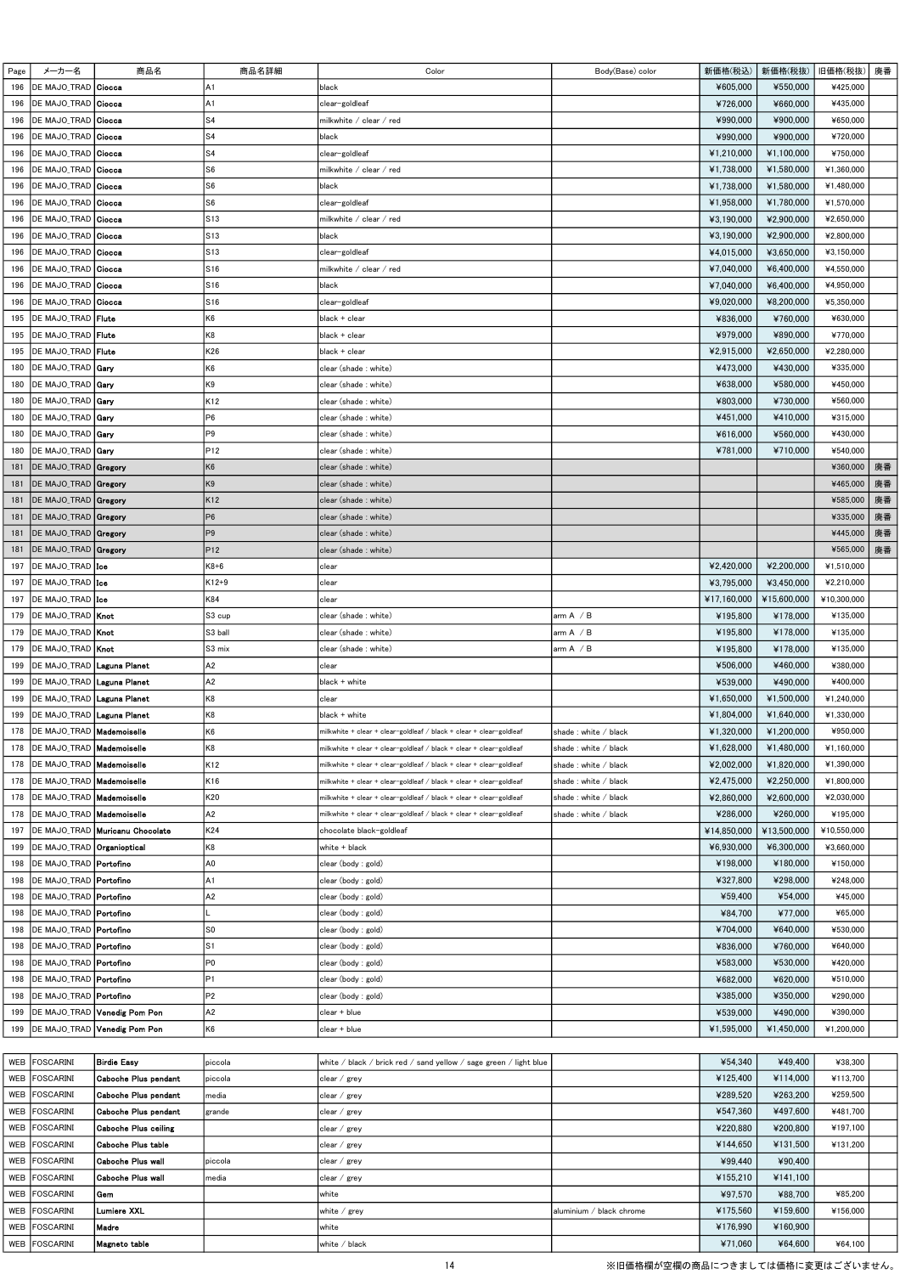| Page | メーカー名                             | 商品名                               | 商品名詳細          | Color                                                               | Body(Base) color         | 新価格(税込)     | 新価格(税抜)     | 旧価格(税抜)     | 廃番 |
|------|-----------------------------------|-----------------------------------|----------------|---------------------------------------------------------------------|--------------------------|-------------|-------------|-------------|----|
| 196  | DE MAJO_TRAD   Ciocca             |                                   | A <sub>1</sub> | black                                                               |                          | ¥605,000    | ¥550,000    | ¥425,000    |    |
| 196  | DE MAJO_TRAD <b>  Ciocca</b>      |                                   | A1             | clear-goldleaf                                                      |                          | ¥726,000    | ¥660,000    | ¥435,000    |    |
| 196  | DE MAJO_TRAD <b>  Ciocca</b>      |                                   | S <sub>4</sub> | milkwhite / clear / red                                             |                          | ¥990,000    | ¥900,000    | ¥650,000    |    |
| 196  | DE MAJO_TRAD   Ciocca             |                                   | S <sub>4</sub> | black                                                               |                          | ¥990,000    | ¥900,000    | ¥720,000    |    |
| 196  | DE MAJO_TRAD                      | Ciocca                            | S <sub>4</sub> | clear-goldleaf                                                      |                          | ¥1,210,000  | ¥1,100,000  | ¥750,000    |    |
| 196  | DE MAJO_TRAD   Ciocca             |                                   | S <sub>6</sub> | milkwhite / clear / red                                             |                          | ¥1,738,000  | ¥1,580,000  | ¥1,360,000  |    |
| 196  | DE MAJO_TRAD   Ciocca             |                                   | S <sub>6</sub> | black                                                               |                          | ¥1,738,000  | ¥1,580,000  | ¥1,480,000  |    |
| 196  | DE MAJO_TRAD   Ciocca             |                                   | S <sub>6</sub> | clear-goldleaf                                                      |                          | ¥1,958,000  | ¥1,780,000  | ¥1,570,000  |    |
| 196  | DE MAJO_TRAD                      | Ciocca                            | S13            | milkwhite / clear / red                                             |                          | ¥3,190,000  | ¥2,900,000  | ¥2,650,000  |    |
| 196  | DE MAJO_TRAD                      | Ciocca                            | S13            | black                                                               |                          | ¥3,190,000  | ¥2,900,000  | ¥2,800,000  |    |
| 196  | DE MAJO_TRAD   Ciocca             |                                   | S13            | clear-goldleaf                                                      |                          | ¥4,015,000  | ¥3,650,000  | ¥3,150,000  |    |
| 196  | DE MAJO_TRAD   Ciocca             |                                   | S16            | milkwhite / clear / red                                             |                          | ¥7,040,000  | ¥6,400,000  | ¥4,550,000  |    |
| 196  | DE MAJO_TRAD   Ciocca             |                                   | S16            | black                                                               |                          | ¥7,040,000  | ¥6,400,000  | ¥4,950,000  |    |
| 196  | DE MAJO_TRAD   Ciocca             |                                   | S16            | clear-goldleaf                                                      |                          | ¥9,020,000  | ¥8,200,000  | ¥5,350,000  |    |
| 195  | DE MAJO_TRAD Flute                |                                   | K <sub>6</sub> | black + clear                                                       |                          | ¥836,000    | ¥760,000    | ¥630,000    |    |
| 195  | DE MAJO_TRAD                      | Flute                             | K8             | black + clear                                                       |                          | ¥979,000    | ¥890,000    | ¥770,000    |    |
| 195  | DE MAJO_TRAD   Flute              |                                   | K26            | black + clear                                                       |                          | ¥2,915,000  | ¥2,650,000  | ¥2,280,000  |    |
| 180  | DE MAJO_TRAD Gary                 |                                   | K6             | clear (shade : white)                                               |                          | ¥473,000    | ¥430,000    | ¥335,000    |    |
| 180  | DE MAJO_TRAD   Gary               |                                   | K9             | clear (shade : white)                                               |                          | ¥638,000    | ¥580,000    | ¥450,000    |    |
| 180  | DE MAJO_TRAD Gary                 |                                   | K12            | clear (shade : white)                                               |                          | ¥803,000    | ¥730,000    | ¥560,000    |    |
| 180  | DE MAJO_TRAD Gary                 |                                   | P <sub>6</sub> | clear (shade: white)                                                |                          | ¥451,000    | ¥410,000    | ¥315,000    |    |
| 180  | DE MAJO_TRAD Gary                 |                                   | P <sub>9</sub> | clear (shade : white)                                               |                          | ¥616,000    | ¥560,000    | ¥430,000    |    |
| 180  | DE MAJO_TRAD   Gary               |                                   | P12            | clear (shade : white)                                               |                          | ¥781,000    | ¥710,000    | ¥540,000    |    |
| 181  | DE MAJO_TRAD Gregory              |                                   | K <sub>6</sub> | clear (shade : white)                                               |                          |             |             | ¥360,000    | 廃番 |
| 181  | DE MAJO_TRAD Gregory              |                                   | K <sub>9</sub> | clear (shade : white)                                               |                          |             |             | ¥465,000    | 廃番 |
| 181  | DE MAJO_TRAD Gregory              |                                   | K12            | clear (shade : white)                                               |                          |             |             | ¥585,000    | 廃番 |
| 181  | DE MAJO_TRAD Gregory              |                                   | P6             | clear (shade : white)                                               |                          |             |             | ¥335,000    | 廃番 |
| 181  | DE MAJO_TRAD Gregory              |                                   | P <sub>9</sub> | clear (shade : white)                                               |                          |             |             | ¥445,000    | 廃番 |
| 181  | DE MAJO_TRAD Gregory              |                                   | P12            | clear (shade : white)                                               |                          |             |             | ¥565,000    | 廃番 |
| 197  | DE MAJO_TRAD  Ice                 |                                   | $K8+6$         | clear                                                               |                          | ¥2,420,000  | ¥2,200,000  | ¥1,510,000  |    |
| 197  | DE MAJO_TRAD  Ice                 |                                   | $K12+9$        | clear                                                               |                          | ¥3,795,000  | ¥3,450,000  | ¥2,210,000  |    |
| 197  | DE MAJO_TRAD <i>ice</i>           |                                   | K84            | clear                                                               |                          | ¥17,160,000 | ¥15,600,000 | ¥10,300,000 |    |
| 179  | DE MAJO_TRAD   Knot               |                                   | S3 cup         | clear (shade : white)                                               | arm A ⁄B                 | ¥195,800    | ¥178,000    | ¥135,000    |    |
| 179  | DE MAJO_TRAD   Knot               |                                   | S3 ball        | clear (shade : white)                                               | arm A ⁄B                 | ¥195,800    | ¥178,000    | ¥135,000    |    |
| 179  | DE MAJO_TRAD Knot                 |                                   | S3 mix         | clear (shade : white)                                               | arm A / B                | ¥195,800    | ¥178,000    | ¥135,000    |    |
| 199  | DE MAJO_TRAD                      | Laguna Planet                     | A <sub>2</sub> | clear                                                               |                          | ¥506,000    | ¥460,000    | ¥380,000    |    |
| 199  | DE MAJO_TRAD   Laguna Planet      |                                   | A <sub>2</sub> | black + white                                                       |                          | ¥539,000    | ¥490,000    | ¥400,000    |    |
| 199  | DE MAJO_TRAD                      | Laguna Planet                     | K8             | clear                                                               |                          | ¥1,650,000  | ¥1,500,000  | ¥1,240,000  |    |
| 199  | DE MAJO_TRAD Laguna Planet        |                                   | K8             | black + white                                                       |                          | ¥1,804,000  | ¥1,640,000  | ¥1,330,000  |    |
| 178  | DE MAJO_TRAD   Mademoiselle       |                                   | K <sub>6</sub> | milkwhite + clear + clear-goldleaf / black + clear + clear-goldleaf | shade : white / black    | ¥1,320,000  | ¥1,200,000  | ¥950,000    |    |
| 178  | DE MAJO_TRAD   Mademoiselle       |                                   | K8             | milkwhite + clear + clear-goldleaf / black + clear + clear-goldleaf | shade : white / black    | ¥1,628,000  | ¥1,480,000  | ¥1,160,000  |    |
| 178  | DE MAJO_TRAD                      | Mademoiselle                      | K12            | milkwhite + clear + clear-goldleaf / black + clear + clear-goldleaf | shade : white / black    | ¥2,002,000  | ¥1,820,000  | ¥1,390,000  |    |
| 178  | DE MAJO_TRAD   Mademoiselle       |                                   | K16            | milkwhite + clear + clear-goldleaf / black + clear + clear-goldleaf | shade : white / black    | ¥2,475,000  | ¥2,250,000  | ¥1,800,000  |    |
| 178  | DE MAJO_TRAD                      | Mademoiselle                      | K20            | milkwhite + clear + clear-goldleaf / black + clear + clear-goldleaf | shade : white / black    | ¥2,860,000  | ¥2,600,000  | ¥2,030,000  |    |
| 178  | DE MAJO_TRAD                      | Mademoiselle                      | A <sub>2</sub> | milkwhite + clear + clear-goldleaf / black + clear + clear-goldleaf | shade : white / black    | ¥286,000    | ¥260,000    | ¥195,000    |    |
| 197  |                                   | DE MAJO_TRAD   Muricanu Chocolate | K24            | chocolate black-goldleaf                                            |                          | ¥14,850,000 | ¥13,500,000 | ¥10,550,000 |    |
| 199  | DE MAJO_TRAD <b>Organioptical</b> |                                   | K8             | white + black                                                       |                          | ¥6,930,000  | ¥6,300,000  | ¥3,660,000  |    |
| 198  | DE MAJO_TRAD Portofino            |                                   | A <sub>0</sub> | clear (body : gold)                                                 |                          | ¥198,000    | ¥180,000    | ¥150,000    |    |
| 198  | DE MAJO_TRAD   Portofino          |                                   | A1             | clear (body : gold)                                                 |                          | ¥327,800    | ¥298,000    | ¥248,000    |    |
| 198  | DE MAJO_TRAD   Portofino          |                                   | A <sub>2</sub> | clear (body : gold)                                                 |                          | ¥59,400     | ¥54,000     | ¥45,000     |    |
| 198  | DE MAJO_TRAD Portofino            |                                   |                | clear (body : gold)                                                 |                          | ¥84,700     | ¥77,000     | ¥65,000     |    |
| 198  | DE MAJO_TRAD Portofino            |                                   | S <sub>0</sub> | clear (body : gold)                                                 |                          | ¥704,000    | ¥640,000    | ¥530,000    |    |
| 198  | DE MAJO_TRAD   Portofino          |                                   | S <sub>1</sub> | clear (body : gold)                                                 |                          | ¥836,000    | ¥760,000    | ¥640,000    |    |
| 198  | DE MAJO_TRAD Portofino            |                                   | P <sub>0</sub> | clear (body : gold)                                                 |                          | ¥583,000    | ¥530,000    | ¥420,000    |    |
| 198  | DE MAJO_TRAD Portofino            |                                   | P <sub>1</sub> | clear (body : gold)                                                 |                          | ¥682,000    | ¥620,000    | ¥510,000    |    |
| 198  | DE MAJO_TRAD Portofino            |                                   | P <sub>2</sub> | clear (body : gold)                                                 |                          | ¥385,000    | ¥350,000    | ¥290,000    |    |
| 199  |                                   | DE MAJO_TRAD Venedig Pom Pon      | A <sub>2</sub> | clear + blue                                                        |                          | ¥539,000    | ¥490,000    | ¥390,000    |    |
| 199  |                                   | DE MAJO_TRAD Venedig Pom Pon      | K <sub>6</sub> | clear + blue                                                        |                          | ¥1,595,000  | ¥1,450,000  | ¥1,200,000  |    |
|      |                                   |                                   |                |                                                                     |                          |             |             |             |    |
| WEB  | FOSCARINI                         | <b>Birdie Easy</b>                | piccola        | white / black / brick red / sand yellow / sage green / light blue   |                          | ¥54,340     | ¥49,400     | ¥38,300     |    |
| WEB  | FOSCARINI                         | <b>Caboche Plus pendant</b>       | piccola        | clear / grey                                                        |                          | ¥125,400    | ¥114,000    | ¥113,700    |    |
| WEB  | FOSCARINI                         | Caboche Plus pendant              | media          | clear / grey                                                        |                          | ¥289,520    | ¥263,200    | ¥259,500    |    |
| WEB  | <b>FOSCARINI</b>                  | Caboche Plus pendant              | grande         | clear / grey                                                        |                          | ¥547,360    | ¥497,600    | ¥481,700    |    |
| WEB  | FOSCARINI                         | <b>Caboche Plus ceiling</b>       |                | clear / grey                                                        |                          | ¥220,880    | ¥200,800    | ¥197,100    |    |
| WEB  | FOSCARINI                         | Caboche Plus table                |                | clear / grey                                                        |                          | ¥144,650    | ¥131,500    | ¥131,200    |    |
| WEB  | <b>FOSCARINI</b>                  | Caboche Plus wall                 | piccola        | clear / grey                                                        |                          | ¥99,440     | ¥90,400     |             |    |
| WEB  | FOSCARINI                         | Caboche Plus wall                 | media          | clear / grey                                                        |                          | ¥155,210    | ¥141,100    |             |    |
| WEB  | FOSCARINI                         | Gem                               |                | white                                                               |                          | ¥97,570     | ¥88,700     | ¥85,200     |    |
| WEB  | FOSCARINI                         | Lumiere XXL                       |                | white $/$ grey                                                      | aluminium ∕ black chrome | ¥175,560    | ¥159,600    | ¥156,000    |    |
|      | WEB FOSCARINI                     | Madre                             |                | white                                                               |                          | ¥176.990    | ¥160,900    |             |    |

WEB FOSCARINI Magneto table white / black ¥71,060 ¥64,600 ¥64,100